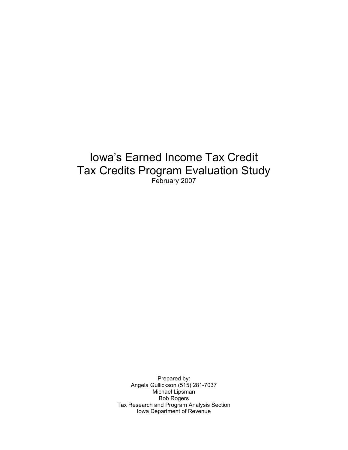## Iowa's Earned Income Tax Credit Tax Credits Program Evaluation Study February 2007

Prepared by: Angela Gullickson (515) 281-7037 Michael Lipsman Bob Rogers Tax Research and Program Analysis Section Iowa Department of Revenue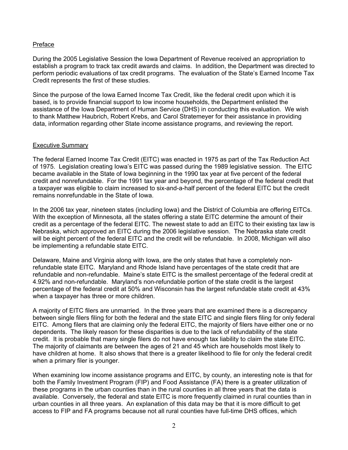## Preface

During the 2005 Legislative Session the Iowa Department of Revenue received an appropriation to establish a program to track tax credit awards and claims. In addition, the Department was directed to perform periodic evaluations of tax credit programs. The evaluation of the State's Earned Income Tax Credit represents the first of these studies.

Since the purpose of the Iowa Earned Income Tax Credit, like the federal credit upon which it is based, is to provide financial support to low income households, the Department enlisted the assistance of the Iowa Department of Human Service (DHS) in conducting this evaluation. We wish to thank Matthew Haubrich, Robert Krebs, and Carol Stratemeyer for their assistance in providing data, information regarding other State income assistance programs, and reviewing the report.

## Executive Summary

The federal Earned Income Tax Credit (EITC) was enacted in 1975 as part of the Tax Reduction Act of 1975. Legislation creating Iowa's EITC was passed during the 1989 legislative session. The EITC became available in the State of Iowa beginning in the 1990 tax year at five percent of the federal credit and nonrefundable. For the 1991 tax year and beyond, the percentage of the federal credit that a taxpayer was eligible to claim increased to six-and-a-half percent of the federal EITC but the credit remains nonrefundable in the State of Iowa.

In the 2006 tax year, nineteen states (including Iowa) and the District of Columbia are offering EITCs. With the exception of Minnesota, all the states offering a state EITC determine the amount of their credit as a percentage of the federal EITC. The newest state to add an EITC to their existing tax law is Nebraska, which approved an EITC during the 2006 legislative session. The Nebraska state credit will be eight percent of the federal EITC and the credit will be refundable. In 2008, Michigan will also be implementing a refundable state EITC.

Delaware, Maine and Virginia along with Iowa, are the only states that have a completely nonrefundable state EITC. Maryland and Rhode Island have percentages of the state credit that are refundable and non-refundable. Maine's state EITC is the smallest percentage of the federal credit at 4.92% and non-refundable. Maryland's non-refundable portion of the state credit is the largest percentage of the federal credit at 50% and Wisconsin has the largest refundable state credit at 43% when a taxpayer has three or more children.

A majority of EITC filers are unmarried. In the three years that are examined there is a discrepancy between single filers filing for both the federal and the state EITC and single filers filing for only federal EITC. Among filers that are claiming only the federal EITC, the majority of filers have either one or no dependents. The likely reason for these disparities is due to the lack of refundability of the state credit. It is probable that many single filers do not have enough tax liability to claim the state EITC. The majority of claimants are between the ages of 21 and 45 which are households most likely to have children at home. It also shows that there is a greater likelihood to file for only the federal credit when a primary filer is younger.

When examining low income assistance programs and EITC, by county, an interesting note is that for both the Family Investment Program (FIP) and Food Assistance (FA) there is a greater utilization of these programs in the urban counties than in the rural counties in all three years that the data is available. Conversely, the federal and state EITC is more frequently claimed in rural counties than in urban counties in all three years. An explanation of this data may be that it is more difficult to get access to FIP and FA programs because not all rural counties have full-time DHS offices, which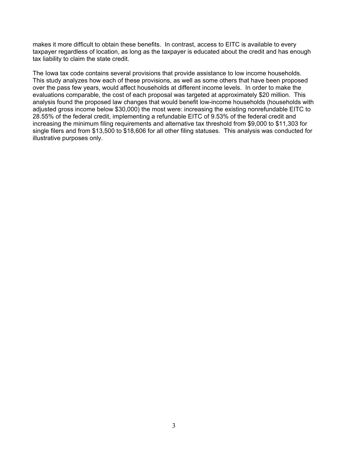makes it more difficult to obtain these benefits. In contrast, access to EITC is available to every taxpayer regardless of location, as long as the taxpayer is educated about the credit and has enough tax liability to claim the state credit.

The Iowa tax code contains several provisions that provide assistance to low income households. This study analyzes how each of these provisions, as well as some others that have been proposed over the pass few years, would affect households at different income levels. In order to make the evaluations comparable, the cost of each proposal was targeted at approximately \$20 million. This analysis found the proposed law changes that would benefit low-income households (households with adjusted gross income below \$30,000) the most were: increasing the existing nonrefundable EITC to 28.55% of the federal credit, implementing a refundable EITC of 9.53% of the federal credit and increasing the minimum filing requirements and alternative tax threshold from \$9,000 to \$11,303 for single filers and from \$13,500 to \$18,606 for all other filing statuses. This analysis was conducted for illustrative purposes only.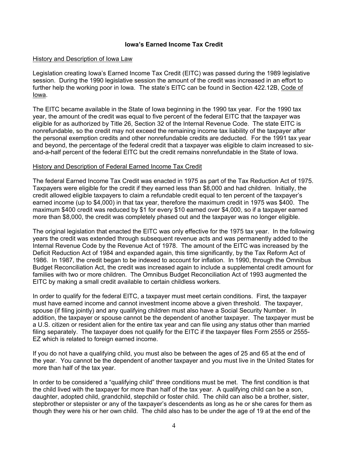## **Iowa's Earned Income Tax Credit**

## History and Description of Iowa Law

Legislation creating Iowa's Earned Income Tax Credit (EITC) was passed during the 1989 legislative session. During the 1990 legislative session the amount of the credit was increased in an effort to further help the working poor in Iowa. The state's EITC can be found in Section 422.12B, Code of Iowa.

The EITC became available in the State of Iowa beginning in the 1990 tax year. For the 1990 tax year, the amount of the credit was equal to five percent of the federal EITC that the taxpayer was eligible for as authorized by Title 26, Section 32 of the Internal Revenue Code. The state EITC is nonrefundable, so the credit may not exceed the remaining income tax liability of the taxpayer after the personal exemption credits and other nonrefundable credits are deducted. For the 1991 tax year and beyond, the percentage of the federal credit that a taxpayer was eligible to claim increased to sixand-a-half percent of the federal EITC but the credit remains nonrefundable in the State of Iowa.

## History and Description of Federal Earned Income Tax Credit

The federal Earned Income Tax Credit was enacted in 1975 as part of the Tax Reduction Act of 1975. Taxpayers were eligible for the credit if they earned less than \$8,000 and had children. Initially, the credit allowed eligible taxpayers to claim a refundable credit equal to ten percent of the taxpayer's earned income (up to \$4,000) in that tax year, therefore the maximum credit in 1975 was \$400. The maximum \$400 credit was reduced by \$1 for every \$10 earned over \$4,000, so if a taxpayer earned more than \$8,000, the credit was completely phased out and the taxpayer was no longer eligible.

The original legislation that enacted the EITC was only effective for the 1975 tax year. In the following years the credit was extended through subsequent revenue acts and was permanently added to the Internal Revenue Code by the Revenue Act of 1978. The amount of the EITC was increased by the Deficit Reduction Act of 1984 and expanded again, this time significantly, by the Tax Reform Act of 1986. In 1987, the credit began to be indexed to account for inflation. In 1990, through the Omnibus Budget Reconciliation Act, the credit was increased again to include a supplemental credit amount for families with two or more children. The Omnibus Budget Reconciliation Act of 1993 augmented the EITC by making a small credit available to certain childless workers.

In order to qualify for the federal EITC, a taxpayer must meet certain conditions. First, the taxpayer must have earned income and cannot investment income above a given threshold. The taxpayer, spouse (if filing jointly) and any qualifying children must also have a Social Security Number. In addition, the taxpayer or spouse cannot be the dependent of another taxpayer. The taxpayer must be a U.S. citizen or resident alien for the entire tax year and can file using any status other than married filing separately. The taxpayer does not qualify for the EITC if the taxpayer files Form 2555 or 2555- EZ which is related to foreign earned income.

If you do not have a qualifying child, you must also be between the ages of 25 and 65 at the end of the year. You cannot be the dependent of another taxpayer and you must live in the United States for more than half of the tax year.

In order to be considered a "qualifying child" three conditions must be met. The first condition is that the child lived with the taxpayer for more than half of the tax year. A qualifying child can be a son, daughter, adopted child, grandchild, stepchild or foster child. The child can also be a brother, sister, stepbrother or stepsister or any of the taxpayer's descendents as long as he or she cares for them as though they were his or her own child. The child also has to be under the age of 19 at the end of the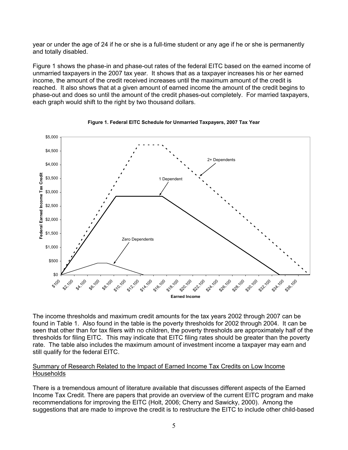year or under the age of 24 if he or she is a full-time student or any age if he or she is permanently and totally disabled.

Figure 1 shows the phase-in and phase-out rates of the federal EITC based on the earned income of unmarried taxpayers in the 2007 tax year. It shows that as a taxpayer increases his or her earned income, the amount of the credit received increases until the maximum amount of the credit is reached. It also shows that at a given amount of earned income the amount of the credit begins to phase-out and does so until the amount of the credit phases-out completely. For married taxpayers, each graph would shift to the right by two thousand dollars.





The income thresholds and maximum credit amounts for the tax years 2002 through 2007 can be found in Table 1. Also found in the table is the poverty thresholds for 2002 through 2004. It can be seen that other than for tax filers with no children, the poverty thresholds are approximately half of the thresholds for filing EITC. This may indicate that EITC filing rates should be greater than the poverty rate. The table also includes the maximum amount of investment income a taxpayer may earn and still qualify for the federal EITC.

## Summary of Research Related to the Impact of Earned Income Tax Credits on Low Income **Households**

There is a tremendous amount of literature available that discusses different aspects of the Earned Income Tax Credit. There are papers that provide an overview of the current EITC program and make recommendations for improving the EITC (Holt, 2006; Cherry and Sawicky, 2000). Among the suggestions that are made to improve the credit is to restructure the EITC to include other child-based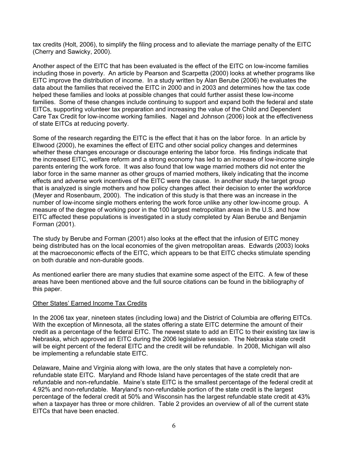tax credits (Holt, 2006), to simplify the filing process and to alleviate the marriage penalty of the EITC (Cherry and Sawicky, 2000).

Another aspect of the EITC that has been evaluated is the effect of the EITC on low-income families including those in poverty. An article by Pearson and Scarpetta (2000) looks at whether programs like EITC improve the distribution of income. In a study written by Alan Berube (2006) he evaluates the data about the families that received the EITC in 2000 and in 2003 and determines how the tax code helped these families and looks at possible changes that could further assist these low-income families. Some of these changes include continuing to support and expand both the federal and state EITCs, supporting volunteer tax preparation and increasing the value of the Child and Dependent Care Tax Credit for low-income working families. Nagel and Johnson (2006) look at the effectiveness of state EITCs at reducing poverty.

Some of the research regarding the EITC is the effect that it has on the labor force. In an article by Ellwood (2000), he examines the effect of EITC and other social policy changes and determines whether these changes encourage or discourage entering the labor force. His findings indicate that the increased EITC, welfare reform and a strong economy has led to an increase of low-income single parents entering the work force. It was also found that low wage married mothers did not enter the labor force in the same manner as other groups of married mothers, likely indicating that the income effects and adverse work incentives of the EITC were the cause. In another study the target group that is analyzed is single mothers and how policy changes affect their decision to enter the workforce (Meyer and Rosenbaum, 2000). The indication of this study is that there was an increase in the number of low-income single mothers entering the work force unlike any other low-income group. A measure of the degree of working poor in the 100 largest metropolitan areas in the U.S. and how EITC affected these populations is investigated in a study completed by Alan Berube and Benjamin Forman (2001).

The study by Berube and Forman (2001) also looks at the effect that the infusion of EITC money being distributed has on the local economies of the given metropolitan areas. Edwards (2003) looks at the macroeconomic effects of the EITC, which appears to be that EITC checks stimulate spending on both durable and non-durable goods.

As mentioned earlier there are many studies that examine some aspect of the EITC. A few of these areas have been mentioned above and the full source citations can be found in the bibliography of this paper.

## Other States' Earned Income Tax Credits

In the 2006 tax year, nineteen states (including Iowa) and the District of Columbia are offering EITCs. With the exception of Minnesota, all the states offering a state EITC determine the amount of their credit as a percentage of the federal EITC. The newest state to add an EITC to their existing tax law is Nebraska, which approved an EITC during the 2006 legislative session. The Nebraska state credit will be eight percent of the federal EITC and the credit will be refundable. In 2008, Michigan will also be implementing a refundable state EITC.

Delaware, Maine and Virginia along with Iowa, are the only states that have a completely nonrefundable state EITC. Maryland and Rhode Island have percentages of the state credit that are refundable and non-refundable. Maine's state EITC is the smallest percentage of the federal credit at 4.92% and non-refundable. Maryland's non-refundable portion of the state credit is the largest percentage of the federal credit at 50% and Wisconsin has the largest refundable state credit at 43% when a taxpayer has three or more children. Table 2 provides an overview of all of the current state EITCs that have been enacted.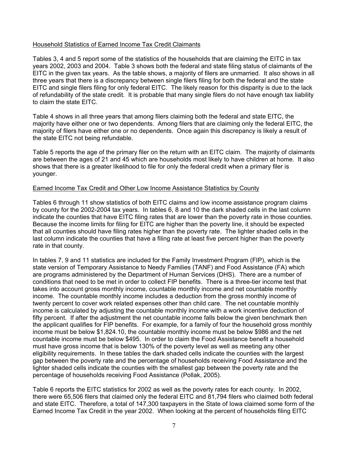## Household Statistics of Earned Income Tax Credit Claimants

Tables 3, 4 and 5 report some of the statistics of the households that are claiming the EITC in tax years 2002, 2003 and 2004. Table 3 shows both the federal and state filing status of claimants of the EITC in the given tax years. As the table shows, a majority of filers are unmarried. It also shows in all three years that there is a discrepancy between single filers filing for both the federal and the state EITC and single filers filing for only federal EITC. The likely reason for this disparity is due to the lack of refundability of the state credit. It is probable that many single filers do not have enough tax liability to claim the state EITC.

Table 4 shows in all three years that among filers claiming both the federal and state EITC, the majority have either one or two dependents. Among filers that are claiming only the federal EITC, the majority of filers have either one or no dependents. Once again this discrepancy is likely a result of the state EITC not being refundable.

Table 5 reports the age of the primary filer on the return with an EITC claim. The majority of claimants are between the ages of 21 and 45 which are households most likely to have children at home. It also shows that there is a greater likelihood to file for only the federal credit when a primary filer is younger.

## Earned Income Tax Credit and Other Low Income Assistance Statistics by County

Tables 6 through 11 show statistics of both EITC claims and low income assistance program claims by county for the 2002-2004 tax years. In tables 6, 8 and 10 the dark shaded cells in the last column indicate the counties that have EITC filing rates that are lower than the poverty rate in those counties. Because the income limits for filing for EITC are higher than the poverty line, it should be expected that all counties should have filing rates higher than the poverty rate. The lighter shaded cells in the last column indicate the counties that have a filing rate at least five percent higher than the poverty rate in that county.

In tables 7, 9 and 11 statistics are included for the Family Investment Program (FIP), which is the state version of Temporary Assistance to Needy Families (TANF) and Food Assistance (FA) which are programs administered by the Department of Human Services (DHS). There are a number of conditions that need to be met in order to collect FIP benefits. There is a three-tier income test that takes into account gross monthly income, countable monthly income and net countable monthly income. The countable monthly income includes a deduction from the gross monthly income of twenty percent to cover work related expenses other than child care. The net countable monthly income is calculated by adjusting the countable monthly income with a work incentive deduction of fifty percent. If after the adjustment the net countable income falls below the given benchmark then the applicant qualifies for FIP benefits. For example, for a family of four the household gross monthly income must be below \$1,824.10, the countable monthly income must be below \$986 and the net countable income must be below \$495. In order to claim the Food Assistance benefit a household must have gross income that is below 130% of the poverty level as well as meeting any other eligibility requirements. In these tables the dark shaded cells indicate the counties with the largest gap between the poverty rate and the percentage of households receiving Food Assistance and the lighter shaded cells indicate the counties with the smallest gap between the poverty rate and the percentage of households receiving Food Assistance (Pollak, 2005).

Table 6 reports the EITC statistics for 2002 as well as the poverty rates for each county. In 2002, there were 65,506 filers that claimed only the federal EITC and 81,794 filers who claimed both federal and state EITC. Therefore, a total of 147,300 taxpayers in the State of Iowa claimed some form of the Earned Income Tax Credit in the year 2002. When looking at the percent of households filing EITC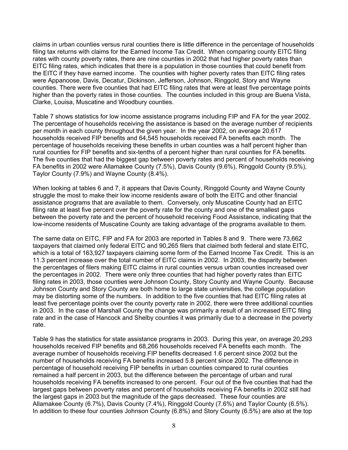claims in urban counties versus rural counties there is little difference in the percentage of households filing tax returns with claims for the Earned Income Tax Credit. When comparing county EITC filing rates with county poverty rates, there are nine counties in 2002 that had higher poverty rates than EITC filing rates, which indicates that there is a population in those counties that could benefit from the EITC if they have earned income. The counties with higher poverty rates than EITC filing rates were Appanoose, Davis, Decatur, Dickinson, Jefferson, Johnson, Ringgold, Story and Wayne counties. There were five counties that had EITC filing rates that were at least five percentage points higher than the poverty rates in those counties. The counties included in this group are Buena Vista, Clarke, Louisa, Muscatine and Woodbury counties.

Table 7 shows statistics for low income assistance programs including FIP and FA for the year 2002. The percentage of households receiving the assistance is based on the average number of recipients per month in each county throughout the given year. In the year 2002, on average 20,617 households received FIP benefits and 64,545 households received FA benefits each month. The percentage of households receiving these benefits in urban counties was a half percent higher than rural counties for FIP benefits and six-tenths of a percent higher than rural counties for FA benefits. The five counties that had the biggest gap between poverty rates and percent of households receiving FA benefits in 2002 were Allamakee County (7.5%), Davis County (9.6%), Ringgold County (9.5%), Taylor County (7.9%) and Wayne County (8.4%).

When looking at tables 6 and 7, it appears that Davis County, Ringgold County and Wayne County struggle the most to make their low income residents aware of both the EITC and other financial assistance programs that are available to them. Conversely, only Muscatine County had an EITC filing rate at least five percent over the poverty rate for the county and one of the smallest gaps between the poverty rate and the percent of household receiving Food Assistance, indicating that the low-income residents of Muscatine County are taking advantage of the programs available to them.

The same data on EITC, FIP and FA for 2003 are reported in Tables 8 and 9. There were 73,662 taxpayers that claimed only federal EITC and 90,265 filers that claimed both federal and state EITC, which is a total of 163,927 taxpayers claiming some form of the Earned Income Tax Credit. This is an 11.3 percent increase over the total number of EITC claims in 2002. In 2003, the disparity between the percentages of filers making EITC claims in rural counties versus urban counties increased over the percentages in 2002. There were only three counties that had higher poverty rates than EITC filing rates in 2003, those counties were Johnson County, Story County and Wayne County. Because Johnson County and Story County are both home to large state universities, the college population may be distorting some of the numbers. In addition to the five counties that had EITC filing rates at least five percentage points over the county poverty rate in 2002, there were three additional counties in 2003. In the case of Marshall County the change was primarily a result of an increased EITC filing rate and in the case of Hancock and Shelby counties it was primarily due to a decrease in the poverty rate.

Table 9 has the statistics for state assistance programs in 2003. During this year, on average 20,293 households received FIP benefits and 68,266 households received FA benefits each month. The average number of households receiving FIP benefits decreased 1.6 percent since 2002 but the number of households receiving FA benefits increased 5.8 percent since 2002. The difference in percentage of household receiving FIP benefits in urban counties compared to rural counties remained a half percent in 2003, but the difference between the percentage of urban and rural households receiving FA benefits increased to one percent. Four out of the five counties that had the largest gaps between poverty rates and percent of households receiving FA benefits in 2002 still had the largest gaps in 2003 but the magnitude of the gaps decreased. These four counties are Allamakee County (6.7%), Davis County (7.4%), Ringgold County (7.6%) and Taylor County (6.5%). In addition to these four counties Johnson County (6.8%) and Story County (6.5%) are also at the top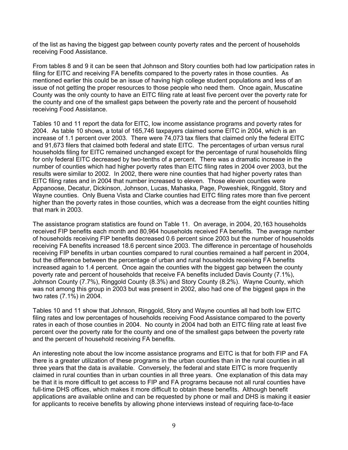of the list as having the biggest gap between county poverty rates and the percent of households receiving Food Assistance.

From tables 8 and 9 it can be seen that Johnson and Story counties both had low participation rates in filing for EITC and receiving FA benefits compared to the poverty rates in those counties. As mentioned earlier this could be an issue of having high college student populations and less of an issue of not getting the proper resources to those people who need them. Once again, Muscatine County was the only county to have an EITC filing rate at least five percent over the poverty rate for the county and one of the smallest gaps between the poverty rate and the percent of household receiving Food Assistance.

Tables 10 and 11 report the data for EITC, low income assistance programs and poverty rates for 2004. As table 10 shows, a total of 165,746 taxpayers claimed some EITC in 2004, which is an increase of 1.1 percent over 2003. There were 74,073 tax filers that claimed only the federal EITC and 91,673 filers that claimed both federal and state EITC. The percentages of urban versus rural households filing for EITC remained unchanged except for the percentage of rural households filing for only federal EITC decreased by two-tenths of a percent. There was a dramatic increase in the number of counties which had higher poverty rates than EITC filing rates in 2004 over 2003, but the results were similar to 2002. In 2002, there were nine counties that had higher poverty rates than EITC filing rates and in 2004 that number increased to eleven. Those eleven counties were Appanoose, Decatur, Dickinson, Johnson, Lucas, Mahaska, Page, Poweshiek, Ringgold, Story and Wayne counties. Only Buena Vista and Clarke counties had EITC filing rates more than five percent higher than the poverty rates in those counties, which was a decrease from the eight counties hitting that mark in 2003.

The assistance program statistics are found on Table 11. On average, in 2004, 20,163 households received FIP benefits each month and 80,964 households received FA benefits. The average number of households receiving FIP benefits decreased 0.6 percent since 2003 but the number of households receiving FA benefits increased 18.6 percent since 2003. The difference in percentage of households receiving FIP benefits in urban counties compared to rural counties remained a half percent in 2004, but the difference between the percentage of urban and rural households receiving FA benefits increased again to 1.4 percent. Once again the counties with the biggest gap between the county poverty rate and percent of households that receive FA benefits included Davis County (7.1%), Johnson County (7.7%), Ringgold County (8.3%) and Story County (8.2%). Wayne County, which was not among this group in 2003 but was present in 2002, also had one of the biggest gaps in the two rates (7.1%) in 2004.

Tables 10 and 11 show that Johnson, Ringgold, Story and Wayne counties all had both low EITC filing rates and low percentages of households receiving Food Assistance compared to the poverty rates in each of those counties in 2004. No county in 2004 had both an EITC filing rate at least five percent over the poverty rate for the county and one of the smallest gaps between the poverty rate and the percent of household receiving FA benefits.

An interesting note about the low income assistance programs and EITC is that for both FIP and FA there is a greater utilization of these programs in the urban counties than in the rural counties in all three years that the data is available. Conversely, the federal and state EITC is more frequently claimed in rural counties than in urban counties in all three years. One explanation of this data may be that it is more difficult to get access to FIP and FA programs because not all rural counties have full-time DHS offices, which makes it more difficult to obtain these benefits. Although benefit applications are available online and can be requested by phone or mail and DHS is making it easier for applicants to receive benefits by allowing phone interviews instead of requiring face-to-face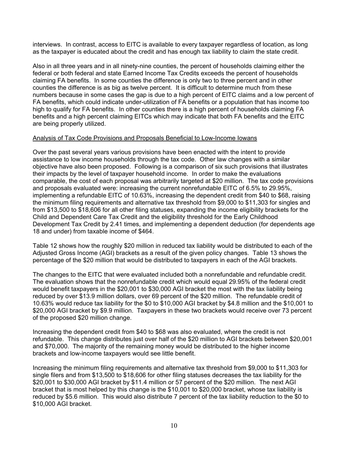interviews. In contrast, access to EITC is available to every taxpayer regardless of location, as long as the taxpayer is educated about the credit and has enough tax liability to claim the state credit.

Also in all three years and in all ninety-nine counties, the percent of households claiming either the federal or both federal and state Earned Income Tax Credits exceeds the percent of households claiming FA benefits. In some counties the difference is only two to three percent and in other counties the difference is as big as twelve percent. It is difficult to determine much from these numbers because in some cases the gap is due to a high percent of EITC claims and a low percent of FA benefits, which could indicate under-utilization of FA benefits or a population that has income too high to qualify for FA benefits. In other counties there is a high percent of households claiming FA benefits and a high percent claiming EITCs which may indicate that both FA benefits and the EITC are being properly utilized.

## Analysis of Tax Code Provisions and Proposals Beneficial to Low-Income Iowans

Over the past several years various provisions have been enacted with the intent to provide assistance to low income households through the tax code. Other law changes with a similar objective have also been proposed. Following is a comparison of six such provisions that illustrates their impacts by the level of taxpayer household income. In order to make the evaluations comparable, the cost of each proposal was arbitrarily targeted at \$20 million. The tax code provisions and proposals evaluated were: increasing the current nonrefundable EITC of 6.5% to 29.95%, implementing a refundable EITC of 10.63%, increasing the dependent credit from \$40 to \$68, raising the minimum filing requirements and alternative tax threshold from \$9,000 to \$11,303 for singles and from \$13,500 to \$18,606 for all other filing statuses, expanding the income eligibility brackets for the Child and Dependent Care Tax Credit and the eligibility threshold for the Early Childhood Development Tax Credit by 2.41 times, and implementing a dependent deduction (for dependents age 18 and under) from taxable income of \$464.

Table 12 shows how the roughly \$20 million in reduced tax liability would be distributed to each of the Adjusted Gross Income (AGI) brackets as a result of the given policy changes. Table 13 shows the percentage of the \$20 million that would be distributed to taxpayers in each of the AGI brackets.

The changes to the EITC that were evaluated included both a nonrefundable and refundable credit. The evaluation shows that the nonrefundable credit which would equal 29.95% of the federal credit would benefit taxpayers in the \$20,001 to \$30,000 AGI bracket the most with the tax liability being reduced by over \$13.9 million dollars, over 69 percent of the \$20 million. The refundable credit of 10.63% would reduce tax liability for the \$0 to \$10,000 AGI bracket by \$4.8 million and the \$10,001 to \$20,000 AGI bracket by \$9.9 million. Taxpayers in these two brackets would receive over 73 percent of the proposed \$20 million change.

Increasing the dependent credit from \$40 to \$68 was also evaluated, where the credit is not refundable. This change distributes just over half of the \$20 million to AGI brackets between \$20,001 and \$70,000. The majority of the remaining money would be distributed to the higher income brackets and low-income taxpayers would see little benefit.

Increasing the minimum filing requirements and alternative tax threshold from \$9,000 to \$11,303 for single filers and from \$13,500 to \$18,606 for other filing statuses decreases the tax liability for the \$20,001 to \$30,000 AGI bracket by \$11.4 million or 57 percent of the \$20 million. The next AGI bracket that is most helped by this change is the \$10,001 to \$20,000 bracket, whose tax liability is reduced by \$5.6 million. This would also distribute 7 percent of the tax liability reduction to the \$0 to \$10,000 AGI bracket.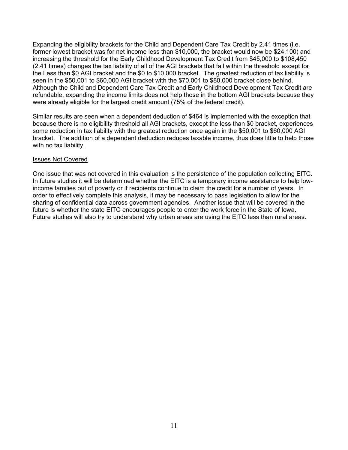Expanding the eligibility brackets for the Child and Dependent Care Tax Credit by 2.41 times (i.e. former lowest bracket was for net income less than \$10,000, the bracket would now be \$24,100) and increasing the threshold for the Early Childhood Development Tax Credit from \$45,000 to \$108,450 (2.41 times) changes the tax liability of all of the AGI brackets that fall within the threshold except for the Less than \$0 AGI bracket and the \$0 to \$10,000 bracket. The greatest reduction of tax liability is seen in the \$50,001 to \$60,000 AGI bracket with the \$70,001 to \$80,000 bracket close behind. Although the Child and Dependent Care Tax Credit and Early Childhood Development Tax Credit are refundable, expanding the income limits does not help those in the bottom AGI brackets because they were already eligible for the largest credit amount (75% of the federal credit).

Similar results are seen when a dependent deduction of \$464 is implemented with the exception that because there is no eligibility threshold all AGI brackets, except the less than \$0 bracket, experiences some reduction in tax liability with the greatest reduction once again in the \$50,001 to \$60,000 AGI bracket. The addition of a dependent deduction reduces taxable income, thus does little to help those with no tax liability.

## Issues Not Covered

One issue that was not covered in this evaluation is the persistence of the population collecting EITC. In future studies it will be determined whether the EITC is a temporary income assistance to help lowincome families out of poverty or if recipients continue to claim the credit for a number of years. In order to effectively complete this analysis, it may be necessary to pass legislation to allow for the sharing of confidential data across government agencies. Another issue that will be covered in the future is whether the state EITC encourages people to enter the work force in the State of Iowa. Future studies will also try to understand why urban areas are using the EITC less than rural areas.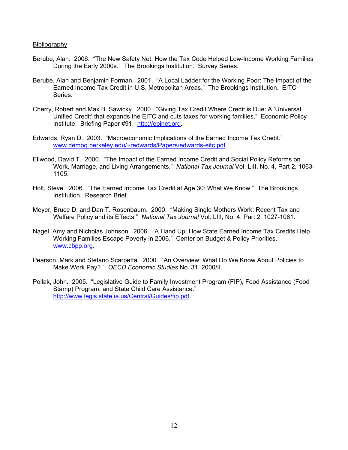## Bibliography

- Berube, Alan. 2006. "The New Safety Net: How the Tax Code Helped Low-Income Working Families During the Early 2000s." The Brookings Institution. Survey Series.
- Berube, Alan and Benjamin Forman. 2001. "A Local Ladder for the Working Poor: The Impact of the Earned Income Tax Credit in U.S. Metropolitan Areas." The Brookings Institution. EITC Series.
- Cherry, Robert and Max B. Sawicky. 2000. "Giving Tax Credit Where Credit is Due: A 'Universal Unified Credit' that expands the EITC and cuts taxes for working families." Economic Policy Institute. Briefing Paper #91. http://epinet.org.
- Edwards, Ryan D. 2003. "Macroeconomic Implications of the Earned Income Tax Credit." www.demog.berkeley.edu/~redwards/Papers/edwards-eitc.pdf.
- Ellwood, David T. 2000. "The Impact of the Earned Income Credit and Social Policy Reforms on Work, Marriage, and Living Arrangements." *National Tax Journal* Vol. LIII, No. 4, Part 2, 1063- 1105.
- Holt, Steve. 2006. "The Earned Income Tax Credit at Age 30: What We Know." The Brookings Institution. Research Brief.
- Meyer, Bruce D. and Dan T. Rosenbaum. 2000. "Making Single Mothers Work: Recent Tax and Welfare Policy and its Effects." *National Tax Journal* Vol. LIII, No. 4, Part 2, 1027-1061.
- Nagel, Amy and Nicholas Johnson. 2006. "A Hand Up: How State Earned Income Tax Credits Help Working Families Escape Poverty in 2006." Center on Budget & Policy Priorities. www.cbpp.org.
- Pearson, Mark and Stefano Scarpetta. 2000. "An Overview: What Do We Know About Policies to Make Work Pay?." *OECD Economic Studies* No. 31, 2000/II.
- Pollak, John. 2005. "Legislative Guide to Family Investment Program (FIP), Food Assistance (Food Stamp) Program, and State Child Care Assistance." http://www.legis.state.ia.us/Central/Guides/fip.pdf.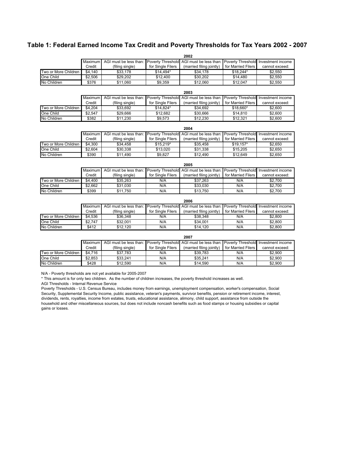## **Table 1: Federal Earned Income Tax Credit and Poverty Thresholds for Tax Years 2002 - 2007**

**2002**

|                                   |         |                        |                          | 2002                                                       |                          |                   |
|-----------------------------------|---------|------------------------|--------------------------|------------------------------------------------------------|--------------------------|-------------------|
|                                   | Maximum | AGI must be less than: | <b>Poverty Threshold</b> | AGI must be less than: Poverty Threshold Investment income |                          |                   |
|                                   | Credit  | (filing single)        | for Single Filers        | (married filing jointly)                                   | for Married Filers       | cannot exceed:    |
| Two or More Children              | \$4,140 | \$33,178               | $$14, 494*$              | \$34,178                                                   | $$18,244*$               | \$2,550           |
| One Child                         | \$2,506 | \$29,202               | \$12,400                 | \$30,202                                                   | \$14,480                 | \$2,550           |
| No Children                       | \$376   | \$11,060               | \$9,359                  | \$12,060                                                   | \$12,047                 | \$2,550           |
|                                   |         |                        |                          |                                                            |                          |                   |
|                                   | Maximum | AGI must be less than: | <b>Poverty Threshold</b> | 2003<br>AGI must be less than:                             | <b>Poverty Threshold</b> | Investment income |
|                                   | Credit  | (filing single)        | for Single Filers        | (married filing jointly)                                   | for Married Filers       | cannot exceed:    |
| Two or More Children              | \$4.204 | \$33.692               | $$14.824*$               | \$34.692                                                   | \$18.660*                | \$2,600           |
| One Child                         | \$2,547 | \$29,666               | \$12,682                 | \$30,666                                                   | \$14,810                 | \$2,600           |
| No Children                       |         | \$11,230               | \$9,573                  | \$12,230                                                   | \$12,321                 | \$2,600           |
|                                   | \$382   |                        |                          |                                                            |                          |                   |
|                                   |         |                        |                          | 2004                                                       |                          |                   |
|                                   | Maximum | AGI must be less than: | <b>Poverty Threshold</b> | AGI must be less than:                                     | <b>Poverty Threshold</b> | Investment income |
|                                   | Credit  | (filing single)        | for Single Filers        | (married filing jointly)                                   | for Married Filers       | cannot exceed:    |
| Two or More Children              | \$4,300 | \$34,458               | $$15,219*$               | \$35,458                                                   | $$19,157*$               | \$2,650           |
| One Child                         | \$2,604 | \$30,338               | \$13,020                 | \$31,338                                                   | \$15,205                 | \$2,650           |
| No Children                       | \$390   | \$11,490               | \$9,827                  | \$12,490                                                   | \$12,649                 | \$2,650           |
|                                   |         |                        |                          |                                                            |                          |                   |
|                                   |         |                        |                          | 2005                                                       |                          |                   |
|                                   | Maximum | AGI must be less than: | <b>Poverty Threshold</b> | AGI must be less than:                                     | Poverty Threshold        | Investment income |
|                                   | Credit  | (filing single)        | for Single Filers        | (married filing jointly)                                   | for Married Filers       | cannot exceed:    |
| Two or More Children              | \$4,400 | \$35,263               | N/A                      | \$37,263                                                   | N/A                      | \$2,700           |
| <b>One Child</b>                  | \$2,662 | \$31,030               | N/A                      | \$33,030                                                   | N/A                      | \$2,700           |
| No Children                       | \$399   | \$11,750               | N/A                      | \$13,750                                                   | N/A                      | \$2,700           |
|                                   |         |                        |                          | 2006                                                       |                          |                   |
|                                   | Maximum | AGI must be less than: | <b>Poverty Threshold</b> | AGI must be less than:                                     | <b>Poverty Threshold</b> | Investment income |
|                                   | Credit  | (filing single)        | for Single Filers        | (married filing jointly)                                   | for Married Filers       | cannot exceed:    |
| Two or More Children              | \$4,536 | \$36,348               | N/A                      | \$38,348                                                   | N/A                      | \$2,800           |
| One Child                         | \$2,747 | \$32,001               | N/A                      | \$34,001                                                   | N/A                      | \$2,800           |
| No Children                       | \$412   | \$12,120               | N/A                      | \$14,120                                                   | N/A                      | \$2,800           |
|                                   |         |                        |                          |                                                            |                          |                   |
|                                   |         |                        |                          | 2007                                                       |                          |                   |
|                                   | Maximum | AGI must be less than: | Poverty Threshold        | AGI must be less than:                                     | Poverty Threshold        | Investment income |
|                                   |         |                        | for Single Filers        | (married filing jointly)                                   | for Married Filers       | cannot exceed:    |
|                                   | Credit  | (filing single)        |                          |                                                            |                          |                   |
|                                   | \$4,716 | \$37,783               | N/A                      | \$39,783                                                   | N/A                      | \$2,900           |
| Two or More Children<br>One Child | \$2,853 | \$33,241               | N/A                      | \$35,241                                                   | N/A                      | \$2,900           |

\* This amount is for only two children. As the number of children increases, the poverty threshold increases as well.

AGI Thresholds - Internal Revenue Service

Poverty Thresholds - U.S. Census Bureau, includes money from earnings, unemployment compensation, worker's compensation, Social Security, Supplemental Security Income, public assistance, veteran's payments, survivor benefits, pension or retirement income, interest, dividends, rents, royalties, income from estates, trusts, educational assistance, alimony, child support, assistance from outside the household and other miscellaneous sources, but does not include noncash benefits such as food stamps or housing subsidies or capital gains or losses.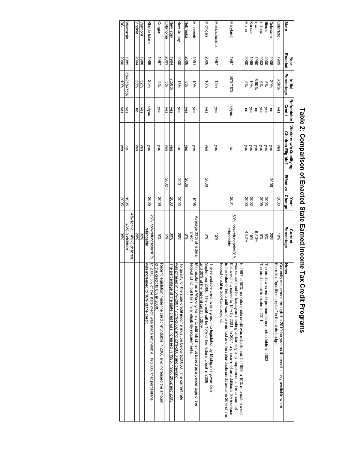| State            | Enacted<br>Year | <b>Percentage</b><br>Initial | Refundable<br><b>Credit</b> | Workers w/o Qualifying<br>Children Eligible? | Effective | <b>Change</b><br>Year | Percentage<br>Current                | <b>Notes</b>                                                                                                                                                                                                              |
|------------------|-----------------|------------------------------|-----------------------------|----------------------------------------------|-----------|-----------------------|--------------------------------------|---------------------------------------------------------------------------------------------------------------------------------------------------------------------------------------------------------------------------|
| Colorado         | 6661            | 8.50%                        | yes                         | yes                                          |           | 2000                  | $10\%$                               | Currently suspended through the 2010 tax year as the credit is only available when<br>there is a "qualified surplus" in the state budget.                                                                                 |
| Delaware         | 2005            | 20%                          | $\overline{5}$              | yes                                          | 5006      |                       | 20%                                  |                                                                                                                                                                                                                           |
| siouil           | 2000            |                              | yes                         | ∫es                                          |           | 2003                  | $5\%$                                | The credit was made permanent and refundable in 2003                                                                                                                                                                      |
| ndiana           | 2003            | 8%<br>%9                     | yes                         | yes                                          |           | 2005                  | $6\%$                                | he credit is set to expire in 2011                                                                                                                                                                                        |
| pwo              | 0661            | 6.50%                        | 5                           | yes                                          |           |                       | 6.50%                                |                                                                                                                                                                                                                           |
| Kansas           | 8661            | $10\%$                       | yes                         | yes                                          |           | 2002                  | 45%                                  |                                                                                                                                                                                                                           |
| Maine            | 2000            | $^{96}$                      | 5                           | λes                                          |           | 2003                  | 4.92%                                |                                                                                                                                                                                                                           |
|                  |                 |                              |                             |                                              |           |                       |                                      | was established for taxpayers meeting certain eligibility requirements, the amount of<br><b>1987</b><br>, a 50% nonrefundable credit was established. In 1998, a 10% refundable credit                                    |
| Maryland         | 1861            | 50%/10%                      | nolyes                      | 5                                            |           | 2001                  | 50% non-refundable/20%<br>refundable | that credit increased to 15% by 2001. In 2001, a phase-in of an additional 5% increase<br>in the value of the credit was implemented and the refundable credit became 20% of the<br>federal<br>credit in 2004 and beyond. |
| Massachusetts    | 1997            | 15%                          | yes                         | yes                                          |           |                       | 15%                                  |                                                                                                                                                                                                                           |
| Michigan         | 2006            | $10\%$                       | yes                         | yes                                          | 2008      |                       | 960                                  | September 2006. The credit will be 10% of the federal credit in 2008<br>The refundable credit was signed into legislation by Michigan's governor in                                                                       |
|                  |                 |                              |                             |                                              |           |                       |                                      | and 20% of the federal credit in 2009.                                                                                                                                                                                    |
| Minnesota        | 1661            | $10\%$                       | yes                         | yes                                          |           | 8661                  | Average 33% of federal<br>credit     | Minnesota has a Working Family Credit which is not based as a percentage of the<br>federal<br>EITC, but has similar eligibility requirements                                                                              |
| Nebraska         | 2006            | %8                           | yes                         | yes                                          | 2006      |                       | %8                                   |                                                                                                                                                                                                                           |
| New Jersey       | 2000            | 15%                          | yes                         | 5                                            | 2001      | 2003                  | 20%                                  | was phased in 15%-2001 17.5%-2002 and 20%-2003 and beyond.<br>To quali<br>ify for the state credit income must be below \$20,000. The current rate                                                                        |
| New York         | +661            | 7.50%                        | yes                         | yes                                          |           | 2003                  | 30%                                  | The per<br>rcentage of the state credit was increased in 1995, 1996, 2002 and 2003                                                                                                                                        |
| Oklahoma         | 2001            | 5%                           | yes                         | yes                                          | 2002      |                       | $5\%$                                |                                                                                                                                                                                                                           |
| Oregon           | 1661            | $5\%$                        | yes                         | yes                                          |           | 2006                  | $5\%$                                | Recent<br>legislation made the credit refundable in 2006 and increased the amount                                                                                                                                         |
| Rhode Island     | 9861            | 25%                          | nolyes                      | yes                                          |           | 2005                  | 25% non-refundable/10%<br>refundable | of the credit to 6% in 2008.<br>In 2003, 5% of the state credit was made refundable. In 2005, that percentage<br>was increased to 10% of the credit.                                                                      |
| Vermont          | 8861            | 32%                          | yes                         | yes                                          |           |                       | 32%                                  |                                                                                                                                                                                                                           |
| Virginia         | 2004            | 20%                          | $\overline{5}$              | yes                                          |           |                       | 20%                                  |                                                                                                                                                                                                                           |
|                  |                 |                              |                             |                                              |           |                       | 4%-1child, 14%-2 children,           |                                                                                                                                                                                                                           |
| <b>Wisconsin</b> | 6861            | 5%/25%/75%                   | yes                         | 5                                            |           | 5661                  | 43%-3 children                       |                                                                                                                                                                                                                           |

DC

2000

10%

yes

yes

2005

35%

## Table 2: Comparison of Enacted State Earned Income Tax Credit Programs **Table 2: Comparison of Enacted State Earned Income Tax Credit Programs**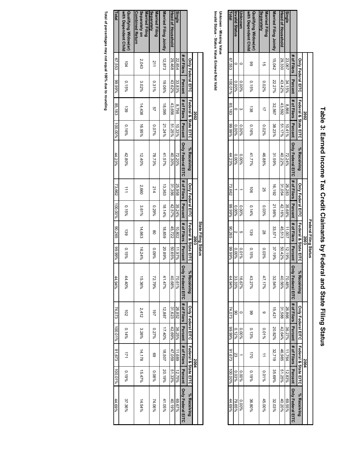|                                              |             |                          |                      |                |                          |                     |          | Federal Filing Status |           |                                       |                          |          |                      |         |                          |
|----------------------------------------------|-------------|--------------------------|----------------------|----------------|--------------------------|---------------------|----------|-----------------------|-----------|---------------------------------------|--------------------------|----------|----------------------|---------|--------------------------|
|                                              |             |                          | 2002                 |                |                          |                     |          | 2003                  |           |                                       |                          |          | 2004                 |         |                          |
|                                              |             | <b>Only Federal EITC</b> | Federal & State EITC |                | % Receiving              | Only Federal EITC   |          | Federal & State EITC  |           | % Receiving                           | <b>Only Federal EITC</b> |          | Federal & State EITC |         | % Receiving              |
|                                              | # of Filers | Percent                  | # of Filers          | <b>Percent</b> | <b>Only Federal EITC</b> | # of Filers Percent |          | # of Filers           | Percent   | Only Federal EITC # of Filers Percent |                          |          | # of Filers          | Percent | <b>Only Federal EITC</b> |
| Single                                       | 23,067      | 34.15%                   | 8,866                | 10.41%         | 72.24%                   | 26,283              | 35.68%   | 11,007                | $12.19\%$ | 70.48%                                | 26,866                   | 36.27%   | 11,764               | 12.83%  | 969.55%                  |
| Head of Household                            | 29,330      | 43.42%                   | 43,592               | 51.17%         | 40.22%                   | 31,054              | 42.16%   | 45,513                | 50.42%    | 40.56%                                | 31,588                   | 42.64%   | 46,985               | 51.25%  | 40.20%                   |
| Married Filing Jointly                       | 15,042      | 22.27%                   | 32,567               | 38.23%         | 31.59%                   | 16,192              | 21.98%   | 33,571                | 37.19%    | 32.54%                                | 15,421                   | 20.82%   | 32,719               | 35.69%  | 32.03%                   |
| Separately<br>Married Filing                 | ಸ           | 0.02%                    |                      | 0.02%          | 46.88%                   | 25                  | 0.03%    | 28                    | 0.03%     | 47.17%                                | ဖ                        | 0.01%    | $\overrightarrow{ }$ | 0.01%   | 45.00%                   |
| with Dependent Child<br>Qualifying Widow(er) | 88          | $0.15\%$                 | $\overline{38}$      | $0.16\%$       | 41.77%                   | ā                   | $0.14\%$ | $\overline{39}$       | $0.15\%$  | 43.27%                                | 88                       | $0.13\%$ | 170                  | 0.19%   | 36.80%                   |
| Uwown                                        |             | 0.00%                    | ω                    | %00.0          | %00.0                    |                     | 0.00%    | CΠ                    | $0.01\%$  | 16.67%                                |                          | %00.0    |                      | 0.00%   | 0.00%                    |
| nvalid Status                                |             | 0.00%                    |                      | %00.0          | %00.0                    |                     | 0.00%    | N                     | %00.0     | 33.33%                                | g                        | $0.12\%$ | SS                   | 0.03%   | 79.65%                   |
| Total                                        | 67,553      | 100.01%                  | 85,183               | %66'66         | 44.23%                   | 73,662              | %66'66   | <b>90.265</b>         | %66'66    | 44.94%                                | 74,073                   | %66'66   | 81,673               | 100.00% | 44.69%                   |

# Table 3: Earned Income Tax Credit Claimants by Federal and State Filing Status **Table 3: Earned Income Tax Credit Claimants by Federal and State Filing Status**

Unknown - Missing Value<br>Invalid Status - Status Value Entered Not Valid **Invalid Status - Status Value Entered Not Valid Unknown - Missing Value**

|                                                           |                          |         |                      |          |                                       |                          |           | State Filing Status  |                |                                                                                       |                          |         |                      |         |             |
|-----------------------------------------------------------|--------------------------|---------|----------------------|----------|---------------------------------------|--------------------------|-----------|----------------------|----------------|---------------------------------------------------------------------------------------|--------------------------|---------|----------------------|---------|-------------|
|                                                           |                          |         | 2002                 |          |                                       |                          |           | 2003                 |                |                                                                                       |                          |         | 2004                 |         |             |
|                                                           | <b>Only Federal EITC</b> |         | Federal & State EITC |          | % Receiving                           | <b>Only Federal EITC</b> |           | Federal & State EITC |                | % Receiving                                                                           | <b>Only Federal EITC</b> |         | Federal & State EITC |         | % Receiving |
|                                                           | # of Filers              | Percent | # of Filers          | Percent  | Driv Hederal EILC # 04 Filers Percent |                          |           | # of Filers          | <b>Percent</b> | Only Federal EITC. I# of Fileral Percent, Hers   Percent   Horsen   Only Federal EITC |                          |         |                      |         |             |
| Single                                                    | 22,854                   | 33.83%  | 8.798                | 10.33%   | 72.20%                                | 25,958                   | 35.24%    | 10,802               | 11.97%         | 70.61%                                                                                | 26,852                   | 36.25%  | 11,689               | 12.75%  | 9629.67%    |
| Head of Household                                         | 29,468                   | 43.62%  | 43,656               | 21.25%   | 40.30%                                | 31,356                   | 42.57%    | 45,722               | \$0.65%        | 40.68%                                                                                | 31,623                   | 42.69%  | 47,059               | 51.33%  | 40.19%      |
| Married Filing Jointly                                    | 12,873                   | 19.06%  | 18,095               | 21.24%   | 41.57%                                | 13,363                   | $18.14\%$ | 18,859               | 20.89%         | $41.47\%$                                                                             | 12,887                   | %0+21   | 18,507               | 20.19%  | 41.05%      |
| Separately<br>Married Filing                              | 211                      | 0.31%   | S)                   | 96200    | 78.73%                                | 214                      | 0.29%     | g                    | %60'0          | 72.79%                                                                                | 161                      | 0.27%   | 69                   | 0.08%   | 74.06%      |
| Separately on<br><b>Combined Return</b><br>Married Filing | 2,043                    | 3.02%   | 14,438               | 16.95%   | $12.40\%$                             | 2,660                    | 3.61%     | 14,663               | 16.24%         | 15.36%                                                                                | 2,412                    | 3.26%   | 14,178               | 15.47%  | 14.54%      |
| Qualifying Widow(er)<br>with Dependent Child              | $\frac{104}{10}$         | 0.15%   | 139                  | $0.16\%$ | 42.80%                                | $\Rightarrow$            | $0.15\%$  | 139                  | $0.15\%$       | 44.40%                                                                                | 102                      | 0.14%   | 171                  | 0.19%   | 37.36%      |
| Fotal                                                     | 67,553                   | 9666'66 | 85,183               | 100.00%  | 44.23%                                | 73,662                   | 100.00%   | 30,265               | %66'66         | 44.94%                                                                                | 74,073                   | 100.01% | 87.673               | 100.01% | 44.69%      |
|                                                           |                          |         |                      |          |                                       |                          |           |                      |                |                                                                                       |                          |         |                      |         |             |

Total of percentages may not equal 100% due to rounding **Total of percentages may not equal 100% due to rounding**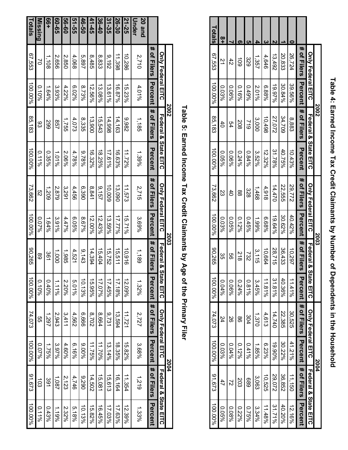|                 |                          |          | 2002                 |                      |                          |           | <b>2003</b> |            |                          | 2004           |                                 |                |
|-----------------|--------------------------|----------|----------------------|----------------------|--------------------------|-----------|-------------|------------|--------------------------|----------------|---------------------------------|----------------|
|                 | <b>Only Federal EITC</b> |          | Federal & State EITC |                      | <b>Only Federal EITC</b> |           | Federal &   | State EITC | <b>Only Federal EITC</b> |                | <b>Federal &amp; State EITC</b> |                |
|                 | # of Filers              | Percent  | # of Filers          | Percent              | # of Filers              | Percent   | # of Filers | Percent    | # of Filers              | <b>Percent</b> | # of Filers                     | <b>Percent</b> |
| 20 and<br>Under | 2,710                    | 4.01%    | 1,185                | 1.39%                | 2,715                    | 3.69%     | 1,189       | 1.32%      | 2,727                    | 3.68%          | 1,219                           | 1.33%          |
| 21-25           | 10,286                   | 15.23%   | 3,982                | 11.72%               | 11,573                   | $15.71\%$ | 10,916      | 12.09%     | 11,721                   | 15.82%         | 11,354                          | 12.39%         |
| 26-30           | 11,398                   | 16.87%   | 14,163               | 16.63%               | 13,090                   | 17.77%    | 15,511      | 17.18%     | 13,594                   | 18.35%         | 16, 164                         | 17.63%         |
| 31-35           | 9,192                    | 13.61%   | 14,998               | 17.61%               | 10,009                   | 13.59%    | 15,752      | 17.45%     | 9,731                    | 13.14%         | 15,613                          | 17.03%         |
| 36-40           | 8,833                    | 13.08%   | 15,543               | 18.25%               | 9,157                    | 12.43%    | 15,404      | 17.07%     | 8,664                    | 11.70%         | 15,081                          | 16.45%         |
| $41 - 45$       | 8,485                    | 12.56%   | 13,900               | 16.32%               | 8,841                    | 12.00%    | 14,394      | 15.95%     | 8,702                    | $11.75\%$      | 14,502                          | 15.82%         |
| 46-50           | 5,897                    | 8.73%    | 8,335                | %82.6                | 6,390                    | 8.67%     | 9,143       | 10.13%     | 999'9                    | 9,00%          | 0676                            | 10.13%         |
| 51-55           | 4,068                    | 6.02%    | 4,073                | 4.789%               | 4,456                    | 9690'9    | 4,521       | 5.01%      | 4,562                    | 9/16%          | 4,746                           | 5.18%          |
| 09-95           | 2,850                    | 4.22%    | 1,755                | 2.06%                | 3,291                    | 4.47%     | 1,985       | 2.20%      | 3,411                    | 4.60%          | 2,123                           | 2.32%          |
| თ-65<br>მ       | 2.656                    | 3.93%    | 257                  | 1.01%                | 2,879                    | 3.91%     | 1,000       | $1.11\%$   | 2,943                    | 3.97%          | 1,087                           | 1.19%          |
| <b>99+</b>      | 1,108                    | 1.64%    | 599                  | 0.35%                | 1,209                    | $1.64\%$  | 361         | 0.40%      | 1.297                    | 1.7596         | 391                             | 0.43%          |
| Missing         | S                        | $0.10\%$ | 83                   | $0.11\%$             | ςg                       | 962010    | 89          | $0.10\%$   | 9g                       | 9620'0         | $\frac{1}{2}$                   | $0.11\%$       |
| Totals          | 67,553                   | 100.00%  | 85,183               | $\frac{100.00\%}{1}$ | 73,662                   | 100.00%   | 90,265      | $100.00\%$ | 74,073                   | 100.00%        | 91,673                          | $100.00\%$     |

|               |                          |          | 2002                 |         |                          |                | 2002                       |                        |                          | 2004           |                                 |           |
|---------------|--------------------------|----------|----------------------|---------|--------------------------|----------------|----------------------------|------------------------|--------------------------|----------------|---------------------------------|-----------|
|               | <b>Only Federal EITC</b> |          | Federal & State EITC |         | <b>Only Federal EITC</b> |                | <b>Federal &amp; State</b> | EITC                   | <b>Only Federal EITC</b> |                | <b>Federal &amp; State EITC</b> |           |
|               | # of Filers Percent      |          | # of Filers          | Percent | # of Filers              | <b>Percent</b> | # of Filers Pe             | rcenn                  | # of Filers              | <b>Percent</b> | i # of Filers   Percen          |           |
|               | 26,724                   | 39.56%   | 883                  | 10.43%  | 29,772                   | 40.42%         | 10,297                     | $41\%$                 | 30,525                   | 41.21%         | 11,150                          | 12.16%    |
|               | 20,833                   | 30.84%   | 34,709               | 40.75%  | 22,555                   | 30.62%         | 36,433                     | $\overline{40}$<br>36% | 22.385                   | 30.22%         | 36,852                          | 40.20%    |
|               | 13,492                   | 19.97%   | 27,072               | 31.78%  | 14,470                   | 49.64%         | 28,715                     | بہ<br>$1.81\%$         | 14,740                   | 19.90%         | 20'012                          | 31.71%    |
|               | 4,646                    | 6.88%    | 10,498               | 12.32%  | 4,918                    | %89.9          | 10,664                     | $1.81\%$               | 4,613                    | 6.23%          | 10,525                          | $11.48\%$ |
|               | 1,357                    | 2.01%    | 3,000                | 3.52%   | 1,468                    | 1.99%          | 3,115                      | Ģο<br>%9r'             | 1,370                    | $1.85\%$       | 3,063                           | 3.34%     |
|               | 329                      | 9,660    | 612                  | 0.84%   | 328                      | $0.45\%$       | 732                        | $.81\%$                | 304                      | $0.41\%$       | 689                             | %92.0     |
|               | $\overline{5}$           | $0.16\%$ | 208                  | 0.24%   | 88                       | $0.12\%$       | 812                        | 0.24%                  | 8                        | $0.12\%$       | 203                             | 0.22%     |
|               | 42                       | 0.06%    | 54                   | 0.06%   | $rac{4}{5}$              | $0.05\%$       | 9g                         | $\circ$<br>6%%         | တ္တ                      | 0.04%          | 2                               | 0.08%     |
| $\frac{8}{1}$ | $\overline{2}$           | 0.03%    | $rac{4}{\sqrt{2}}$   | 9690'0  | S3                       | 0.03%          | ပ္ပ                        | 0.04%                  | 24                       | 0.03%          | 47                              | 9690'0    |

**Table 4: Earned Income Tax Credit Claimants by Number of Dependents in the Household**

Table 4: Earned Income Tax Credit Claimants by Number of Dependents in the Household

# Table 5: Earned Income Tax Credit Claimants by Age of the Primary Filer **Table 5: Earned Income Tax Credit Claimants by Age of the Primary Filer**

**Totals**

67,553

100.00% 100.00%

85,183

100.00% 100.00%

73,662

100.00% 100.00%

90,265

100.00% 100.00%

74,073

100.00% 100.00%

91,673

100.00%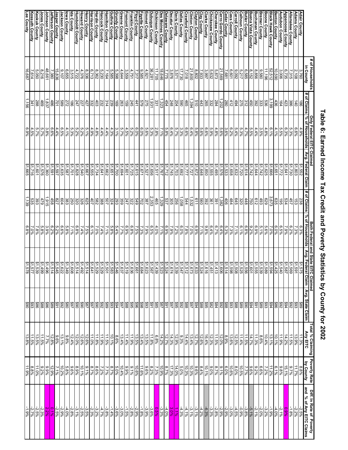## Appanoose County<br>Audubon County<br>Benton County<br>Black Hawk County **Adair County<br>Adams County Lee County** Johnson County<br>Jones County<br>Keokuk County<br>Kossuth County **Kossuth County Keokuk County Jones County Johnson County Jefferson County Jasper County Jackson County Iowa County Ida County Humboldt County Howard County Henry County Harrison County Hardin County Hancock County Hamilton County Guthrie County Grundy County Greene County Fremont County Franklin County Floyd County Fayette County Emmet County** <u>Davis County</u><br>Deaatur County<br>Des Moines County<br>Dickinson County<br><u>Dubuque County</u> **Dubuque County Dickinson County Des Moines County Delaware County Decatur County Davis County Dallas County** Cherokee County<br>Clarke County<br>Clayton County<br>Clayton County<br>Crawford County<br>Crawford County **Crawford County Clinton County Clayton County Clay County Clarke County Chickasaw County Cherokee County Cerro Gordo County Cedar County Cass County Carroll County Calhoun County Butler County Buena Vista County Buchanan County Bremer County Boone County Black Hawk County Benton County Audubon County Appanoose County Allamakee County Adams County Adair County** da County<br>owa County<br>owa County **Howard County<br>Humboldt County** Emmet County<br>Finance County<br>Finance County<br>Finance County<br>Temmet County<br>Tamilton County<br>Harrison County<br>Harrison County<br>Herrison County<br>Herrison County Butler County<br>Calhoun County<br>Carroll County Boone County<br>Bremer County<br><u>Buchanan County</u> **Allamakee County** ee County nena Vista County efferson County sper County erro Gordo County edar County **Sury County Nuno<sub>3</sub>** sse as County # of Households<br>in County **# of Households** 4,722 6,585 16,687 48,661<br>8,216 3,876<br>1,775 18,646<br>1,775 1981<br>1,921 21,69<br>20,639<br>20,639<br>20,639<br>20,638 5,632<br>20,642 5,63 10,590<br>52,512 3,006 7,380 6,655<br>9,107<br>15,836 3,515 4,376 5,585 17,730<br>3,571 8,152  $\frac{11,196}{8,856}$ 6,735 5,050<br>7,614 8,336 7,16<br>16,186<br>16,190 4,644<br>5,398 9,<u>717 4,89</u><br>9,31<u>7 7,5</u><br>9,559 5,218<br>2009<br>5,091 7,091 7,315  $\frac{3,760}{2,108}$ **# of Claims**1,1561<br>331<br>331 265<br>2654<br>2654<br>265 1,2021643<br>1856<br>1856<br>1856 l,837 2392631,931204312468<br>988 1<u>8628</u><br>1862 403<br>3032227<br>247 314<br>232 169159579<br>441 275248<br>454 284<br>284 <u>취님</u><br>4 275386<br>423 14<br>140 186245Only Federal EITC Claimed **Only Federal EITC Claimed % of Households**  $\frac{3.7\%}{4.7\%}$  3.1% 5.7% 6.6% 5.6% 5.5% 6.3% 5.3% 4.1% 6.5% 4.4% 6.6% 3.8% 5.7% 5.7% 4.5% 6.9%5.1%<br>5.2%<br>5.2%  $\frac{4.3\%}{4.4\%}\frac{4.4\%}{8.8\%}$  5.7% 6.4% 5.8% 7.1% 2.8% 5.3% 5.6% 6.0% 6.0% 5.2% 4.5%4.8%<br>0.6.6%<br>0.6% 5.8% 5.3% 5.<br>9.3% 5.6%<br>9.6% 5.6% 4.4%<br>5.5% 4.1% 6.1%<br>1.1% 6.1%<br>3.5% 6.6% 4.9% 5.3% 3.3%**Avg. Federal Clai** \$1,665 \$1,703 \$1,651 \$1,662 \$1,641 \$1,734 \$1,555 \$1,667 \$1,540 \$1,828 \$1,701 \$1,587 \$1,635 \$1,597 \$1,591 \$1,360 \$1,576 \$1,601 \$1,716\$1,694<br>\$1,700 \$1,671<br>\$1,615<br>\$1,601<br>\$1,601 \$1,745<br>81,716<br>81,767<br>\$1,656 \$1,692\$1,495<br>\$1,656<br>\$1,777<br>\$1,777 \$1,632<br>1,658<br>81,583<br>\$1,576 \$1,614 $\frac{51,644}{51,742}$ \$1,666<br>\$1,625<br>\$1,742 \$1,772 \$1,641 \$1,803 \$1,552 \$1,730**m # of Claims**1,515 39<br>1,515 39<br>1,513 458 1,329 465 2,353 387 702 549 322 247 359 293 $1,532$ <br> $544$  320 645 484 406 1,382 391 361 392 560 611196 62<br>196 639 <mark>4</mark><br>196 63 448 $\frac{258}{88}$ 32 32 32 32 32 32 25<br>358 5 1,058 534 45753 238 **% of Households** Both Federal and State EITC Claimed  **Both Federal and State EITC Claimed** 6.8% 6.8% 6.5% 5.4% 7.7%6.2%<br>5.8% 7.0%<br>6.8% 7.0% 7.1% 5.8%<br>1.8% 6.8%<br>1.8% 6.8% 5.8% 7.1% 7.1% 7.1%<br>7.1% 7.1% 7.1% 7.1%<br>7.1% 7.1% 7.1% 7.2% 7.9% 6.9% 7.1% 4.0% 6.5% 7.9% 7.3% 7.5% 6.8% 6.9%6.4% 7.1% 9.8%<br>0.8% 7.0% 8.9%<br>0.9% 7.1% 7.0% 6.7%<br>6.7% 6.1% 7.1% 7.3% 5.3%6.9%<br>% 9.2% 6.0% 7.0% 5.6% 5.1% 7.9% 6.2% 7.3% 6.3%**Avg. Federal Clai** \$1,514 \$1,637 \$1,540 \$1,578 \$1,496 \$1,492 \$1,623 \$1,547 \$1,606 \$1,514 \$1,55681,499<br>81,539<br>81,577 \$1,808<br>\$1,622<br>\$1,622<br>\$1,514 \$1,583<br>\$1,529<br>\$1,529<br>\$1,514 \$1,546\$1,684<br>\$1,636<br>\$1,519 \$1,539<br>\$1,524<br>\$1,523<br>\$1,567 \$1,413<br>\$1,451 \$1,623<br>\$1,616 \$1,623<br>\$1,512<br>\$1,512 \$1,525<br>\$1,508<br>\$1,598 \$1,425<br>\$1,589<br>\$1,589<br>\$1,601<br>\$1,601 \$1,587 \$1,569 \$1,591 \$1,575**m** | Avg. State Claim **Avg. State Claim** \$89 \$88 \$93 \$88 \$92 \$84 \$82 \$95 \$88 \$94 \$97 \$88 \$92 \$95 \$97 \$91 \$87 \$85 \$91 \$93 \$98 \$96 \$95 \$88 \$97 \$94 \$93 \$89 \$92 \$90 \$97 \$87 \$90 \$90 \$97 \$80 \$92 \$91 \$89 \$86 \$88 \$86 \$93 \$90898 898 898 898 898<br>898 898 898 898 898 Total % Claiming<br>Any EITC **Total % Claiming Poverty Rate** 12.0% 12.9% 14.4% 11.5% 11.9% 11.5%<br>11.5%<br>13.5% 12.8%  $\frac{12.4\%}{\frac{9.8\%}{13.1\%}}$ 12.6%<br>12.6% 11.5 11.<br>9 10.0%<br>9 10.0% 10.1% 8.6% 13.4% 11.4%  $\frac{13.4\%}{11.9\%}$  13.5% 11.8%  $\frac{14.3\%}{12.7\%}\times$ <br>  $\frac{12.7\%}{6.8\%}$  9.3% 11.5%<br>11.5% 12.7%<br>12.7% 12.7%<br>13.4% 12.0% 8.9% 11.4%<br>12.5%<br>13.6%  $\frac{11.3\%}{14.7\%}$ 10.1% 10.4%<br>10.4% 10.4% 11.3%<br>23.9% 7.7% 14.2% 11.5% l Poverty Rate<br>| by County<br>| by County **by County**8.9%5.0%10.4%9.6%9.8%12.9%<br>12.9%<br>12.9%<br>11.9%  $\frac{5.8\%}{7.1\%}$ 9.6%8.7%<br>2.7%7.8%8.8%<br>10.1%9.1% 11.6%<br>19.6%<br>19.9% 14.0%<br>17.3%<br>8.2%<br>8.2% 5.0%9.1%8.7%9.0%10.1%8.4%9.6%10.3%10.3%10.8%<br>10.6%<br>10.0% 6.1%<br>6.1%12%<br>1.2%7.2%<br>6.1%7% 15.1%9.7%8%<br>%7% Diff. In Rate of Poverty<br>and % of An<u>y EITC Claims</u>  **and % of Any EITC Claims Diff. In Rate of Poverty**  -4.1% 0.1%<br>|<mark>2.2%</mark><br>|2.7% لا إمام<br>الأواج<br>الأواج -1.4% -3.8% -4.7% -3.2% -2.3% -3.5% -2.5% -3.1% -3.0% -3.6% 0.<mark>5%</mark><br>| 9.6%|<br>| 9.8%|<br>| 9.8%|  $\frac{3.0\%}{3.3\%}$  $\frac{4.3\%}{1.1\%}$ -2.1% -2.9%<br>-2.9% -2.9% -2.9% -2.9% -3.9% -3.9% -3.9%<br>-2.9% -2.9% -2.9% -2.9% -3.9% -3.9% -3.9% -3.1% -1.8% -2.2% -1.9% 0.9%

## Table 6: Earned Income Tax Credit and Poverty Statistics by County for 2002 **Table 6: Earned Income Tax Credit and Poverty Statistics by County for 2002**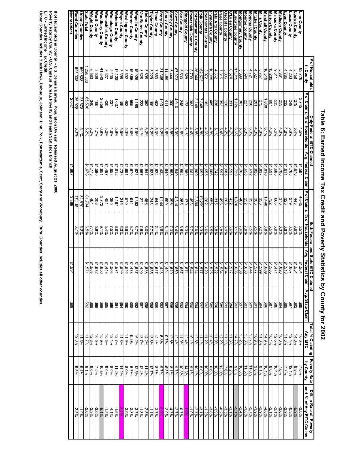|                                             | # of Households        |                                          | Only Federal EITC Claimed     |                                                                  |                     | Both Federal and State                                                                                                                                                                                                                                          | <b>EITC Claimed</b>                      |                          |                                                      |                                                     |                                                        |
|---------------------------------------------|------------------------|------------------------------------------|-------------------------------|------------------------------------------------------------------|---------------------|-----------------------------------------------------------------------------------------------------------------------------------------------------------------------------------------------------------------------------------------------------------------|------------------------------------------|--------------------------|------------------------------------------------------|-----------------------------------------------------|--------------------------------------------------------|
|                                             | in County              |                                          | # of Claims   % of Households | Avg. Federal Claim                                               |                     | , sp ouesnoH }o % suueD }o #                                                                                                                                                                                                                                    | Avg. Federal Claim                       |                          | <sup>r</sup> otal % Claiming<br>Any EITC<br>Any EITC | Poverty Rate<br>by County                           | Diff. In Rate of  Poverty<br>and  % of Any EITC Claims |
| inn County                                  | 83,776                 | 3,745                                    | 4.5%                          | \$1,584                                                          | 4,645               |                                                                                                                                                                                                                                                                 |                                          |                          |                                                      |                                                     |                                                        |
|                                             | 5,158                  | 279                                      | $\frac{5.4\%}{5.8\%}$         |                                                                  | 443                 | 5.5%<br>8.6%<br>6.5%                                                                                                                                                                                                                                            | $\frac{199}{109}$                        |                          |                                                      | $\frac{7.0\%}{8.8\%}$<br>12.1%                      |                                                        |
| <u>Louisa County</u><br>Lucas County        | 4,263                  | 249                                      |                               | $\frac{$1,676}{$1,768}$                                          | 623                 |                                                                                                                                                                                                                                                                 |                                          |                          | $\frac{10.0\%}{14.0\%}$                              |                                                     | ပ္ပုံရာရာ<br>၁၀ ၁၉ ခုနှစ်<br>၁၉ ၁၉ ခုနှစ်              |
| yon County                                  | 4,785                  |                                          | 4.8%                          | \$1,611                                                          | 323                 | $6.8\%$                                                                                                                                                                                                                                                         |                                          |                          | 11.6%                                                | 7.7%                                                |                                                        |
| ladison County                              | 5,861                  | 232<br>253                               | $4.3\%$                       | \$1,706                                                          | 370                 | 6.3%                                                                                                                                                                                                                                                            | $513$<br>$-520$                          |                          | $-69.6$                                              | 7.0%                                                |                                                        |
| lahaska County                              | 9,611                  | 535                                      | $5.6\%$                       | \$1,685                                                          | 999                 | 6.9%                                                                                                                                                                                                                                                            | 471                                      |                          | 12.5%                                                | 10.4%                                               | $-2.1%$                                                |
| larion County                               | 13,233                 | <b>202</b>                               | 4.6%                          | \$1,591                                                          | 732                 | 5.5%                                                                                                                                                                                                                                                            | ,505                                     |                          | 10.1%                                                | 8.0%                                                | $-2.1%$                                                |
| larshall County                             | 16,519                 | ,008                                     | 6.1%                          | \$1,810                                                          | 448                 | 8.8%                                                                                                                                                                                                                                                            |                                          |                          | $14.9\%$                                             | 10.1%                                               | $-4.8%$                                                |
| lills County                                | 5,757                  | 275                                      | 4.8%                          | \$1,837                                                          | 358                 | 6.2%                                                                                                                                                                                                                                                            |                                          |                          | 11.0%                                                | 8.1%                                                | -2.9%                                                  |
| litchell County                             |                        |                                          | $4.3\%$                       | \$1,828                                                          | 303                 | $6.5\%$                                                                                                                                                                                                                                                         | 1988119891<br> 1982  1981<br> 1982  1981 |                          | $10.9\%$                                             |                                                     | $-1.9%$                                                |
| onona County                                | $\frac{4,627}{4,721}$  |                                          | 6.3%                          | \$1,612                                                          |                     | 7.5%                                                                                                                                                                                                                                                            |                                          |                          | 13.7%                                                |                                                     | $-2.7%$                                                |
| <b>Ionroe County</b>                        |                        | $\frac{201}{225}$<br>$\frac{296}{203}$   | 6.3%                          | \$1,658                                                          | $\frac{353}{252}$   | 7.0%                                                                                                                                                                                                                                                            |                                          |                          | 13.3%                                                |                                                     | $-1.8%$                                                |
| ontgomery County                            | $\frac{3,594}{5,399}$  |                                          | 5.6%                          | \$1,763                                                          | 409                 | 7.6%                                                                                                                                                                                                                                                            |                                          |                          | $\frac{13.2%}{14.7%}$                                |                                                     |                                                        |
| uscatine County                             | 17,015                 | 1,126                                    | 6.6%                          | \$1,720                                                          | 1,370               |                                                                                                                                                                                                                                                                 |                                          |                          |                                                      |                                                     |                                                        |
| <b>Brien County</b>                         | 6,574                  | 311                                      | 4.7%                          | \$1,591                                                          | 432                 | $\frac{8.1\%}{6.9\%}\$                                                                                                                                                                                                                                          |                                          |                          | $1.3\%$                                              | 9.0%<br>11.15.8%<br>10.8%<br>10.0% 10.0%<br>10.0%   |                                                        |
| <b>Sceola County</b>                        | 3,006                  | 126                                      | 4.2%                          | \$1,685                                                          | 208                 |                                                                                                                                                                                                                                                                 |                                          |                          |                                                      |                                                     |                                                        |
|                                             | 7,315                  | 393<br>238                               | 5.4%                          | \$1,597                                                          | $rac{496}{315}$     | 6.8%<br>0.8%                                                                                                                                                                                                                                                    | $\frac{11.5}{1.528}$                     |                          | $\frac{11.1\%}{12.2\%}$                              |                                                     |                                                        |
| 'age County<br>'alo Alto County             | 4,662                  |                                          | $-61.9$                       | \$1,742                                                          |                     |                                                                                                                                                                                                                                                                 |                                          |                          |                                                      |                                                     |                                                        |
| <b>ymouth County</b>                        | 10,095                 | 489                                      | 4.8%                          | \$1,606                                                          | 556                 |                                                                                                                                                                                                                                                                 |                                          |                          | $\frac{10.4\%}{11.1\%}$                              |                                                     | $-3.8\%$                                               |
| ocahontas County                            | 3,972                  | $\frac{182}{18}$                         | $4.6\%$                       | \$1,655                                                          | 262                 | $6.6\%$                                                                                                                                                                                                                                                         | ,620                                     |                          |                                                      |                                                     |                                                        |
| olk County                                  | 162,573                | 7,848                                    | $4.8\%$                       | \$1,690                                                          | 10,269              | $6.3\%$                                                                                                                                                                                                                                                         | <b>ZZS</b>                               |                          |                                                      |                                                     |                                                        |
| ottawattamie County                         | 36,944                 | 2,149                                    | $5.8\%$                       | \$1,809                                                          | 2,594               | $7.0\%$                                                                                                                                                                                                                                                         |                                          |                          |                                                      |                                                     |                                                        |
| oweshiek County                             |                        |                                          | 4.4%                          | \$1,661                                                          | 498                 | 5.7%                                                                                                                                                                                                                                                            |                                          |                          |                                                      |                                                     |                                                        |
| inggold County                              |                        |                                          | 6.1%                          | \$1,960                                                          |                     |                                                                                                                                                                                                                                                                 |                                          |                          |                                                      |                                                     |                                                        |
|                                             |                        | $\frac{383}{173}$<br>$\frac{248}{4,010}$ | 4.5%<br>6.0%                  |                                                                  | 355                 |                                                                                                                                                                                                                                                                 |                                          |                          |                                                      |                                                     |                                                        |
|                                             |                        |                                          |                               |                                                                  | 4,314               | $\begin{array}{r l}\n & 0 & 0 & 0 & 0 \\  & 0 & 0 & 0 & 0 & 0 \\  & 0 & 0 & 0 & 0 & 0 & 0 \\  & 0 & 0 & 0 & 0 & 0 & 0 & 0 \\  & 0 & 0 & 0 & 0 & 0 & 0 & 0 & 0 \\  & 0 & 0 & 0 & 0 & 0 & 0 & 0 & 0 & 0 \\  & 0 & 0 & 0 & 0 & 0 & 0 & 0 & 0 & 0 & 0\n\end{array}$ |                                          |                          |                                                      |                                                     |                                                        |
| Sac County<br>Stelby County<br>Sioux County |                        | 300                                      | $5.5\%$                       | $\begin{array}{r} 61,594 \\ 81,849 \\ \hline 81,598 \end{array}$ | 396                 |                                                                                                                                                                                                                                                                 |                                          |                          |                                                      |                                                     |                                                        |
|                                             |                        | 411                                      | 3.6%                          |                                                                  |                     | 6.1%                                                                                                                                                                                                                                                            |                                          |                          |                                                      |                                                     |                                                        |
| <b>Story County</b><br>Tama County          |                        |                                          |                               | 81,434<br>\$1,624                                                | $\frac{1,144}{545}$ | $\frac{3.6\%}{7.1\%}$                                                                                                                                                                                                                                           |                                          |                          |                                                      |                                                     |                                                        |
|                                             |                        |                                          |                               |                                                                  |                     |                                                                                                                                                                                                                                                                 |                                          |                          |                                                      |                                                     |                                                        |
| aylor County                                |                        | $\frac{1}{36}$                           | 999888                        | \$1,825                                                          | 456<br>248          |                                                                                                                                                                                                                                                                 |                                          |                          |                                                      |                                                     |                                                        |
| nion County                                 |                        |                                          |                               | \$1,541                                                          |                     |                                                                                                                                                                                                                                                                 | ↮                                        |                          |                                                      |                                                     |                                                        |
| <b>Vapello County</b><br>an Buren County    | $\frac{3,628}{15,925}$ | $\frac{223}{1,189}$                      | $\frac{6.1\%}{7.5\%}$         | \$1,567<br>\$1,621                                               | 274<br>1,393        |                                                                                                                                                                                                                                                                 |                                          |                          |                                                      | $\frac{12.4\%}{12.5\%}$                             | $\frac{1.3\%}{-3.7\%}$                                 |
| Varren County                               | 15,865                 | 595                                      | $3.8\%$                       | \$1,670                                                          | $-116$              | 5.7%                                                                                                                                                                                                                                                            | ↮                                        |                          |                                                      |                                                     |                                                        |
| /ashington County                           | 8,692                  | 462                                      | 5.3%                          | \$1,691                                                          | 029                 | $6.6\%$                                                                                                                                                                                                                                                         | ↔<br>$9 + 24$                            |                          | 966'11<br>969'6                                      | $\frac{\frac{5.7\%}{8.0\%}}{\frac{11.2\%}{11.2\%}}$ | $\frac{3.8\%}{3.9\%}\sqrt[3]{\frac{2.4\%}{1.5\%}}$     |
| Vayne County                                | 3,398                  | 186                                      | 5.5%                          | \$1,733                                                          | 215                 | $6.3\%$                                                                                                                                                                                                                                                         | ↮<br>1299<br>1799                        |                          | 11.8%                                                |                                                     |                                                        |
| Vebster County                              | 17,128                 | 1,007                                    | 5.9%                          | \$1,812                                                          | 191'                | $6.8\%$                                                                                                                                                                                                                                                         |                                          |                          | 12.7%                                                |                                                     |                                                        |
| Vinnebago County                            | 5,135                  | 237                                      | 4.6%                          | \$1,658                                                          | 385                 | 7.5%                                                                                                                                                                                                                                                            | $\frac{503}{448}$                        |                          | $\frac{12.1%}{10.5%}$                                | 8.0%<br>9.0%                                        | $-4.1%$                                                |
| Vinneshiek County                           | 8,327                  | 420                                      | 5.0%                          | \$1,467                                                          | 451                 | 5.4%                                                                                                                                                                                                                                                            |                                          | $\frac{8888822}{888822}$ |                                                      |                                                     | $-1.5%$                                                |
| Voodbury County                             | 41,643                 | 2,858                                    | %6'9                          | \$1,851                                                          | 3,772               | $9.1\%$                                                                                                                                                                                                                                                         | ↮                                        |                          | 15.9%                                                | $\frac{10.8\%}{7.5\%}$                              |                                                        |
| Vorth County                                | 3,539                  | 991                                      | 4.7%                          | 069'1\$                                                          | 206                 | 5.8%                                                                                                                                                                                                                                                            | မ္မာမ္း<br>$\frac{11800}{18021}$         |                          | $0.5\%$                                              |                                                     |                                                        |
| Wright County                               | 6,563                  | 340                                      | 5.2%                          | \$1,775                                                          | 464                 | 7.1%                                                                                                                                                                                                                                                            |                                          |                          | $12.3\%$                                             |                                                     |                                                        |
| <b>State Total</b>                          | 258,836                | 65,506                                   | 5.2%                          | 81,678                                                           | 81,794              | 6.5%                                                                                                                                                                                                                                                            |                                          |                          | $1.7\%$                                              | $\frac{9.0\%}{9.1\%}$                               | - 1998<br>- 1998<br>- 1998<br>- 1998                   |
| Jrban Counties                              | 560,828                | 28,578                                   | $5.1\%$                       |                                                                  | 34,679              | 6.2%                                                                                                                                                                                                                                                            |                                          |                          | 1.3%                                                 |                                                     |                                                        |
| Rural Counties                              | 698,008                | 36,928                                   | 5.3%                          |                                                                  | 47,115              | 6.7%                                                                                                                                                                                                                                                            |                                          |                          | 2.0%                                                 | $9.5\%$                                             | $-2.5%$                                                |
| Nonresident                                 |                        | 2,047                                    |                               | \$1,667                                                          | 3,389               |                                                                                                                                                                                                                                                                 | 594                                      | 86\$                     |                                                      |                                                     |                                                        |

## Table 6: Earned Income Tax Credit and Poverty Statistics by County for 2002 **Table 6: Earned Income Tax Credit and Poverty Statistics by County for 2002**

# of Households in County - U.S. Census Bureau, Population Division, Released August 21, 2006<br>Poverty Rate by County - U.S. Census Bureau, Poverty and Health Statistics Branch<br>EITC - Earned Income Tax Credit<br>Urban Counties **Poverty Rate by County - U.S. Census Bureau, Poverty and Health Statistics Branch # of Households in County - U.S. Census Bureau, Population Division, Released August 21, 2006**

**Urban Counties includes Black Hawk, Dubuque, Johnson, Linn, Polk, Pottawattamie, Scott, Story and Woodbury. Rural Counties inc**

**ludes all other counties.**

**EITC - Earned Income Tax Credit**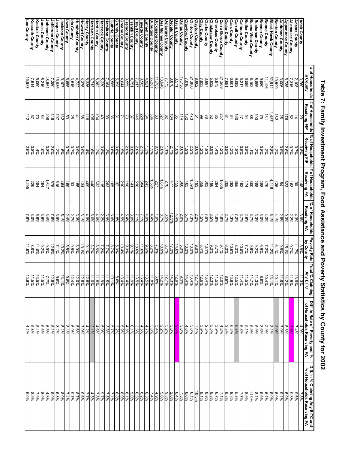|                                                 | in County                                       | # of Households   # of Households  % of Households<br>Receiving FIP | Receiving FIP                                                                                                                                        | # of Households<br>Receiving FA                                                                                                              | % of Households<br>Receiving FA               |                        | Poverty Rate Total % Claiming<br>by County   Any EITC                                                                                                                                                                                                                                                                                                                                    | Diff. In Rate of Poverty and %<br>of Households Receiving FA | Diff. In % Claiming Any EITC and<br>% of Households Receiving FA                                                     |
|-------------------------------------------------|-------------------------------------------------|---------------------------------------------------------------------|------------------------------------------------------------------------------------------------------------------------------------------------------|----------------------------------------------------------------------------------------------------------------------------------------------|-----------------------------------------------|------------------------|------------------------------------------------------------------------------------------------------------------------------------------------------------------------------------------------------------------------------------------------------------------------------------------------------------------------------------------------------------------------------------------|--------------------------------------------------------------|----------------------------------------------------------------------------------------------------------------------|
|                                                 | 3,760                                           | 29                                                                  | $0.8\%$                                                                                                                                              | 148                                                                                                                                          | 3.9%                                          | $8.8\%$                |                                                                                                                                                                                                                                                                                                                                                                                          | 4.9%                                                         | 7.3%                                                                                                                 |
| Adair County<br>Adams County                    | 2,108                                           |                                                                     | 0.7%                                                                                                                                                 | 80                                                                                                                                           |                                               | 11.7%                  |                                                                                                                                                                                                                                                                                                                                                                                          | 7.4%<br><mark>7.5%</mark><br>5.8%                            | $9.6\%$                                                                                                              |
| Allamakee County                                | 6,735<br>7,315                                  |                                                                     | 2.6%<br>0.7%                                                                                                                                         | 63                                                                                                                                           |                                               | 15.1%<br>$9.7\%$       |                                                                                                                                                                                                                                                                                                                                                                                          |                                                              | 5.0%<br>$9.3\%$                                                                                                      |
| <b>Appanoose County<br/>Audubon County</b>      | 3,006                                           |                                                                     | $0.9\%$                                                                                                                                              | $\frac{623}{84}$                                                                                                                             | 4   2  2  2 <br>  2  2  3  2 <br>  2  2  2  2 | 9.8%                   |                                                                                                                                                                                                                                                                                                                                                                                          | 7.0%                                                         | $9.1\%$                                                                                                              |
| <b>Benton County<br/>Black Hawk County</b>      | $\frac{10,590}{52,512}$                         |                                                                     |                                                                                                                                                      |                                                                                                                                              | $\frac{4.1\%}{8.1\%}$                         | 6.1%                   |                                                                                                                                                                                                                                                                                                                                                                                          | 2.0%                                                         | 8.0%<br>8.0%                                                                                                         |
| Boone County                                    | 11,196                                          |                                                                     |                                                                                                                                                      |                                                                                                                                              |                                               | 7.2%<br>11.2%          |                                                                                                                                                                                                                                                                                                                                                                                          | 3.1%                                                         | $6.1\%$                                                                                                              |
| <b>Bremer County</b>                            | 9,580                                           |                                                                     |                                                                                                                                                      |                                                                                                                                              |                                               |                        |                                                                                                                                                                                                                                                                                                                                                                                          | $\frac{2.9\%}{3.6\%}$                                        | 5.6%                                                                                                                 |
| Buchanan County                                 | 8,856                                           |                                                                     | 1.2%                                                                                                                                                 |                                                                                                                                              |                                               | 8.6%                   |                                                                                                                                                                                                                                                                                                                                                                                          | $5.9\%$                                                      | $8.1\%$                                                                                                              |
| Buena Vista County<br>Butler County             | $\frac{8,152}{6,585}$                           |                                                                     | $0.8\%$<br>1.196                                                                                                                                     | $\frac{436}{1248}$ $\frac{4748}{1288}$ $\frac{88}{1248}$ $\frac{1248}{124}$                                                                  | 4 ယ ယ ယ ပ <br>သ  ပ လ  ပ  ပ<br> အ  အ  အ  အ     | $9.6\%$<br>7.7%        | $\frac{11}{12} \frac{2}{12} \frac{1}{8} \frac{2}{8} \frac{1}{8} \frac{2}{8} \frac{1}{8} \frac{2}{8} \frac{1}{8} \frac{2}{8} \frac{1}{8} \frac{2}{8} \frac{1}{8} \frac{2}{8} \frac{1}{8} \frac{2}{8} \frac{1}{8} \frac{2}{8} \frac{1}{8} \frac{2}{8} \frac{1}{8} \frac{2}{8} \frac{1}{8} \frac{2}{8} \frac{1}{8} \frac{2}{8} \frac{1}{8} \frac{2}{8} \frac{2}{8} \frac{2}{8} \frac{2}{8}$ | 5.9%<br>5.1%                                                 | 11.0%                                                                                                                |
| <b>Calhoun County</b>                           | 5,217                                           |                                                                     | $0.9\%$                                                                                                                                              |                                                                                                                                              |                                               | 10.5%                  |                                                                                                                                                                                                                                                                                                                                                                                          | 6.8%                                                         | 7.7%<br>8.9%                                                                                                         |
| Carroll County                                  | 9,092                                           |                                                                     | $1.8\%$                                                                                                                                              | $\frac{192}{85225}$                                                                                                                          | $3.7\%$<br>7.2%                               | $8.0\%$                | $\frac{11.4\%}{12.5\%}$                                                                                                                                                                                                                                                                                                                                                                  |                                                              | 5.3%                                                                                                                 |
| <b>Cass County</b>                              | 6,601                                           |                                                                     | 1.3%                                                                                                                                                 |                                                                                                                                              | $\frac{4.3\%}{2.7\%}$                         | 10.6%                  |                                                                                                                                                                                                                                                                                                                                                                                          |                                                              |                                                                                                                      |
| Cedar County                                    | 7,681                                           |                                                                     | $0.8\%$                                                                                                                                              |                                                                                                                                              |                                               | 8.0%                   |                                                                                                                                                                                                                                                                                                                                                                                          |                                                              | 9.3%<br>6.3%<br>9.3%                                                                                                 |
| Cerro Gordo County                              | 21,569<br>5,873                                 |                                                                     | 1.4%<br>1.2%                                                                                                                                         |                                                                                                                                              | 4.9%                                          | $8.7\%$<br>$9.1\%$     |                                                                                                                                                                                                                                                                                                                                                                                          |                                                              | 6.7%                                                                                                                 |
| Cherokee County<br>Chickasaw County             | 5,632                                           |                                                                     | 0.9%                                                                                                                                                 |                                                                                                                                              | $\frac{4.8\%}{3.5\%}$                         | $9.0\%$                |                                                                                                                                                                                                                                                                                                                                                                                          |                                                              | 8.8%                                                                                                                 |
| <b>Clarke County</b>                            |                                                 |                                                                     |                                                                                                                                                      |                                                                                                                                              |                                               | $\frac{10.1\%}{8.4\%}$ |                                                                                                                                                                                                                                                                                                                                                                                          |                                                              | 8.9%                                                                                                                 |
| Clay County<br>Clayton County<br>Clinton County | $\frac{3.997}{7.933}$<br>$\frac{8.802}{21.800}$ |                                                                     | $\begin{array}{c c c c} + & 0 & 0 & 0 & 0 \\ \hline 1 & 0 & 0 & 0 & 0 \\ \hline 0 & 0 & 0 & 0 & 0 \\ \hline 0 & 0 & 0 & 0 & 0 \\ \hline \end{array}$ |                                                                                                                                              | $\frac{7.68}{2.298}$<br>2.22%<br>7.3%         |                        |                                                                                                                                                                                                                                                                                                                                                                                          | $\frac{2.5988}{1.4\%}\left.\frac{2.9988}{1.4\%}\right $      |                                                                                                                      |
|                                                 |                                                 |                                                                     |                                                                                                                                                      |                                                                                                                                              |                                               | 9.6%<br>0.3%           |                                                                                                                                                                                                                                                                                                                                                                                          |                                                              | $\frac{10.5\%}{6.1\%}$                                                                                               |
| <b>Crawford County</b>                          | 7,018                                           |                                                                     |                                                                                                                                                      |                                                                                                                                              | $\frac{5.7\%}{2.0\%}$                         | 10.3%                  |                                                                                                                                                                                                                                                                                                                                                                                          |                                                              | 8.6%                                                                                                                 |
| <b>Dallas County</b><br>Davis County            | 17,730                                          |                                                                     | $\frac{0.6\%}{1.0\%}$                                                                                                                                |                                                                                                                                              | 4.4%                                          | 5.0%<br>$44.0\%$       |                                                                                                                                                                                                                                                                                                                                                                                          | $3.0\%$                                                      |                                                                                                                      |
| Decatur County                                  | $\frac{3.571}{7,775}$                           |                                                                     | 2.7%                                                                                                                                                 |                                                                                                                                              |                                               | 17.3%                  |                                                                                                                                                                                                                                                                                                                                                                                          |                                                              |                                                                                                                      |
| Delaware County                                 |                                                 | $\frac{11888}{208}$                                                 | $\frac{1.1\%}{2.8\%}$                                                                                                                                |                                                                                                                                              | $\frac{12.3\%}{3.5\%}\frac{8.7\%}{2.9\%}$     | $8.7\%$                |                                                                                                                                                                                                                                                                                                                                                                                          | $\frac{\frac{9.6\%}{5.2\%}}{\frac{5.2\%}{5.4\%}}$            | $\frac{8.4\%}{2.0\%}\frac{2.0\%}{2.6\%}$                                                                             |
| Dickinson County<br>Des Moines County           | $\frac{18,646}{11,705}$                         |                                                                     |                                                                                                                                                      |                                                                                                                                              |                                               | 10.9%                  |                                                                                                                                                                                                                                                                                                                                                                                          |                                                              |                                                                                                                      |
| Dubuque County                                  |                                                 |                                                                     |                                                                                                                                                      |                                                                                                                                              |                                               |                        |                                                                                                                                                                                                                                                                                                                                                                                          |                                                              |                                                                                                                      |
| Emmet County<br>Fayette County                  | $\frac{36,281}{4,921}$                          |                                                                     | $\frac{1.5\%}{2.3\%}$                                                                                                                                | $\frac{1,585}{243}$                                                                                                                          | $\frac{4.4\%}{4.9\%}$                         | 82%                    |                                                                                                                                                                                                                                                                                                                                                                                          | $3.8\%$<br>4.7%                                              |                                                                                                                      |
| Floyd County                                    | 9,585<br>7,317                                  | 뇌김  워팅  회원  동                                                       | 2.0%                                                                                                                                                 | 518<br>684                                                                                                                                   | 7.1%                                          | 10.6%<br>11.6%         |                                                                                                                                                                                                                                                                                                                                                                                          | 3.5%<br>$4.5\%$                                              | $\begin{array}{r l}\n\hline\n1.4\% & 6.2\% \\ \hline\n6.5\% & 6.5\% \\ \hline\n6.5\% & 0.5\% \\ \hline\n\end{array}$ |
| <b>ranklin County</b>                           | 4,751                                           |                                                                     | $0.8\%$                                                                                                                                              | 141                                                                                                                                          |                                               | $9.1\%$                |                                                                                                                                                                                                                                                                                                                                                                                          | $-61.9$                                                      | 9'0.0                                                                                                                |
| Fremont County<br>Greene County                 | $3,559$<br>4,644                                |                                                                     | 2.0%<br>1.5%                                                                                                                                         |                                                                                                                                              |                                               | 9,8.9                  |                                                                                                                                                                                                                                                                                                                                                                                          |                                                              |                                                                                                                      |
|                                                 |                                                 |                                                                     |                                                                                                                                                      |                                                                                                                                              |                                               | 10.4%                  |                                                                                                                                                                                                                                                                                                                                                                                          |                                                              | $\frac{6.1\%}{8.9\%}$                                                                                                |
| <b>Grundy County</b>                            | $\frac{5,398}{5,585}$                           | 일왕의회원                                                               | 0.6%<br>0.6%                                                                                                                                         | $\frac{25}{2}$ $\frac{8}{2}$ $\frac{8}{2}$ $\frac{8}{2}$ $\frac{8}{2}$ $\frac{8}{2}$ $\frac{8}{2}$ $\frac{8}{2}$ $\frac{8}{2}$ $\frac{8}{2}$ |                                               | 8.0%<br>8.7%<br>7.7%   |                                                                                                                                                                                                                                                                                                                                                                                          | များ<br>အခြင်းဖြစ်<br>မြန်မြန်မြန်                           | 7.1%                                                                                                                 |
| Guthrie County<br><u>Hamilton County</u>        |                                                 |                                                                     |                                                                                                                                                      |                                                                                                                                              |                                               |                        |                                                                                                                                                                                                                                                                                                                                                                                          |                                                              | $7.5\%$                                                                                                              |
| Hancock County                                  |                                                 |                                                                     |                                                                                                                                                      |                                                                                                                                              |                                               | 7.2%                   |                                                                                                                                                                                                                                                                                                                                                                                          | 5.0%<br>4.6%                                                 | 8.7%<br>7.8%                                                                                                         |
| Hardin County                                   | ကိုအဖြစ်<br>2009<br>၁၉၀<br>၁၉၀                  |                                                                     | $\frac{0.888}{1.9888}$                                                                                                                               |                                                                                                                                              |                                               | $8.6\%$                |                                                                                                                                                                                                                                                                                                                                                                                          |                                                              |                                                                                                                      |
| Harrison County<br>Henry County                 |                                                 |                                                                     |                                                                                                                                                      |                                                                                                                                              |                                               | $\frac{8.7\%}{9.1\%}$  |                                                                                                                                                                                                                                                                                                                                                                                          |                                                              |                                                                                                                      |
| <b>Howard County</b>                            | 4,376                                           | 38                                                                  | 0.9%                                                                                                                                                 | 134                                                                                                                                          | 3.1%                                          | 10.1%                  |                                                                                                                                                                                                                                                                                                                                                                                          | $\frac{2.1\%}{7.0\%}$                                        | 4.5%<br>7.7%<br>7.7%                                                                                                 |
|                                                 | 4,722                                           |                                                                     | $-5.9%$                                                                                                                                              | $rac{155}{93}$                                                                                                                               |                                               | 8.9%                   |                                                                                                                                                                                                                                                                                                                                                                                          | 8.6%<br>8.9%                                                 | 8.7%                                                                                                                 |
| Humboldt County<br>Ida County                   | 3,515                                           |                                                                     | 0.7%                                                                                                                                                 |                                                                                                                                              | $\frac{3.3\%}{2.7\%}$                         | $9.6\%$                |                                                                                                                                                                                                                                                                                                                                                                                          |                                                              | $9.7\%$                                                                                                              |
| <u>owa County<br/>Jackson County</u>            | 6,655                                           | 4 8 8  <mark>ລ</mark>                                               | 0.7%                                                                                                                                                 | 159                                                                                                                                          | $2.4%$<br>5.1%                                | 5.8%                   |                                                                                                                                                                                                                                                                                                                                                                                          | 3.4%                                                         | 7.4%                                                                                                                 |
|                                                 | 9,107                                           |                                                                     | 1.5%                                                                                                                                                 | 464                                                                                                                                          |                                               | 10.2%                  | 13.1%                                                                                                                                                                                                                                                                                                                                                                                    | $5.1\%$                                                      | $8.0\%$                                                                                                              |
| Jasper County<br>Jefferson County               | 15,836<br>7,380                                 | 6t<br>$\overline{25}$                                               | 1.2%<br>2.0%                                                                                                                                         | <b>875</b><br>875                                                                                                                            | 3.9%<br>7.8%                                  | $\frac{7.1\%}{12.9\%}$ | $\frac{9.6\%}{12.8\%}$                                                                                                                                                                                                                                                                                                                                                                   | 3.2%                                                         | 5.8%<br>5.0%                                                                                                         |
| chnson County                                   | 48,661                                          | 60 <sup>2</sup>                                                     | $0.8\%$                                                                                                                                              | 647                                                                                                                                          | 3.4%                                          | 9,8.9                  | 7.7%                                                                                                                                                                                                                                                                                                                                                                                     | 9/8                                                          | 4.3%                                                                                                                 |
|                                                 | 8,216                                           |                                                                     | 1.0%                                                                                                                                                 | 294                                                                                                                                          |                                               | 9.2%                   |                                                                                                                                                                                                                                                                                                                                                                                          | 5.6%                                                         | 8.0%                                                                                                                 |
| Jones County<br>Keokuk County                   | 5,050                                           | $\frac{2 S z}{2}$                                                   | 1.4%                                                                                                                                                 | 284<br>229                                                                                                                                   |                                               | 11.0%                  |                                                                                                                                                                                                                                                                                                                                                                                          |                                                              | 7.9%                                                                                                                 |
| <b>Kossuth County</b>                           | 7,614                                           |                                                                     | $0.8\%$<br>2.6%                                                                                                                                      |                                                                                                                                              |                                               | 11.9%<br>$8.8\%$       | $\frac{\frac{11.5\%}{13.5\%}}{\frac{11.5\%}{13.8\%}}$                                                                                                                                                                                                                                                                                                                                    | 5.8%                                                         | $6.0\%$<br>$8.5\%$                                                                                                   |
| Lee County                                      | 16,687                                          | 442                                                                 |                                                                                                                                                      | ,295                                                                                                                                         |                                               |                        |                                                                                                                                                                                                                                                                                                                                                                                          | 4.1%                                                         |                                                                                                                      |

# Table 7: Family Investment Program, Food Assistance and Poverty Statistics by County for 2002 **Table 7: Family Investment Program, Food Assistance and Poverty Statistics by County for 2002**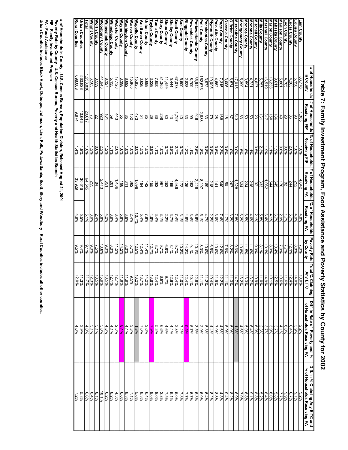|                                                      | # of Households<br>in County                    | # of Households  % of Households # of Households<br>Receiving FIP                                                                                                                                                                                                                                                                                                                                                                  | Receiving FIP                             | Receiving FA                                                             | % of Households<br>Receiving FA | Poverty Rate<br>by County | Total<br>al % Claiming<br>Any EITC                                                                      | Diff. In Rate of Poverty and %<br>of Households Receiving FA | Diff. In % Claiming Any EITC and<br>% of Households Receiving FA                         |
|------------------------------------------------------|-------------------------------------------------|------------------------------------------------------------------------------------------------------------------------------------------------------------------------------------------------------------------------------------------------------------------------------------------------------------------------------------------------------------------------------------------------------------------------------------|-------------------------------------------|--------------------------------------------------------------------------|---------------------------------|---------------------------|---------------------------------------------------------------------------------------------------------|--------------------------------------------------------------|------------------------------------------------------------------------------------------|
|                                                      | 83,776                                          |                                                                                                                                                                                                                                                                                                                                                                                                                                    |                                           | 4,042                                                                    | $4.8\%$                         |                           |                                                                                                         | 2.2%                                                         |                                                                                          |
| Linn County<br><u>Louisa County</u><br>Louisa County | 5,158                                           | $\frac{36}{36}$ $\frac{8}{8}$ $\frac{8}{9}$                                                                                                                                                                                                                                                                                                                                                                                        | $\frac{1.6\%}{2.0\%}$                     | $\frac{252}{244}$                                                        | $\frac{4.9\%}{5.7\%}$           | 7.0%                      | $\frac{10.0\%}{14.0\%}$                                                                                 | 3.9%<br>8.4%                                                 | 5.2%<br>0.1%                                                                             |
|                                                      | 4,263                                           |                                                                                                                                                                                                                                                                                                                                                                                                                                    |                                           |                                                                          |                                 | 12.1%                     |                                                                                                         |                                                              |                                                                                          |
| -yon County                                          | 4,785                                           |                                                                                                                                                                                                                                                                                                                                                                                                                                    | $0.6\%$                                   | 82                                                                       | 1.7%                            | $7.7\%$                   | 11.6%                                                                                                   | 6.0%                                                         | $9.9\%$                                                                                  |
| Madison County                                       | 5,861                                           |                                                                                                                                                                                                                                                                                                                                                                                                                                    | $0.8\%$                                   | $\overline{5}$                                                           | 2.9%                            | $7.0\%$                   | 10.6%                                                                                                   | 4.1%                                                         | $7.7\%$                                                                                  |
| Mahaska County                                       | 9,611                                           | 186                                                                                                                                                                                                                                                                                                                                                                                                                                | $1.9\%$                                   | 645                                                                      | 6.7%                            | 10.4%                     | 12.5%                                                                                                   | 3.7%                                                         | 5.8%                                                                                     |
| <b>Aarion County</b>                                 | 13,233                                          | go                                                                                                                                                                                                                                                                                                                                                                                                                                 | $1.1\%$                                   | <b>544</b>                                                               | 4.1%                            | 8.0%                      | 10.1%                                                                                                   | $3.9\%$                                                      | $6.0\%$                                                                                  |
| Marshall County                                      | 16,519                                          | 317                                                                                                                                                                                                                                                                                                                                                                                                                                |                                           | 1,062                                                                    | 6.4%                            | 10.1%                     | 14.9%                                                                                                   | 3.7%                                                         | 8.4%                                                                                     |
| lills County                                         | 5,757                                           | $\frac{1}{2}$                                                                                                                                                                                                                                                                                                                                                                                                                      | $\frac{1.9\%}{2.3\%}$                     | 333                                                                      | $5.8\%$                         | 8.1%                      | 11.0%                                                                                                   | 2.3%                                                         | 5.2%                                                                                     |
| Mitchell County                                      | 4,627                                           |                                                                                                                                                                                                                                                                                                                                                                                                                                    | $0.5\%$                                   | 46                                                                       | 2.1%                            | $9.0\%$                   | 10.9%                                                                                                   | 6.9%                                                         | $8.8\%$                                                                                  |
|                                                      | 4,721                                           | အ <u>ျားသူသူသူ</u>                                                                                                                                                                                                                                                                                                                                                                                                                 | $1.1\%$                                   | $\frac{218}{234}$<br>$\frac{234}{288}$<br>$\frac{1328}{20}$              | 4.6%                            | $\frac{11.0\%}{2}$        | 13.7%                                                                                                   | 6.4%                                                         | $9.1\%$                                                                                  |
| Monona County<br>Monroe County                       |                                                 |                                                                                                                                                                                                                                                                                                                                                                                                                                    |                                           |                                                                          |                                 | $\frac{11.5\%}{2}$        |                                                                                                         |                                                              |                                                                                          |
|                                                      |                                                 |                                                                                                                                                                                                                                                                                                                                                                                                                                    |                                           |                                                                          |                                 | 10.8%                     |                                                                                                         |                                                              |                                                                                          |
| Montgomery County<br>Muscatine County                |                                                 |                                                                                                                                                                                                                                                                                                                                                                                                                                    |                                           |                                                                          |                                 |                           |                                                                                                         |                                                              |                                                                                          |
| <b>O'Brien County</b>                                | $\frac{3,594}{5,399}$<br>$\frac{17,015}{6,574}$ |                                                                                                                                                                                                                                                                                                                                                                                                                                    | $\frac{1.68888}{1.5988}$                  |                                                                          | စစ္ပြဲ<br>၁၉၀၀၀<br>၁၉၀          | 8.2%                      | $\frac{13.3\%}{11.3\%}\times13\%$                                                                       | 5.0%<br>4.6%<br>5.0%<br>5.9%                                 | 6.8%<br>6.9%<br>6.9%<br>9.4%                                                             |
| Osceola County                                       | 3,006                                           |                                                                                                                                                                                                                                                                                                                                                                                                                                    | $0.6\%$                                   |                                                                          | 1.7%                            | 7.6%                      | 11.1%                                                                                                   |                                                              |                                                                                          |
| Page County                                          | 7,315                                           |                                                                                                                                                                                                                                                                                                                                                                                                                                    | 2.3%                                      | 540                                                                      | 7.4%                            | 12.0%                     | 12.2%                                                                                                   | 4.6%                                                         |                                                                                          |
| Palo Alto County                                     | 4,662                                           |                                                                                                                                                                                                                                                                                                                                                                                                                                    | $0.6\%$                                   |                                                                          | 3.0%                            | $10.0\%$                  | 41.9%                                                                                                   | 7.0%                                                         |                                                                                          |
| Plymouth County                                      | $\frac{3,972}{3,972}$                           | $\frac{168}{28}$                                                                                                                                                                                                                                                                                                                                                                                                                   |                                           | $\begin{array}{r l}\n & 141 \\  & 218 \\  & 897 \\  & 8297\n\end{array}$ | 2.2%                            | 6.6%                      | 10.4%                                                                                                   |                                                              | $\begin{array}{l c} 4.808 \\ -0.808 \\ -0.808 \\ -0.808 \\ -0.808 \\ \hline \end{array}$ |
| Pocahontas County                                    |                                                 |                                                                                                                                                                                                                                                                                                                                                                                                                                    |                                           |                                                                          | 4.7%                            | 10.0%                     | 11.2%                                                                                                   |                                                              |                                                                                          |
| Polk County                                          |                                                 |                                                                                                                                                                                                                                                                                                                                                                                                                                    |                                           |                                                                          | 5.1%                            | 8.0%                      | 41.1%                                                                                                   |                                                              | $6.0\%$                                                                                  |
| Pottawattamie County                                 | 36,944                                          |                                                                                                                                                                                                                                                                                                                                                                                                                                    |                                           | 2,428                                                                    | $6.6\%$                         | 10.1%                     | 12.8%                                                                                                   |                                                              | $6.3\%$                                                                                  |
| Poweshiek County                                     | $\frac{8,709}{2,828}$                           |                                                                                                                                                                                                                                                                                                                                                                                                                                    | $1.1\%$                                   | 293                                                                      | 3.4%                            | $9.1\%$                   | 10.1%                                                                                                   |                                                              | 6.7%                                                                                     |
| Ringgold County<br>Sac County                        | 5,500                                           |                                                                                                                                                                                                                                                                                                                                                                                                                                    | 1.2%                                      | 135                                                                      | $3.1\%$<br>4.8%                 | 14.3%                     |                                                                                                         |                                                              |                                                                                          |
|                                                      |                                                 | $\frac{1}{2} \Big  \mathbb{S} \Big  \mathbb{S} \Big  \mathbb{S} \Big  \mathbb{S} \Big  \mathbb{S} \Big  \mathbb{S} \Big  \mathbb{S} \Big  \mathbb{S} \Big  \mathbb{S} \Big  \mathbb{S} \Big  \mathbb{S} \Big  \mathbb{S} \Big  \mathbb{S} \Big  \mathbb{S} \Big  \mathbb{S} \Big  \mathbb{S} \Big  \mathbb{S} \Big  \mathbb{S} \Big  \mathbb{S} \Big  \mathbb{S} \Big  \mathbb{S} \Big  \mathbb{S} \Big  \mathbb{S} \Big  \mathbb$ | 0 0 0 0 0 0<br> 2 0 0 0 0<br> 0 0 0 0 0 0 |                                                                          | $\frac{1}{7.4\%}$               | 9/7%                      | $\frac{12.4\%}{11.0\%}\n\frac{11.0\%}{12.8\%}$                                                          |                                                              | 7.7%<br>7.8%<br>7.8%                                                                     |
| <b>Scott County</b><br>Shelby County                 | $67,073$<br>$5,444$                             |                                                                                                                                                                                                                                                                                                                                                                                                                                    |                                           |                                                                          |                                 |                           |                                                                                                         |                                                              |                                                                                          |
| Sioux County                                         |                                                 |                                                                                                                                                                                                                                                                                                                                                                                                                                    |                                           | $\frac{4,989}{1993}$                                                     | $\frac{3.7\%}{2.2\%}$           | $\frac{8!38888}{8!288}$   |                                                                                                         |                                                              |                                                                                          |
| Story County                                         | $\frac{11,459}{31,365}$                         |                                                                                                                                                                                                                                                                                                                                                                                                                                    | $1.0\%$                                   |                                                                          |                                 |                           | $\frac{9.7\%}{6.8\%}$                                                                                   |                                                              | 7.5%<br>3.8%                                                                             |
| ama County                                           |                                                 |                                                                                                                                                                                                                                                                                                                                                                                                                                    | $1.1\%$                                   |                                                                          | 3.4%                            | 8.7%                      | 12.4%                                                                                                   |                                                              | $9.0\%$                                                                                  |
| aylor County                                         |                                                 |                                                                                                                                                                                                                                                                                                                                                                                                                                    |                                           |                                                                          | $4.8\%$                         | 12.7%                     |                                                                                                         |                                                              | 9,0.06                                                                                   |
| Jnion County                                         | 7,650<br>0,722<br>0,608<br>0,628                |                                                                                                                                                                                                                                                                                                                                                                                                                                    | 0.9%<br>1.5%<br>1.5%                      | $\frac{262}{155}$<br>$\frac{152}{194}$                                   | 7.896                           | 96511                     | $\frac{13.8\%}{14.2\%}$                                                                                 |                                                              | 6.4%                                                                                     |
| 'an Buren County                                     |                                                 |                                                                                                                                                                                                                                                                                                                                                                                                                                    |                                           |                                                                          | $5.4\%$                         | 12.4%                     | 13.7%                                                                                                   |                                                              |                                                                                          |
| Napello County                                       | 15,925                                          |                                                                                                                                                                                                                                                                                                                                                                                                                                    | 3.0%                                      | $\frac{1,696}{382}$                                                      | 10.7%                           | 12.5%                     | 16.2%                                                                                                   |                                                              | 8.3%<br>5.6%                                                                             |
| Marren County                                        | 15,865                                          |                                                                                                                                                                                                                                                                                                                                                                                                                                    | $1.0\%$                                   |                                                                          | 2.4%                            | 5.7%                      | $9.5\%$                                                                                                 |                                                              | $7.1\%$                                                                                  |
| Washington County<br><u>Mayne County</u>             | $\frac{8,692}{3,398}$<br>17,128                 |                                                                                                                                                                                                                                                                                                                                                                                                                                    | $1.0\%$                                   | $\frac{311}{198}$                                                        | $\frac{3.6\%}{5.8\%}$           | $8.0\%$                   | 11.9%                                                                                                   | $\frac{4.4\%}{2.8\%}$                                        | 8.3%                                                                                     |
|                                                      |                                                 |                                                                                                                                                                                                                                                                                                                                                                                                                                    |                                           |                                                                          |                                 | 14.2%                     |                                                                                                         |                                                              |                                                                                          |
| <b>Nebster County</b>                                |                                                 |                                                                                                                                                                                                                                                                                                                                                                                                                                    | $\frac{1.6\%}{2.6\%}$                     |                                                                          |                                 | 112%                      | $\begin{array}{r}\n 11.8\% \\  12.7\% \\  \hline\n 10.5\% \\  \hline\n 10.5\% \\  \hline\n \end{array}$ |                                                              | $\frac{6.08}{6.298}$<br>$\frac{6.08}{6.2\%}$                                             |
| Winnebago County                                     | $\frac{5,135}{8,327}$                           |                                                                                                                                                                                                                                                                                                                                                                                                                                    | $1.1\%$                                   | 201                                                                      | 3.9%                            |                           |                                                                                                         |                                                              |                                                                                          |
| Winneshiek County                                    |                                                 |                                                                                                                                                                                                                                                                                                                                                                                                                                    | 1.2%                                      | 351                                                                      | $4.2\%$                         | 8.0%                      |                                                                                                         | $\frac{4.1\%}{4.8\%}$                                        |                                                                                          |
| Moodbury County                                      | 41,643                                          | $\frac{92}{28}$                                                                                                                                                                                                                                                                                                                                                                                                                    | 2.2%                                      | 2,413                                                                    | $5.8\%$                         | 10.8%                     | 15.9%                                                                                                   | 5.0%                                                         | 10.1%                                                                                    |
| Worth County                                         | 3,539                                           |                                                                                                                                                                                                                                                                                                                                                                                                                                    | $0.6\%$                                   | 84                                                                       | 2.4%                            | 7.5%                      | 10.5%                                                                                                   | 5.1%                                                         | 8.1%                                                                                     |
| Wright County                                        | 6,563                                           |                                                                                                                                                                                                                                                                                                                                                                                                                                    | 1.2%                                      | 255                                                                      | 3.9%                            | 9,0%                      | 12.3%                                                                                                   | 5.1%                                                         | 8.4%                                                                                     |
| Total                                                | 258,836                                         | 20,617                                                                                                                                                                                                                                                                                                                                                                                                                             | l.6%                                      | 64,545                                                                   | 5.1%                            | $9.1\%$                   | 41.7%                                                                                                   | 4.0%                                                         | $6.6\%$                                                                                  |
| Urban Counties                                       | 560,828                                         | 10,643                                                                                                                                                                                                                                                                                                                                                                                                                             | 1.9%                                      | 30,616                                                                   | 5.5%                            | 9'40'                     | 11.3%                                                                                                   | 3.9%                                                         | 5.8%                                                                                     |
| <b>Rural Counties</b>                                | 698,008                                         | 9,974                                                                                                                                                                                                                                                                                                                                                                                                                              | $.4\%$                                    | 33,929                                                                   | 4.9%                            | 9.5%                      | 12.0%                                                                                                   | $4.6\%$                                                      | 2%                                                                                       |
|                                                      |                                                 |                                                                                                                                                                                                                                                                                                                                                                                                                                    |                                           |                                                                          |                                 |                           |                                                                                                         |                                                              |                                                                                          |

Table 7: Family Investment Program, Food Assistance and Poverty Statistics by County for 2002 **Table 7: Family Investment Program, Food Assistance and Poverty Statistics by County for 2002**

# of Households in County - U.S. Census Bureau, Poverty and Health Statistics Branch<br>Poverty Rate by County - U.S. Census Bureau, Poverty and Health Statistics Branch<br>FIP - Family Investment Program<br>Urban Counties includes **Poverty Rate by County - U.S. Census Bureau, Poverty and Health Statistics Branch # of Households in County - U.S. Census Bureau, Population Division, Released August 21, 2006**

**FIP - Family Investment Program**

**FA - Food Assistance**

**Urban Counties includes Black Hawk, Dubuque, Johnson, Linn, Polk, Pottawattamie, Scott, Story and Woodbury. Rural Counties inc ludes all other counties.**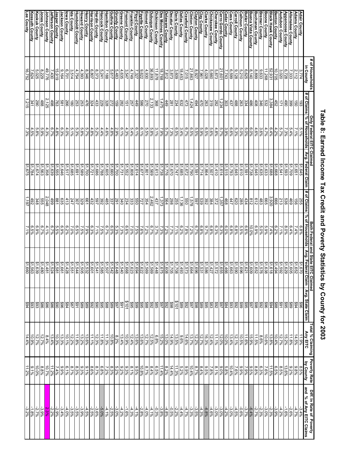|                                                    | ot Households                                                                   |                                                                                                     |                                                        |                                                    |                                       |                                                                       | and State                                     |                  |                                                                                                                                                                                                                                                                                                                |                                                    |                                                                           |
|----------------------------------------------------|---------------------------------------------------------------------------------|-----------------------------------------------------------------------------------------------------|--------------------------------------------------------|----------------------------------------------------|---------------------------------------|-----------------------------------------------------------------------|-----------------------------------------------|------------------|----------------------------------------------------------------------------------------------------------------------------------------------------------------------------------------------------------------------------------------------------------------------------------------------------------------|----------------------------------------------------|---------------------------------------------------------------------------|
|                                                    | in County                                                                       | # of Claims                                                                                         | Only Federal ElTC Claimed<br>% of Households   Avg. Fe | Avg. Federal Claim                                 |                                       | <b># of Claims   % of Households</b><br># of Claims   % of Households | Avg. Fe<br>e EITC Claimed<br>ederal Claim   A | Avg. State Claim | otal % Claiming<br>Any EITC                                                                                                                                                                                                                                                                                    | Poverty Rate<br>by County                          | Dift. In Rate of Poverty<br>and  % of Any EITC Claims                     |
|                                                    | 3,774                                                                           |                                                                                                     | $5.1\%$                                                | \$1,645                                            | 555                                   | $6.8\%$                                                               |                                               |                  |                                                                                                                                                                                                                                                                                                                | $8.5\%$                                            | 3.4%                                                                      |
| Adams County<br>Allamakee County                   | 2,112<br>7,333                                                                  | 880                                                                                                 | 5.4%<br>7.1%                                           | \$1,709<br>\$1,651                                 | 469<br>$\overline{9}$                 | 6.4%<br>7.4%                                                          |                                               |                  |                                                                                                                                                                                                                                                                                                                | 8.8%<br>9.2%                                       |                                                                           |
| ppanoose County                                    | 6,728                                                                           | 490                                                                                                 | 7.3%                                                   | \$1,593                                            | 536                                   | 8.0%                                                                  |                                               |                  | $\begin{array}{r l}\n11.98 \\ 14.888 \\ 15.788\n\end{array}$                                                                                                                                                                                                                                                   | $13.6\%$                                           | $\frac{4.7\%}{2.6\%}$                                                     |
| <b>Audubon County</b>                              | 3,020                                                                           | 121                                                                                                 | 5.7%                                                   |                                                    | 213                                   | 7.1%                                                                  |                                               |                  |                                                                                                                                                                                                                                                                                                                | 8.5%                                               | $-4.2%$                                                                   |
| Benton County                                      | 10,705                                                                          |                                                                                                     | 4.2%                                                   |                                                    | 666                                   | 6.2%                                                                  |                                               |                  | $10.4\%$                                                                                                                                                                                                                                                                                                       | $6.5\%$                                            |                                                                           |
| <b>Black Hawk County</b>                           | 52,931                                                                          | 452<br>0332<br>0326<br>042                                                                          | 6.496                                                  | 51568897<br>15.68899<br>516.639<br>51.645          | 3,920                                 | 7.4%                                                                  | ↮                                             |                  |                                                                                                                                                                                                                                                                                                                | $\frac{\frac{11.5\%}{7.6\%}}{\frac{2.3\%}{8.8\%}}$ |                                                                           |
| <b>Boone County</b>                                | 11,268                                                                          |                                                                                                     | 4.7%                                                   |                                                    | 665                                   | 88%<br>80%<br>80%                                                     |                                               |                  |                                                                                                                                                                                                                                                                                                                |                                                    |                                                                           |
| <b>Bremer County</b>                               | $\frac{9,633}{8,899}$                                                           |                                                                                                     | $\frac{3.6\%}{4.6\%}$                                  |                                                    | $\frac{483}{612}$                     |                                                                       | မာမာ                                          |                  |                                                                                                                                                                                                                                                                                                                |                                                    |                                                                           |
| uchanan County                                     |                                                                                 |                                                                                                     |                                                        |                                                    |                                       |                                                                       |                                               |                  | $\begin{array}{r} 13.8\% \\ 10.6\% \\ \hline 8.6\% \\ \hline 11.59\% \\ \hline 11.6\% \\ \hline 10.5\% \\ \hline \end{array}$                                                                                                                                                                                  |                                                    |                                                                           |
| uena Vista County                                  | $\frac{8,140}{6,625}$                                                           | $\frac{486}{334}$                                                                                   | 5.0%<br>$6.0\%$                                        | \$1,591<br>\$1,738                                 | 812<br>434                            | 6.6%<br>10.0%                                                         |                                               |                  |                                                                                                                                                                                                                                                                                                                | 9.5%<br>7.9%<br>9.9%                               |                                                                           |
| <u>Butler County<br/>Calhoun County</u>            |                                                                                 |                                                                                                     | 5.0%                                                   | \$1,610                                            | 285                                   | $5.5\%$                                                               |                                               |                  |                                                                                                                                                                                                                                                                                                                |                                                    |                                                                           |
| arroll Co <u>unty</u>                              | 9,128                                                                           | 488                                                                                                 | 5.3%                                                   | \$1,645                                            | 079                                   | $6.8\%$                                                               |                                               |                  | 12.1%                                                                                                                                                                                                                                                                                                          |                                                    |                                                                           |
| ass County                                         |                                                                                 | 437                                                                                                 | $6.6\%$                                                | \$1,793                                            | 447                                   | $6.8\%$                                                               |                                               |                  |                                                                                                                                                                                                                                                                                                                |                                                    |                                                                           |
| Cedar County<br>Cerro Gordo County                 | $\frac{6,599}{7,743}$                                                           |                                                                                                     | 3.9%                                                   | $\frac{$1,515}{$1,614}$                            |                                       |                                                                       |                                               |                  |                                                                                                                                                                                                                                                                                                                |                                                    |                                                                           |
|                                                    |                                                                                 |                                                                                                     | $5.7\%$                                                |                                                    |                                       |                                                                       |                                               |                  |                                                                                                                                                                                                                                                                                                                |                                                    |                                                                           |
| herokee County                                     | $\frac{5,873}{5,660}$                                                           |                                                                                                     | $4.8\%$                                                | \$1,507<br>\$1,410                                 |                                       |                                                                       |                                               |                  |                                                                                                                                                                                                                                                                                                                |                                                    |                                                                           |
| hickasaw County<br>larke County                    |                                                                                 |                                                                                                     | 8.6%<br>8.5%                                           | \$1,864                                            |                                       |                                                                       |                                               |                  |                                                                                                                                                                                                                                                                                                                |                                                    |                                                                           |
| lay County                                         |                                                                                 | $\frac{30}{224} \frac{17}{28} \frac{8}{28} \frac{18}{28} \frac{18}{28} \frac{17}{28} \frac{17}{28}$ |                                                        |                                                    | $\frac{4522288888}{2222222}$          |                                                                       |                                               |                  |                                                                                                                                                                                                                                                                                                                |                                                    |                                                                           |
|                                                    |                                                                                 |                                                                                                     | 5.9%<br>5.5%                                           |                                                    |                                       |                                                                       |                                               |                  |                                                                                                                                                                                                                                                                                                                |                                                    |                                                                           |
| <b>Elayton County<br/>Elinton County</b>           | $\begin{array}{r l}\n & 0.961 \\  & 0.927 \\  & 7.015 \\  & 7.015\n\end{array}$ | $\frac{1,424}{473}$                                                                                 | 6.5%<br>6.7%                                           | $\frac{$1,714}{$1,591}$<br>$\frac{$1,790}{$1,672}$ | 099<br>229                            |                                                                       |                                               |                  |                                                                                                                                                                                                                                                                                                                |                                                    |                                                                           |
| rawford County                                     |                                                                                 |                                                                                                     |                                                        |                                                    |                                       |                                                                       |                                               |                  |                                                                                                                                                                                                                                                                                                                |                                                    |                                                                           |
| llas County                                        | 18,453                                                                          |                                                                                                     | 3.4%                                                   | \$1,685                                            | $\frac{1,136}{255}$                   | 6.2%                                                                  |                                               |                  |                                                                                                                                                                                                                                                                                                                |                                                    |                                                                           |
| <u>Davis County</u><br>Decatur County              | 3,873<br>3,609                                                                  | $\frac{632}{281}$                                                                                   | 6.5%<br>7.3%                                           | \$1,670<br>21,747                                  | 298                                   | 7.7%<br>$\frac{2}{7.1\%}$                                             |                                               |                  |                                                                                                                                                                                                                                                                                                                |                                                    |                                                                           |
|                                                    | 7,812                                                                           | 449                                                                                                 | 5.7%                                                   | 81,776                                             | 564                                   | 7.2%                                                                  |                                               |                  |                                                                                                                                                                                                                                                                                                                |                                                    |                                                                           |
| elaware County<br>Ies Moines County                | 18,768                                                                          | 1,475                                                                                               | 7.9%                                                   | \$1,738                                            | 1,373                                 | 7.3%                                                                  |                                               |                  |                                                                                                                                                                                                                                                                                                                |                                                    |                                                                           |
| ickinson County                                    | 11,878                                                                          | $\frac{368}{2,133}$                                                                                 | 3.1%                                                   | \$1,613                                            | 437                                   | 3.7%<br>6.7%<br>7.8%<br>7.5%                                          |                                               |                  |                                                                                                                                                                                                                                                                                                                |                                                    |                                                                           |
| ubuque County<br>mmet County                       | 36,893                                                                          |                                                                                                     | 5.8%<br>5.5%                                           | \$1,569<br>\$1,801                                 | $\frac{2,462}{727}$                   |                                                                       |                                               |                  |                                                                                                                                                                                                                                                                                                                |                                                    |                                                                           |
|                                                    |                                                                                 |                                                                                                     | $6.1\%$                                                |                                                    |                                       |                                                                       |                                               |                  |                                                                                                                                                                                                                                                                                                                |                                                    |                                                                           |
| <sup>-</sup> ayette County<br>-loyd County         | $\frac{4,930}{9,622}$<br>7,327                                                  |                                                                                                     | $6.1\%$                                                | 81,677<br>\$1,614                                  | <b>550</b>                            |                                                                       |                                               |                  |                                                                                                                                                                                                                                                                                                                |                                                    |                                                                           |
|                                                    |                                                                                 |                                                                                                     | 5.4%                                                   | $rac{21,808}{51,552}$                              | $\frac{333}{234}$                     | 7.0%                                                                  |                                               |                  |                                                                                                                                                                                                                                                                                                                |                                                    |                                                                           |
| Franklin County<br>Fremont County<br>Greene County |                                                                                 |                                                                                                     | $4.3\%$                                                |                                                    |                                       | $6.6\%$                                                               |                                               |                  |                                                                                                                                                                                                                                                                                                                |                                                    |                                                                           |
| <b>Fundy County</b>                                |                                                                                 | $\frac{218}{288}$                                                                                   | $\frac{6.1\%}{2.9\%}$                                  | $$1,731$<br>$$1,700$                               | $\frac{340}{295}$<br>$\frac{29}{285}$ | 7.3%                                                                  |                                               |                  |                                                                                                                                                                                                                                                                                                                |                                                    |                                                                           |
| uthrie County                                      |                                                                                 |                                                                                                     | 4.8%                                                   | \$1,660                                            |                                       |                                                                       |                                               |                  |                                                                                                                                                                                                                                                                                                                |                                                    |                                                                           |
|                                                    |                                                                                 |                                                                                                     | 4.6%                                                   | \$1,605                                            |                                       |                                                                       |                                               |                  |                                                                                                                                                                                                                                                                                                                |                                                    |                                                                           |
| <u>Hamilton County</u><br>Hancock County           | 5,241                                                                           | 229                                                                                                 | 4.4%                                                   | \$1,788                                            | $rac{292}{597}$                       | 8.0%<br>P.7%                                                          |                                               |                  | $\frac{11.8\%}{12.3\%}$                                                                                                                                                                                                                                                                                        |                                                    |                                                                           |
| ardin County                                       | $\frac{8,373}{6,807}$                                                           | $\frac{433}{324}$                                                                                   | $5.2\%$                                                | \$1,686                                            |                                       | 7.1%                                                                  |                                               |                  |                                                                                                                                                                                                                                                                                                                |                                                    |                                                                           |
| arrison County                                     |                                                                                 |                                                                                                     | $4.8\%$                                                | \$1,721                                            | 432                                   | $6.3\%$                                                               |                                               |                  | 11.1%                                                                                                                                                                                                                                                                                                          | 8.6%                                               |                                                                           |
| <b>Howard County</b><br>enry County                | 8,346<br>4,393                                                                  |                                                                                                     | 5.7%<br>5.8%                                           | \$1,700<br>\$1,589                                 | 861                                   | 7.9%<br>7.5%                                                          |                                               |                  |                                                                                                                                                                                                                                                                                                                |                                                    |                                                                           |
| umboldt County                                     | 4,754                                                                           |                                                                                                     | 5.3%                                                   | \$1,691                                            |                                       | 6.5%                                                                  |                                               |                  | $\begin{array}{l} \frac{1368}{128888888888} \\ = 0.0000 \\ = 0.0000 \\ = 0.0000 \\ = 0.0000 \\ = 0.0000 \\ = 0.0000 \\ = 0.0000 \\ = 0.0000 \\ = 0.0000 \\ = 0.0000 \\ = 0.0000 \\ = 0.0000 \\ = 0.0000 \\ = 0.0000 \\ = 0.0000 \\ = 0.0000 \\ = 0.0000 \\ = 0.0000 \\ = 0.0000 \\ = 0.0000 \\ = 0.0000 \\ = $ |                                                    |                                                                           |
|                                                    |                                                                                 |                                                                                                     | $5.1\%$                                                | \$1,685                                            | 207                                   | 7.0%                                                                  |                                               |                  |                                                                                                                                                                                                                                                                                                                |                                                    |                                                                           |
| <u>lda County<br/>Iowa County</u>                  | $\frac{3,514}{6,701}$                                                           |                                                                                                     | $4.0\%$                                                | \$1,517                                            |                                       | 6.2%                                                                  |                                               |                  |                                                                                                                                                                                                                                                                                                                |                                                    |                                                                           |
| ackson County                                      | 9,164                                                                           |                                                                                                     | 6.3%                                                   | \$1,646<br>\$1,555                                 | 635                                   | 6.9%<br>5.5%                                                          |                                               |                  | 13.3%                                                                                                                                                                                                                                                                                                          |                                                    |                                                                           |
| asper County                                       | 15,919                                                                          |                                                                                                     | $4.8\%$                                                |                                                    | 188                                   |                                                                       | <u> မဲဆြမ်ဆြမ်ဆြမ်ဆြမ်မြ</u>                  |                  |                                                                                                                                                                                                                                                                                                                |                                                    | $\begin{array}{l} -3.4\% \\ -2.9\% \\ \hline 2.3\% \\ -2.7\% \end{array}$ |
| Jefferson County<br>Johnson County                 | 49,776<br>7,430                                                                 | $\frac{498}{2,125}$                                                                                 | $4.3\%$<br>6.7%                                        | \$1,358<br>\$1,639                                 | $\frac{499}{2,048}$                   | 6.7%<br>4.1%                                                          |                                               |                  | $\frac{13.4\%}{8.4\%}$                                                                                                                                                                                                                                                                                         |                                                    |                                                                           |
| ones County                                        | 8,229                                                                           | 488                                                                                                 | 5.9%                                                   | \$1,563                                            | 555                                   |                                                                       |                                               |                  |                                                                                                                                                                                                                                                                                                                | 8.8%                                               |                                                                           |
|                                                    | 5,025                                                                           | <b>290</b>                                                                                          | 5.8%                                                   | 51,674                                             | 348                                   | 6.9%                                                                  |                                               |                  |                                                                                                                                                                                                                                                                                                                | 10.0%                                              |                                                                           |
| Keskuk County<br>Kossuth County<br>Lee County      | 7,624                                                                           | 341                                                                                                 | 4.5%                                                   | \$1,784                                            | 492                                   | $6.5\%$                                                               |                                               |                  | $\frac{12.7\%}{10.9\%}$                                                                                                                                                                                                                                                                                        | $\frac{9.196}{11.2%}$                              | $-1.8%$                                                                   |
|                                                    | 16,752                                                                          | 1,215                                                                                               | 7.3%                                                   | \$1,675                                            | 1,197                                 | 2.1%                                                                  |                                               |                  |                                                                                                                                                                                                                                                                                                                |                                                    | $-3.2\%$                                                                  |

## Table 8: Earned Income Tax Credit and Poverty Statistics by County for 2003 **Table 8: Earned Income Tax Credit and Poverty Statistics by County for 2003**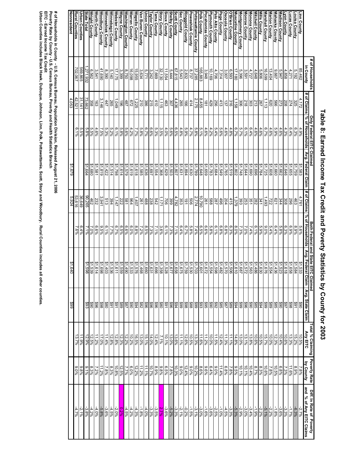|                                      | # of Households                                 |                     | Only Federal EITC Claimed |                    |                       |                       | Both Federal and State EITC Claimed |                                                                                 | Total % Claiming | <b>Poverty Rate</b>    | Diff. In Rate of Poverty |
|--------------------------------------|-------------------------------------------------|---------------------|---------------------------|--------------------|-----------------------|-----------------------|-------------------------------------|---------------------------------------------------------------------------------|------------------|------------------------|--------------------------|
|                                      | in County                                       | of Claims           | % of Households           | Avg. Federal Claim | # of Claims           | % of Households       | Avg. Federal Claim                  | Avg. State Claim                                                                | Any EITC         | by County              | and % of Any EITC Claims |
| Linn County                          | 85,462                                          | 4,172               |                           | \$1,583            | 4,761                 |                       | $$1,533$<br>$$1,584$                |                                                                                 | 10.5%            |                        |                          |
| Louisa County                        | 5,192                                           | 325                 | $\frac{4.9\%}{6.3\%}$     | \$1,759            | 463                   | $\frac{5.6\%}{8.9\%}$ |                                     | <b>\$90</b>                                                                     | 15.2%            | 7.8%<br>8.9%           | $-\frac{2.7\%}{6.3\%}$   |
|                                      | 4,271                                           | 274                 | 6.496                     | \$1,655            | 96Z                   | 6.9%                  | \$1,658                             | 86\$                                                                            | 13.3%            | 11.6%                  | $-1.7%$                  |
| Lucas County<br>Lyon County          | 4,858                                           | 208                 | 4.3%                      | \$1,646            | 308                   |                       | $\frac{$1,618}{$1,523}$             | <b>Z6\$</b>                                                                     | 10.6%            | 7.3%                   | $-3.3%$                  |
| Madison County                       | 5,947                                           | 273                 | 4.6%                      | \$1,662            | 344                   | 6.3%<br>5.8%          |                                     | 06\$                                                                            | 10.4%            | 6.8%                   | $-3.6%$                  |
|                                      | 9,667                                           |                     | 5.9%                      |                    | 621                   |                       | $$1,436$<br>$$1,554$                | \$85<br>\$89                                                                    | 12.3%            | 10.5%                  | $-1.8%$                  |
| Mahaska County<br>Marion County      | 13,404                                          | <b>620</b><br>020   | 4.6%                      | \$1,660<br>\$1,608 | 722                   | 6.4%<br>5.4%          |                                     |                                                                                 | 10.0%            | 7.8%                   |                          |
| Marshall County                      | 16,599                                          | 1,113               | 6.7%                      | \$1,725            | 493                   | $9.0\%$               |                                     | 66\$                                                                            | 15.7%            | 10.6%                  | $\frac{-2.2\%}{-5.1\%}$  |
| Mills County                         | 5,806                                           | 267                 | 4.6%                      | \$1,784            |                       |                       |                                     |                                                                                 | 10.5%            | 8.3%                   |                          |
| Mitchell County                      | 4,648                                           | 213                 | 4.6%                      | \$1,696            | $\frac{3 8 5}{2 8 5}$ | 5.9%<br>6.1%          |                                     | 894                                                                             | 10.6%            | $8.7\%$                | $-1.9%$                  |
| Monona County                        | 4,727                                           | 303                 | 6.4%                      | \$1,690            |                       | $7.4\%$               |                                     |                                                                                 | 13.8%            | 10.4%                  | $-3.4%$                  |
| Monroe County                        | 3,591                                           | 218                 | 6.1%                      | \$1,644            |                       | 7.0%                  |                                     | 96\$                                                                            | 13.1%            | 10.1%                  | $-3.0\%$                 |
| Montgomery County                    | 5,396                                           | 306                 | 5.7%                      | \$1,748            | 393                   | 7.3%                  |                                     |                                                                                 | 13.0%            | 10.1%                  |                          |
| Muscatine County                     | 17,180                                          | 1,158               | $6.7\%$                   | \$1,802            | 1,379                 | $8.0\%$               |                                     |                                                                                 | 14.8%            |                        |                          |
| O'Brien County                       | 6,593                                           | 316                 | $4.8\%$                   | \$1,519            | 415                   | $6.3\%$               |                                     |                                                                                 | 11.1%            | $\frac{9.5\%}{7.8\%}$  | $\frac{2.9\%}{-5.3\%}$   |
|                                      | 3,007                                           | 137                 | 4.6%                      | \$1,765            | 204                   | $6.8\%$               |                                     |                                                                                 | 11.3%            | 6.8%                   | $-4.5%$                  |
| <u>Osceola County</u><br>Page County | 7,314                                           | 413                 | 5.6%                      | \$1,549            | 496                   | $6.8\%$               |                                     |                                                                                 | 12.4%            | $\frac{11.4\%}{9.0\%}$ | $-1.0%$                  |
| Palo Alto County                     | 4,706                                           | 256                 | 5.4%                      | \$1,684            | 287<br>588<br>261     | 6.1%<br>6.8%          |                                     |                                                                                 | 11.5%            |                        | $-2.5\%$                 |
| Plymouth County                      | 10,169                                          | $\frac{429}{181}$   | $\frac{4.2\%}{4.6\%}$     | \$1,783            |                       |                       |                                     |                                                                                 | 10.0%            | $\frac{6.4\%}{9.6\%}$  | $-3.6%$                  |
| Pocahontas County                    | 3,948                                           |                     |                           | \$1,659            |                       |                       |                                     |                                                                                 | 11.2%            |                        | $-1.6%$                  |
| Polk County                          | 165,883                                         | 8,455               | 5.1%                      | \$1,648            | 10,790                | 6.5%                  |                                     |                                                                                 | 11.6%            | 8.6%                   | $-3.0\%$                 |
| Pottawattamie County                 | $\frac{37,285}{8,737}$<br>$\frac{2,832}{5,543}$ | 2,175               | $\frac{5.8\%}{4.7\%}$     | \$1,789            | 2,774                 | $\frac{7.4\%}{5.8\%}$ |                                     |                                                                                 | 13.3%            | $\frac{10.2\%}{9.0\%}$ | $-3.1\%$<br>$-1.5\%$     |
| Poweshiek County                     |                                                 | 414                 |                           | \$1,630            |                       |                       |                                     |                                                                                 | 10.5%            |                        |                          |
| Ringgold County                      |                                                 | 166<br>265          | $\frac{5.9\%}{4.8\%}$     | \$1,894            | $\frac{506}{191}$     | $6.7\%$               |                                     |                                                                                 | 12.6%            | $\frac{12.4\%}{9.0\%}$ | $-0.2%$                  |
| Sac County                           |                                                 |                     |                           | \$1,631            |                       |                       |                                     |                                                                                 | 11.1%            |                        | $-2.1\%$                 |
| <b>Scott County</b>                  | 67,815                                          | 4,436               | $6.5\%$                   | \$1,807            | 4,782                 | 7.1%                  |                                     |                                                                                 | 13.6%            | 10.3%                  | $\frac{3.3\%}{-5.2\%}$   |
| <b>Shelby County</b>                 | 5,444                                           | 307                 | 5.6%<br>4.0%              | \$1,503            | 708                   | 7.3%                  |                                     |                                                                                 | 13.0%            | 7.8%<br>6.5%           |                          |
| Sioux County                         | 11,554                                          | 463                 |                           | \$1,629            |                       | $6.1\%$               |                                     |                                                                                 | 10.1%            |                        |                          |
|                                      |                                                 | 1,115               |                           | \$1,368<br>\$1,554 |                       |                       |                                     |                                                                                 | 2.1%             |                        | 2.7%                     |
| <u>Story County</u><br>Tama County   | $\frac{32,130}{7,669}$                          | 410                 | 3.5%<br>8.3%              |                    | $\frac{171}{542}$     | 3.6%<br>7.1%          |                                     |                                                                                 | 12.4%            | 8.8%<br>8.9%           | -3.5%                    |
| Taylor County                        | 3,242                                           | 215                 |                           | \$1,697            | 238                   | 7.3%                  |                                     | အိုုတ္တုုပ္အတြက္လုုပ္သည္အျပင္ဆုုပ္သည့္<br>အိုုပ္အတြက္လုုပ္ရွင္သည္အျပင္ဆုုပ္သည့္ | 14.0%            | 10.7%                  | -3.3%                    |
| Union County                         | $\frac{5,771}{3,634}$                           | $\frac{386}{21225}$ | 6.6%<br>6.7%              | \$1,636            | $\frac{488}{261}$     | 8.5%<br>7.2%          |                                     |                                                                                 | 15.1%            | 11.196                 | 4.0%                     |
| Van Buren County                     |                                                 |                     |                           | \$1,585            |                       |                       |                                     |                                                                                 | 13.0%            | 11.2%                  | $-1.8%$                  |
| Wapello County                       | 15,955                                          |                     | 7.7%                      | \$1,618            | 407                   | 8.8%                  |                                     |                                                                                 | 16.5%            | 12.2%                  | $4.3\%$<br>$4.2\%$       |
| Warren County                        | 16,098                                          |                     | 4.2%                      | \$1,619            | 964                   |                       |                                     |                                                                                 | 10.2%            | 6.0%                   |                          |
| Washington County                    | 8,750                                           | 487                 | 5.6%                      | \$1,579            | 581                   |                       |                                     |                                                                                 | 12.2%            | 7.7%                   | $4.5\%$                  |
| Wayne County                         | 3,399                                           | 961                 | 5.8%                      | \$1,614            | 222                   | 6.6%<br>6.5%          |                                     |                                                                                 | 12.3%            | 12.5%                  | $0.2\%$                  |
| Webster County                       | 17,175                                          | ,049                | $6.1\%$                   | \$1,798            | ,147                  | 6.7%                  |                                     | 16\$                                                                            | $12.8\%$         | 10.8%                  | $-2.0%$                  |
| Winnebago County                     | 5,140                                           | 265                 | 5.2%                      | \$1,514            | 394                   | 7.7%                  |                                     | 881                                                                             | 12.8%            | 8.3%                   | $-4.5%$                  |
| Winneshiek County                    | 8,390                                           | 447                 | 5.3%                      | 21,422             | 513                   | $6.1\%$               |                                     |                                                                                 | 11.4%            | 7.8%                   | -3.6%                    |
| Woodbury County                      | 41,690                                          | 3,146               | 7.5%                      | \$1,819            | 3,941                 | 9.5%                  |                                     | 86\$                                                                            | 17.0%            | 11.2%                  | $-5.8%$                  |
| <b>Worth County</b>                  | 3,541                                           | 63                  | 4.6%                      | \$1,581            | 232                   | $6.6\%$               |                                     | 96\$                                                                            | 11.2%            | 7.2%                   | $4.0\%$                  |

## Table 8: Earned Income Tax Credit and Poverty Statistics by County for 2003 **Table 8: Earned Income Tax Credit and Poverty Statistics by County for 2003**

# of Households in County - U.S. Census Bureau, Population Division, Released August 21, 2006<br>Poverty Rate by County - U.S. Census Bureau, Poverty and Health Statistics Branch<br>EITC - Earned Income Tax Credit<br>Urban Counties **Poverty Rate by County - U.S. Census Bureau, Poverty and Health Statistics Branch # of Households in County - U.S. Census Bureau, Population Division, Released August 21, 2006**

**Urban Counties includes Black Hawk, Dubuque, Johnson, Linn, Polk, Pottawattamie, Scott, Story and Woodbury. Rural Counties inc**

**ludes all other counties.**

**Wright County**

**State Total**

**Urban Counties**

Wright County<br>**State Total<br>Urban Counties<br>Rural Counties**<br>Nonresident

**Rural Counties**

**Nonresident**

6,562<br>1,271,932

569,865<br>702,067

 $\frac{31,141}{4,052}$ 

5.5%<br>6.1%

358

73,662

5.5%5.8%

\$1,680<br>\$1,664

592'06<br>29<del>1</del>

36,649

53,616

5,924

\$1,640

\$99

\$1,679

6.4%<br>7.6%

7.0%<br>7.1%

81,539<br>\$1,598

883<br>893

12.5% 12.9% 11.9% 13.7%

8.9%<br>9.9%<br>9.9%

-4.2% -3.8% -2.1% -4.7%

**EITC - Earned Income Tax Credit**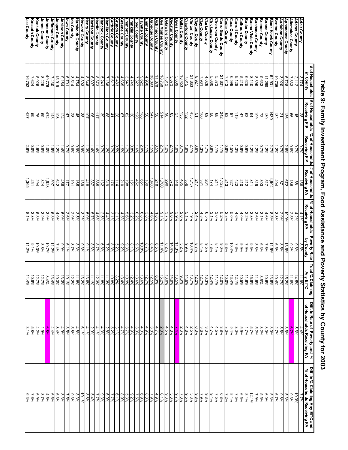|        |                                                                                                                                                                                                                                                                                                                                                                                                                                                                                                                                                                                                 |                                                                                                                                                                         |                                                                                                                                                                                                                                                                                                                                                                                                                                                                                                                                                                           |                                                                                                                                                                                                                         | <b>Poverty Rate</b>                                                                                                                                                                                                                                                                                                                                                                                                                                                                                                                                                                                                                                                                                                                                                                    | Total<br>% Claiming                                                                                                                                                                                                                                                                                                                                                                        | Diff. In Rate of Poverty and %                                                                                                                                                                                                                                                                                                                                                                                                                                                                                                                                                                                            | Diff. In % Claiming Any EITC and<br>% of Households Receiving FA                                                                                                                                                                                                                                                                                                                                                       |
|--------|-------------------------------------------------------------------------------------------------------------------------------------------------------------------------------------------------------------------------------------------------------------------------------------------------------------------------------------------------------------------------------------------------------------------------------------------------------------------------------------------------------------------------------------------------------------------------------------------------|-------------------------------------------------------------------------------------------------------------------------------------------------------------------------|---------------------------------------------------------------------------------------------------------------------------------------------------------------------------------------------------------------------------------------------------------------------------------------------------------------------------------------------------------------------------------------------------------------------------------------------------------------------------------------------------------------------------------------------------------------------------|-------------------------------------------------------------------------------------------------------------------------------------------------------------------------------------------------------------------------|----------------------------------------------------------------------------------------------------------------------------------------------------------------------------------------------------------------------------------------------------------------------------------------------------------------------------------------------------------------------------------------------------------------------------------------------------------------------------------------------------------------------------------------------------------------------------------------------------------------------------------------------------------------------------------------------------------------------------------------------------------------------------------------|--------------------------------------------------------------------------------------------------------------------------------------------------------------------------------------------------------------------------------------------------------------------------------------------------------------------------------------------------------------------------------------------|---------------------------------------------------------------------------------------------------------------------------------------------------------------------------------------------------------------------------------------------------------------------------------------------------------------------------------------------------------------------------------------------------------------------------------------------------------------------------------------------------------------------------------------------------------------------------------------------------------------------------|------------------------------------------------------------------------------------------------------------------------------------------------------------------------------------------------------------------------------------------------------------------------------------------------------------------------------------------------------------------------------------------------------------------------|
|        |                                                                                                                                                                                                                                                                                                                                                                                                                                                                                                                                                                                                 |                                                                                                                                                                         |                                                                                                                                                                                                                                                                                                                                                                                                                                                                                                                                                                           |                                                                                                                                                                                                                         |                                                                                                                                                                                                                                                                                                                                                                                                                                                                                                                                                                                                                                                                                                                                                                                        |                                                                                                                                                                                                                                                                                                                                                                                            |                                                                                                                                                                                                                                                                                                                                                                                                                                                                                                                                                                                                                           | 7.7%                                                                                                                                                                                                                                                                                                                                                                                                                   |
|        |                                                                                                                                                                                                                                                                                                                                                                                                                                                                                                                                                                                                 |                                                                                                                                                                         |                                                                                                                                                                                                                                                                                                                                                                                                                                                                                                                                                                           |                                                                                                                                                                                                                         |                                                                                                                                                                                                                                                                                                                                                                                                                                                                                                                                                                                                                                                                                                                                                                                        |                                                                                                                                                                                                                                                                                                                                                                                            |                                                                                                                                                                                                                                                                                                                                                                                                                                                                                                                                                                                                                           | 10.3%                                                                                                                                                                                                                                                                                                                                                                                                                  |
|        |                                                                                                                                                                                                                                                                                                                                                                                                                                                                                                                                                                                                 |                                                                                                                                                                         |                                                                                                                                                                                                                                                                                                                                                                                                                                                                                                                                                                           |                                                                                                                                                                                                                         |                                                                                                                                                                                                                                                                                                                                                                                                                                                                                                                                                                                                                                                                                                                                                                                        | 11.8%                                                                                                                                                                                                                                                                                                                                                                                      |                                                                                                                                                                                                                                                                                                                                                                                                                                                                                                                                                                                                                           | 9.3%<br>5.3%                                                                                                                                                                                                                                                                                                                                                                                                           |
|        |                                                                                                                                                                                                                                                                                                                                                                                                                                                                                                                                                                                                 |                                                                                                                                                                         |                                                                                                                                                                                                                                                                                                                                                                                                                                                                                                                                                                           | 10.0%                                                                                                                                                                                                                   | 13.6%                                                                                                                                                                                                                                                                                                                                                                                                                                                                                                                                                                                                                                                                                                                                                                                  |                                                                                                                                                                                                                                                                                                                                                                                            |                                                                                                                                                                                                                                                                                                                                                                                                                                                                                                                                                                                                                           |                                                                                                                                                                                                                                                                                                                                                                                                                        |
|        |                                                                                                                                                                                                                                                                                                                                                                                                                                                                                                                                                                                                 |                                                                                                                                                                         |                                                                                                                                                                                                                                                                                                                                                                                                                                                                                                                                                                           |                                                                                                                                                                                                                         |                                                                                                                                                                                                                                                                                                                                                                                                                                                                                                                                                                                                                                                                                                                                                                                        |                                                                                                                                                                                                                                                                                                                                                                                            |                                                                                                                                                                                                                                                                                                                                                                                                                                                                                                                                                                                                                           | $9.8\%$                                                                                                                                                                                                                                                                                                                                                                                                                |
|        |                                                                                                                                                                                                                                                                                                                                                                                                                                                                                                                                                                                                 |                                                                                                                                                                         |                                                                                                                                                                                                                                                                                                                                                                                                                                                                                                                                                                           |                                                                                                                                                                                                                         |                                                                                                                                                                                                                                                                                                                                                                                                                                                                                                                                                                                                                                                                                                                                                                                        |                                                                                                                                                                                                                                                                                                                                                                                            |                                                                                                                                                                                                                                                                                                                                                                                                                                                                                                                                                                                                                           | 6.7%<br>5.3%                                                                                                                                                                                                                                                                                                                                                                                                           |
|        |                                                                                                                                                                                                                                                                                                                                                                                                                                                                                                                                                                                                 |                                                                                                                                                                         |                                                                                                                                                                                                                                                                                                                                                                                                                                                                                                                                                                           |                                                                                                                                                                                                                         |                                                                                                                                                                                                                                                                                                                                                                                                                                                                                                                                                                                                                                                                                                                                                                                        |                                                                                                                                                                                                                                                                                                                                                                                            |                                                                                                                                                                                                                                                                                                                                                                                                                                                                                                                                                                                                                           |                                                                                                                                                                                                                                                                                                                                                                                                                        |
|        |                                                                                                                                                                                                                                                                                                                                                                                                                                                                                                                                                                                                 |                                                                                                                                                                         |                                                                                                                                                                                                                                                                                                                                                                                                                                                                                                                                                                           |                                                                                                                                                                                                                         |                                                                                                                                                                                                                                                                                                                                                                                                                                                                                                                                                                                                                                                                                                                                                                                        |                                                                                                                                                                                                                                                                                                                                                                                            |                                                                                                                                                                                                                                                                                                                                                                                                                                                                                                                                                                                                                           |                                                                                                                                                                                                                                                                                                                                                                                                                        |
|        |                                                                                                                                                                                                                                                                                                                                                                                                                                                                                                                                                                                                 |                                                                                                                                                                         |                                                                                                                                                                                                                                                                                                                                                                                                                                                                                                                                                                           |                                                                                                                                                                                                                         |                                                                                                                                                                                                                                                                                                                                                                                                                                                                                                                                                                                                                                                                                                                                                                                        |                                                                                                                                                                                                                                                                                                                                                                                            |                                                                                                                                                                                                                                                                                                                                                                                                                                                                                                                                                                                                                           | $\frac{6.0\%}{5.5\%}\frac{7.9\%}{2.1\%}$                                                                                                                                                                                                                                                                                                                                                                               |
|        |                                                                                                                                                                                                                                                                                                                                                                                                                                                                                                                                                                                                 |                                                                                                                                                                         |                                                                                                                                                                                                                                                                                                                                                                                                                                                                                                                                                                           |                                                                                                                                                                                                                         |                                                                                                                                                                                                                                                                                                                                                                                                                                                                                                                                                                                                                                                                                                                                                                                        |                                                                                                                                                                                                                                                                                                                                                                                            |                                                                                                                                                                                                                                                                                                                                                                                                                                                                                                                                                                                                                           |                                                                                                                                                                                                                                                                                                                                                                                                                        |
|        |                                                                                                                                                                                                                                                                                                                                                                                                                                                                                                                                                                                                 |                                                                                                                                                                         |                                                                                                                                                                                                                                                                                                                                                                                                                                                                                                                                                                           |                                                                                                                                                                                                                         |                                                                                                                                                                                                                                                                                                                                                                                                                                                                                                                                                                                                                                                                                                                                                                                        |                                                                                                                                                                                                                                                                                                                                                                                            |                                                                                                                                                                                                                                                                                                                                                                                                                                                                                                                                                                                                                           | 8.4%<br>8.5%                                                                                                                                                                                                                                                                                                                                                                                                           |
|        |                                                                                                                                                                                                                                                                                                                                                                                                                                                                                                                                                                                                 |                                                                                                                                                                         |                                                                                                                                                                                                                                                                                                                                                                                                                                                                                                                                                                           |                                                                                                                                                                                                                         |                                                                                                                                                                                                                                                                                                                                                                                                                                                                                                                                                                                                                                                                                                                                                                                        |                                                                                                                                                                                                                                                                                                                                                                                            |                                                                                                                                                                                                                                                                                                                                                                                                                                                                                                                                                                                                                           | 7.5%                                                                                                                                                                                                                                                                                                                                                                                                                   |
|        |                                                                                                                                                                                                                                                                                                                                                                                                                                                                                                                                                                                                 |                                                                                                                                                                         |                                                                                                                                                                                                                                                                                                                                                                                                                                                                                                                                                                           |                                                                                                                                                                                                                         |                                                                                                                                                                                                                                                                                                                                                                                                                                                                                                                                                                                                                                                                                                                                                                                        |                                                                                                                                                                                                                                                                                                                                                                                            |                                                                                                                                                                                                                                                                                                                                                                                                                                                                                                                                                                                                                           |                                                                                                                                                                                                                                                                                                                                                                                                                        |
|        |                                                                                                                                                                                                                                                                                                                                                                                                                                                                                                                                                                                                 |                                                                                                                                                                         |                                                                                                                                                                                                                                                                                                                                                                                                                                                                                                                                                                           |                                                                                                                                                                                                                         |                                                                                                                                                                                                                                                                                                                                                                                                                                                                                                                                                                                                                                                                                                                                                                                        |                                                                                                                                                                                                                                                                                                                                                                                            |                                                                                                                                                                                                                                                                                                                                                                                                                                                                                                                                                                                                                           |                                                                                                                                                                                                                                                                                                                                                                                                                        |
|        |                                                                                                                                                                                                                                                                                                                                                                                                                                                                                                                                                                                                 |                                                                                                                                                                         |                                                                                                                                                                                                                                                                                                                                                                                                                                                                                                                                                                           |                                                                                                                                                                                                                         |                                                                                                                                                                                                                                                                                                                                                                                                                                                                                                                                                                                                                                                                                                                                                                                        |                                                                                                                                                                                                                                                                                                                                                                                            |                                                                                                                                                                                                                                                                                                                                                                                                                                                                                                                                                                                                                           |                                                                                                                                                                                                                                                                                                                                                                                                                        |
|        |                                                                                                                                                                                                                                                                                                                                                                                                                                                                                                                                                                                                 | 1.1%                                                                                                                                                                    |                                                                                                                                                                                                                                                                                                                                                                                                                                                                                                                                                                           |                                                                                                                                                                                                                         |                                                                                                                                                                                                                                                                                                                                                                                                                                                                                                                                                                                                                                                                                                                                                                                        |                                                                                                                                                                                                                                                                                                                                                                                            |                                                                                                                                                                                                                                                                                                                                                                                                                                                                                                                                                                                                                           |                                                                                                                                                                                                                                                                                                                                                                                                                        |
|        |                                                                                                                                                                                                                                                                                                                                                                                                                                                                                                                                                                                                 |                                                                                                                                                                         |                                                                                                                                                                                                                                                                                                                                                                                                                                                                                                                                                                           |                                                                                                                                                                                                                         |                                                                                                                                                                                                                                                                                                                                                                                                                                                                                                                                                                                                                                                                                                                                                                                        |                                                                                                                                                                                                                                                                                                                                                                                            |                                                                                                                                                                                                                                                                                                                                                                                                                                                                                                                                                                                                                           |                                                                                                                                                                                                                                                                                                                                                                                                                        |
|        |                                                                                                                                                                                                                                                                                                                                                                                                                                                                                                                                                                                                 |                                                                                                                                                                         |                                                                                                                                                                                                                                                                                                                                                                                                                                                                                                                                                                           |                                                                                                                                                                                                                         |                                                                                                                                                                                                                                                                                                                                                                                                                                                                                                                                                                                                                                                                                                                                                                                        |                                                                                                                                                                                                                                                                                                                                                                                            |                                                                                                                                                                                                                                                                                                                                                                                                                                                                                                                                                                                                                           |                                                                                                                                                                                                                                                                                                                                                                                                                        |
|        |                                                                                                                                                                                                                                                                                                                                                                                                                                                                                                                                                                                                 |                                                                                                                                                                         |                                                                                                                                                                                                                                                                                                                                                                                                                                                                                                                                                                           |                                                                                                                                                                                                                         |                                                                                                                                                                                                                                                                                                                                                                                                                                                                                                                                                                                                                                                                                                                                                                                        |                                                                                                                                                                                                                                                                                                                                                                                            |                                                                                                                                                                                                                                                                                                                                                                                                                                                                                                                                                                                                                           |                                                                                                                                                                                                                                                                                                                                                                                                                        |
|        |                                                                                                                                                                                                                                                                                                                                                                                                                                                                                                                                                                                                 |                                                                                                                                                                         |                                                                                                                                                                                                                                                                                                                                                                                                                                                                                                                                                                           |                                                                                                                                                                                                                         |                                                                                                                                                                                                                                                                                                                                                                                                                                                                                                                                                                                                                                                                                                                                                                                        |                                                                                                                                                                                                                                                                                                                                                                                            |                                                                                                                                                                                                                                                                                                                                                                                                                                                                                                                                                                                                                           |                                                                                                                                                                                                                                                                                                                                                                                                                        |
|        |                                                                                                                                                                                                                                                                                                                                                                                                                                                                                                                                                                                                 |                                                                                                                                                                         |                                                                                                                                                                                                                                                                                                                                                                                                                                                                                                                                                                           |                                                                                                                                                                                                                         |                                                                                                                                                                                                                                                                                                                                                                                                                                                                                                                                                                                                                                                                                                                                                                                        |                                                                                                                                                                                                                                                                                                                                                                                            |                                                                                                                                                                                                                                                                                                                                                                                                                                                                                                                                                                                                                           |                                                                                                                                                                                                                                                                                                                                                                                                                        |
|        |                                                                                                                                                                                                                                                                                                                                                                                                                                                                                                                                                                                                 |                                                                                                                                                                         |                                                                                                                                                                                                                                                                                                                                                                                                                                                                                                                                                                           |                                                                                                                                                                                                                         |                                                                                                                                                                                                                                                                                                                                                                                                                                                                                                                                                                                                                                                                                                                                                                                        |                                                                                                                                                                                                                                                                                                                                                                                            |                                                                                                                                                                                                                                                                                                                                                                                                                                                                                                                                                                                                                           |                                                                                                                                                                                                                                                                                                                                                                                                                        |
|        |                                                                                                                                                                                                                                                                                                                                                                                                                                                                                                                                                                                                 |                                                                                                                                                                         |                                                                                                                                                                                                                                                                                                                                                                                                                                                                                                                                                                           |                                                                                                                                                                                                                         |                                                                                                                                                                                                                                                                                                                                                                                                                                                                                                                                                                                                                                                                                                                                                                                        |                                                                                                                                                                                                                                                                                                                                                                                            |                                                                                                                                                                                                                                                                                                                                                                                                                                                                                                                                                                                                                           |                                                                                                                                                                                                                                                                                                                                                                                                                        |
|        |                                                                                                                                                                                                                                                                                                                                                                                                                                                                                                                                                                                                 |                                                                                                                                                                         |                                                                                                                                                                                                                                                                                                                                                                                                                                                                                                                                                                           |                                                                                                                                                                                                                         |                                                                                                                                                                                                                                                                                                                                                                                                                                                                                                                                                                                                                                                                                                                                                                                        |                                                                                                                                                                                                                                                                                                                                                                                            |                                                                                                                                                                                                                                                                                                                                                                                                                                                                                                                                                                                                                           |                                                                                                                                                                                                                                                                                                                                                                                                                        |
|        |                                                                                                                                                                                                                                                                                                                                                                                                                                                                                                                                                                                                 |                                                                                                                                                                         |                                                                                                                                                                                                                                                                                                                                                                                                                                                                                                                                                                           |                                                                                                                                                                                                                         |                                                                                                                                                                                                                                                                                                                                                                                                                                                                                                                                                                                                                                                                                                                                                                                        |                                                                                                                                                                                                                                                                                                                                                                                            |                                                                                                                                                                                                                                                                                                                                                                                                                                                                                                                                                                                                                           |                                                                                                                                                                                                                                                                                                                                                                                                                        |
|        |                                                                                                                                                                                                                                                                                                                                                                                                                                                                                                                                                                                                 |                                                                                                                                                                         |                                                                                                                                                                                                                                                                                                                                                                                                                                                                                                                                                                           |                                                                                                                                                                                                                         |                                                                                                                                                                                                                                                                                                                                                                                                                                                                                                                                                                                                                                                                                                                                                                                        |                                                                                                                                                                                                                                                                                                                                                                                            |                                                                                                                                                                                                                                                                                                                                                                                                                                                                                                                                                                                                                           |                                                                                                                                                                                                                                                                                                                                                                                                                        |
|        |                                                                                                                                                                                                                                                                                                                                                                                                                                                                                                                                                                                                 |                                                                                                                                                                         |                                                                                                                                                                                                                                                                                                                                                                                                                                                                                                                                                                           |                                                                                                                                                                                                                         |                                                                                                                                                                                                                                                                                                                                                                                                                                                                                                                                                                                                                                                                                                                                                                                        |                                                                                                                                                                                                                                                                                                                                                                                            |                                                                                                                                                                                                                                                                                                                                                                                                                                                                                                                                                                                                                           |                                                                                                                                                                                                                                                                                                                                                                                                                        |
|        |                                                                                                                                                                                                                                                                                                                                                                                                                                                                                                                                                                                                 |                                                                                                                                                                         |                                                                                                                                                                                                                                                                                                                                                                                                                                                                                                                                                                           |                                                                                                                                                                                                                         |                                                                                                                                                                                                                                                                                                                                                                                                                                                                                                                                                                                                                                                                                                                                                                                        |                                                                                                                                                                                                                                                                                                                                                                                            |                                                                                                                                                                                                                                                                                                                                                                                                                                                                                                                                                                                                                           |                                                                                                                                                                                                                                                                                                                                                                                                                        |
|        |                                                                                                                                                                                                                                                                                                                                                                                                                                                                                                                                                                                                 |                                                                                                                                                                         |                                                                                                                                                                                                                                                                                                                                                                                                                                                                                                                                                                           |                                                                                                                                                                                                                         |                                                                                                                                                                                                                                                                                                                                                                                                                                                                                                                                                                                                                                                                                                                                                                                        |                                                                                                                                                                                                                                                                                                                                                                                            |                                                                                                                                                                                                                                                                                                                                                                                                                                                                                                                                                                                                                           |                                                                                                                                                                                                                                                                                                                                                                                                                        |
|        |                                                                                                                                                                                                                                                                                                                                                                                                                                                                                                                                                                                                 |                                                                                                                                                                         |                                                                                                                                                                                                                                                                                                                                                                                                                                                                                                                                                                           |                                                                                                                                                                                                                         |                                                                                                                                                                                                                                                                                                                                                                                                                                                                                                                                                                                                                                                                                                                                                                                        |                                                                                                                                                                                                                                                                                                                                                                                            |                                                                                                                                                                                                                                                                                                                                                                                                                                                                                                                                                                                                                           |                                                                                                                                                                                                                                                                                                                                                                                                                        |
|        |                                                                                                                                                                                                                                                                                                                                                                                                                                                                                                                                                                                                 |                                                                                                                                                                         |                                                                                                                                                                                                                                                                                                                                                                                                                                                                                                                                                                           |                                                                                                                                                                                                                         |                                                                                                                                                                                                                                                                                                                                                                                                                                                                                                                                                                                                                                                                                                                                                                                        |                                                                                                                                                                                                                                                                                                                                                                                            |                                                                                                                                                                                                                                                                                                                                                                                                                                                                                                                                                                                                                           |                                                                                                                                                                                                                                                                                                                                                                                                                        |
|        |                                                                                                                                                                                                                                                                                                                                                                                                                                                                                                                                                                                                 |                                                                                                                                                                         |                                                                                                                                                                                                                                                                                                                                                                                                                                                                                                                                                                           |                                                                                                                                                                                                                         |                                                                                                                                                                                                                                                                                                                                                                                                                                                                                                                                                                                                                                                                                                                                                                                        |                                                                                                                                                                                                                                                                                                                                                                                            |                                                                                                                                                                                                                                                                                                                                                                                                                                                                                                                                                                                                                           | $\frac{6.1\%}{7.7\%}$                                                                                                                                                                                                                                                                                                                                                                                                  |
|        |                                                                                                                                                                                                                                                                                                                                                                                                                                                                                                                                                                                                 |                                                                                                                                                                         |                                                                                                                                                                                                                                                                                                                                                                                                                                                                                                                                                                           |                                                                                                                                                                                                                         |                                                                                                                                                                                                                                                                                                                                                                                                                                                                                                                                                                                                                                                                                                                                                                                        |                                                                                                                                                                                                                                                                                                                                                                                            |                                                                                                                                                                                                                                                                                                                                                                                                                                                                                                                                                                                                                           |                                                                                                                                                                                                                                                                                                                                                                                                                        |
|        |                                                                                                                                                                                                                                                                                                                                                                                                                                                                                                                                                                                                 |                                                                                                                                                                         |                                                                                                                                                                                                                                                                                                                                                                                                                                                                                                                                                                           |                                                                                                                                                                                                                         |                                                                                                                                                                                                                                                                                                                                                                                                                                                                                                                                                                                                                                                                                                                                                                                        |                                                                                                                                                                                                                                                                                                                                                                                            |                                                                                                                                                                                                                                                                                                                                                                                                                                                                                                                                                                                                                           | 89%<br>23%<br>2.7%                                                                                                                                                                                                                                                                                                                                                                                                     |
| 8,373  |                                                                                                                                                                                                                                                                                                                                                                                                                                                                                                                                                                                                 | 1.4%                                                                                                                                                                    |                                                                                                                                                                                                                                                                                                                                                                                                                                                                                                                                                                           | $4.6\%$                                                                                                                                                                                                                 |                                                                                                                                                                                                                                                                                                                                                                                                                                                                                                                                                                                                                                                                                                                                                                                        |                                                                                                                                                                                                                                                                                                                                                                                            |                                                                                                                                                                                                                                                                                                                                                                                                                                                                                                                                                                                                                           |                                                                                                                                                                                                                                                                                                                                                                                                                        |
|        |                                                                                                                                                                                                                                                                                                                                                                                                                                                                                                                                                                                                 |                                                                                                                                                                         |                                                                                                                                                                                                                                                                                                                                                                                                                                                                                                                                                                           |                                                                                                                                                                                                                         |                                                                                                                                                                                                                                                                                                                                                                                                                                                                                                                                                                                                                                                                                                                                                                                        |                                                                                                                                                                                                                                                                                                                                                                                            |                                                                                                                                                                                                                                                                                                                                                                                                                                                                                                                                                                                                                           |                                                                                                                                                                                                                                                                                                                                                                                                                        |
|        |                                                                                                                                                                                                                                                                                                                                                                                                                                                                                                                                                                                                 |                                                                                                                                                                         |                                                                                                                                                                                                                                                                                                                                                                                                                                                                                                                                                                           |                                                                                                                                                                                                                         |                                                                                                                                                                                                                                                                                                                                                                                                                                                                                                                                                                                                                                                                                                                                                                                        |                                                                                                                                                                                                                                                                                                                                                                                            |                                                                                                                                                                                                                                                                                                                                                                                                                                                                                                                                                                                                                           |                                                                                                                                                                                                                                                                                                                                                                                                                        |
|        |                                                                                                                                                                                                                                                                                                                                                                                                                                                                                                                                                                                                 |                                                                                                                                                                         |                                                                                                                                                                                                                                                                                                                                                                                                                                                                                                                                                                           |                                                                                                                                                                                                                         |                                                                                                                                                                                                                                                                                                                                                                                                                                                                                                                                                                                                                                                                                                                                                                                        |                                                                                                                                                                                                                                                                                                                                                                                            |                                                                                                                                                                                                                                                                                                                                                                                                                                                                                                                                                                                                                           | 9<br>410-18<br>98-18<br>98-18                                                                                                                                                                                                                                                                                                                                                                                          |
|        |                                                                                                                                                                                                                                                                                                                                                                                                                                                                                                                                                                                                 |                                                                                                                                                                         |                                                                                                                                                                                                                                                                                                                                                                                                                                                                                                                                                                           |                                                                                                                                                                                                                         |                                                                                                                                                                                                                                                                                                                                                                                                                                                                                                                                                                                                                                                                                                                                                                                        |                                                                                                                                                                                                                                                                                                                                                                                            |                                                                                                                                                                                                                                                                                                                                                                                                                                                                                                                                                                                                                           |                                                                                                                                                                                                                                                                                                                                                                                                                        |
|        |                                                                                                                                                                                                                                                                                                                                                                                                                                                                                                                                                                                                 |                                                                                                                                                                         |                                                                                                                                                                                                                                                                                                                                                                                                                                                                                                                                                                           |                                                                                                                                                                                                                         |                                                                                                                                                                                                                                                                                                                                                                                                                                                                                                                                                                                                                                                                                                                                                                                        |                                                                                                                                                                                                                                                                                                                                                                                            |                                                                                                                                                                                                                                                                                                                                                                                                                                                                                                                                                                                                                           |                                                                                                                                                                                                                                                                                                                                                                                                                        |
| 9,164  | 124                                                                                                                                                                                                                                                                                                                                                                                                                                                                                                                                                                                             | $1.4\%$                                                                                                                                                                 |                                                                                                                                                                                                                                                                                                                                                                                                                                                                                                                                                                           | $5.0\%$                                                                                                                                                                                                                 | 9.9%                                                                                                                                                                                                                                                                                                                                                                                                                                                                                                                                                                                                                                                                                                                                                                                   | 13.3%                                                                                                                                                                                                                                                                                                                                                                                      | 4.9%                                                                                                                                                                                                                                                                                                                                                                                                                                                                                                                                                                                                                      | 7.5%<br>8.3%                                                                                                                                                                                                                                                                                                                                                                                                           |
|        |                                                                                                                                                                                                                                                                                                                                                                                                                                                                                                                                                                                                 |                                                                                                                                                                         |                                                                                                                                                                                                                                                                                                                                                                                                                                                                                                                                                                           |                                                                                                                                                                                                                         |                                                                                                                                                                                                                                                                                                                                                                                                                                                                                                                                                                                                                                                                                                                                                                                        |                                                                                                                                                                                                                                                                                                                                                                                            |                                                                                                                                                                                                                                                                                                                                                                                                                                                                                                                                                                                                                           | 6.3%                                                                                                                                                                                                                                                                                                                                                                                                                   |
|        |                                                                                                                                                                                                                                                                                                                                                                                                                                                                                                                                                                                                 |                                                                                                                                                                         |                                                                                                                                                                                                                                                                                                                                                                                                                                                                                                                                                                           |                                                                                                                                                                                                                         |                                                                                                                                                                                                                                                                                                                                                                                                                                                                                                                                                                                                                                                                                                                                                                                        |                                                                                                                                                                                                                                                                                                                                                                                            |                                                                                                                                                                                                                                                                                                                                                                                                                                                                                                                                                                                                                           |                                                                                                                                                                                                                                                                                                                                                                                                                        |
|        |                                                                                                                                                                                                                                                                                                                                                                                                                                                                                                                                                                                                 |                                                                                                                                                                         |                                                                                                                                                                                                                                                                                                                                                                                                                                                                                                                                                                           |                                                                                                                                                                                                                         |                                                                                                                                                                                                                                                                                                                                                                                                                                                                                                                                                                                                                                                                                                                                                                                        |                                                                                                                                                                                                                                                                                                                                                                                            |                                                                                                                                                                                                                                                                                                                                                                                                                                                                                                                                                                                                                           | 4.5%                                                                                                                                                                                                                                                                                                                                                                                                                   |
|        |                                                                                                                                                                                                                                                                                                                                                                                                                                                                                                                                                                                                 |                                                                                                                                                                         |                                                                                                                                                                                                                                                                                                                                                                                                                                                                                                                                                                           |                                                                                                                                                                                                                         |                                                                                                                                                                                                                                                                                                                                                                                                                                                                                                                                                                                                                                                                                                                                                                                        |                                                                                                                                                                                                                                                                                                                                                                                            |                                                                                                                                                                                                                                                                                                                                                                                                                                                                                                                                                                                                                           | 8.7%                                                                                                                                                                                                                                                                                                                                                                                                                   |
|        |                                                                                                                                                                                                                                                                                                                                                                                                                                                                                                                                                                                                 |                                                                                                                                                                         |                                                                                                                                                                                                                                                                                                                                                                                                                                                                                                                                                                           |                                                                                                                                                                                                                         |                                                                                                                                                                                                                                                                                                                                                                                                                                                                                                                                                                                                                                                                                                                                                                                        |                                                                                                                                                                                                                                                                                                                                                                                            |                                                                                                                                                                                                                                                                                                                                                                                                                                                                                                                                                                                                                           | 6.9%<br>$7.6\%$                                                                                                                                                                                                                                                                                                                                                                                                        |
| 16,752 | 427                                                                                                                                                                                                                                                                                                                                                                                                                                                                                                                                                                                             | 2.6%                                                                                                                                                                    | 1,365                                                                                                                                                                                                                                                                                                                                                                                                                                                                                                                                                                     |                                                                                                                                                                                                                         | 11.2%                                                                                                                                                                                                                                                                                                                                                                                                                                                                                                                                                                                                                                                                                                                                                                                  | 14.4%                                                                                                                                                                                                                                                                                                                                                                                      | $3.1\%$                                                                                                                                                                                                                                                                                                                                                                                                                                                                                                                                                                                                                   | 6.3%                                                                                                                                                                                                                                                                                                                                                                                                                   |
|        | in County<br>$\frac{16,768}{11,878}$ $\frac{4,930}{9,622}$ $\frac{4,930}{7,327}$ $\frac{9,622}{7,327}$<br>52,931<br>3,774<br>49,776<br>$\frac{7,961}{8,927}$<br>$\frac{8,927}{21,863}$<br>$\frac{21,601}{5,873}$<br>$\frac{11288}{8833}$ $\frac{8889}{88140}$ $\frac{6825}{5,210}$<br>$\frac{8,229}{5,025}$<br>6,701<br>$rac{6,807}{8,346}$<br>5,241<br>$6,599$<br>7,743<br>9,128<br>7,624<br>3,514<br>4,754<br>4,393<br>4,749<br>$\frac{18,453}{3,809}$ $\frac{3,873}{7,812}$<br>$\frac{5,660}{4,028}$<br>10,705<br>$\frac{2,112}{7,333}$<br>6,728<br>$\frac{15,919}{7,430}$<br>7,015<br>3,020 | Receiving FIP<br> 원 <mark>월 회 회</mark> 회 <br>474<br>$\frac{193}{143}$<br>$rac{21}{132}$<br>898<br>$\frac{8}{5}$ $\frac{8}{8}$ $\frac{1}{6}$ $\frac{8}{5}$<br>28<br>高8 하 | # of Households   # of Households  % of Households<br>Receiving FIP<br>0.7%<br>$0.8\%$<br>$\frac{1}{88}$<br>$\frac{1}{88}$<br>$\frac{1}{88}$<br>$\frac{1}{88}$<br>27%<br>27%%%<br>$\frac{0.7\%}{1.0\%}$<br>$\frac{0.6\%}{2.1\%}$<br>$0.7\%$<br>$\frac{0.8\%}{2.8\%}$<br>0.7%<br>$0.8\%$<br>0.9%<br>0.9%<br>$0.7\%$<br>0.7%<br>$0.5\%$<br>4.9%<br>1.3%<br>$1.7\%$<br>$0.9\%$<br>$0.8\%$<br>1.2%%%<br>$\frac{1.2%}{0.7%}$<br>2.7%<br>$0.7\%$<br>$1.5\%$<br>$0.8\%$<br>1.2%<br>$\frac{1.4\%}{1.3\%}$<br>1.2%<br>2.0%<br>1.2%<br>1.1%<br>$1.5\%$<br>$1.3\%$<br>1.2%<br>$-0\%$ | # of Households<br>Receiving FA<br>$\frac{4,504}{517}$<br>213<br>$\frac{375}{272}$<br>303<br>$\frac{4}{3}$<br>404<br>$ \mathbb{E} \mathbb{E}$<br>$\overrightarrow{99}$<br>324<br>294<br>,928<br>$rac{101}{1}$<br>$88\,$ | % of Households<br>Receiving FA<br>$\begin{array}{l c}9.1 & 4 & 6 & 6 & 6 & 6 \\ \hline 1 & 8 & 6 & 8 & 8 & 6 \\ \hline 2 & 8 & 8 & 8 & 8 & 8 \\ \hline 3 & 8 & 8 & 8 & 8 & 8 \\ \hline \end{array}$<br>9<br>1698<br>21998<br>21998<br>$\begin{array}{r} 3.1\% \\ 6.5\% \\ \hline 7.9\% \\ 7.9\% \end{array}$<br>$\begin{array}{r l} \hline 5088 \\ -18288 \\ -18288 \\ \hline \end{array}$<br>$\begin{array}{r} 4.6\% \\ 3.7\% \\ -1.8\% \\ \hline \end{array}$<br>$8.5\%$<br>4.1%<br>$\begin{array}{l c} 3 & 8 & 8 \ 8 & 3 & 3 \ 8 & 1 & 9 \ 1 & 1 & 8 \ \end{array}$<br>$\frac{4.0\%}{6.8\%}$<br><u> ၁၂၀၂၀ ၁၂၀၂၀</u><br>၂၁၀၀၀ ၁၉<br>၁၉ ၂၁ ၁၉ ၁၉<br>4.4%<br>$rac{5.6\%}{4.5\%}$<br>$4.6\%$<br>4.0%<br>2.9%<br>3.8%<br>3.9%<br>2.5%<br>$\frac{2.1\%}{3.1\%}$<br>$\frac{4.2\%}{2.5\%}$ | by County<br>$\frac{10.4\%}{\frac{5.8\%}{8.0\%}}$<br>8.5%<br>8.1%<br>$\frac{6.5\%}{8.7\%}$<br>11.4%<br>$14.4\%$<br>8.2%<br>$\frac{8.7\%}{10.4\%}$<br>88%<br>8.8%<br>8.4%<br>8.5%<br>$9.1\%$<br>$6.1\%$<br>8.7%<br>10.8%<br>%6' 4<br>%6' 4<br>7.68%<br>69%%%<br>8.5%<br>6.5%<br>$9.2\%$<br>10.0%<br>8.8%<br>10.7%<br>$\frac{7.4\%}{11.2\%}$<br>5.2%<br>11.3%<br>$7.6\%$<br>11.5%<br>$9.8\%$ | <b>Any EITC</b><br>%6'LL<br>10.6%<br>86%<br>86%%<br>$10.3\%$<br>13.4%<br>$\begin{array}{r l} \hline 11.988 \\ 13.688 \\ \hline 13.288 \\ \hline 12.288 \\ \hline \end{array}$<br>$\frac{11.8\%}{12.3\%}$<br>$\begin{array}{r l} 13.6\% \\ 12.4\% \\ \hline 12.4\% \\ \hline 13.8\% \\ \hline 14.3\% \\ \hline \end{array}$<br>$\begin{array}{r l}\n\hline\n15.2\% \\ \hline\n0.55\% \\ \hline\n12.5\% \\ \hline\n13.6\% \\ \hline\n\end{array}$<br>$\frac{10.0\%}{12.0\%}$<br>13.4%<br>10.4%<br>15.2%<br>12.7%<br>14.5%<br>12.7%<br>10.1%<br>14.9%<br>$\frac{10.5\%}{12.1\%}$<br>10.9%<br>12.7%<br>13.0%<br>13.8%<br>8.4% | of Households Receiving FA<br>4.4%<br>5.8%<br>$\frac{3.4\%}{4.4\%}$<br>$\frac{2.9\%}{6.1\%}$<br>$4.3\%$<br>4.1%<br>$\frac{3.1\%}{2.8\%}$<br>$\begin{array}{r} 2181 \\ 238 \\ 888 \\ 888 \\ \end{array}$<br>$\begin{array}{l c}3.088\\ \hline 0.2288\\ \hline 5.7\% \end{array}$<br>5.6%<br><mark>6.7%</mark><br>4.8%<br>5.8%<br>3.5%<br>$\frac{4.7\%}{5.9\%}$<br>$3.0\%$<br>5.6%<br>2.7%<br>$4.2\%$<br>4.9%<br>$6.8\%$ |

# Table 9: Family Investment Program, Food Assistance and Poverty Statistics by County for 2003 **Table 9: Family Investment Program, Food Assistance and Poverty Statistics by County for 2003**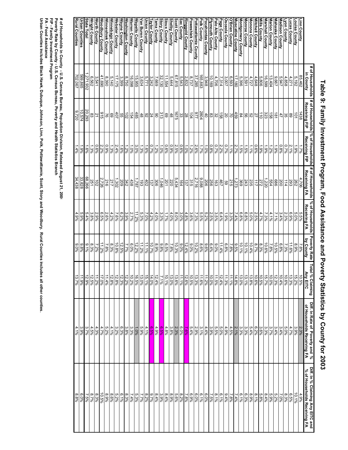|                                              | # of Households<br>in County                   | Receiving FIP                                                                                                                                                                                                                                                                                                                                                                                                                         | Receiving FIP                                   | Receiving FA                                                                                                                                                                                                                                                                                                                                                      | % of Households<br>Receiving FA | <b>Poverty Rate</b><br>by County      | Total<br><b>Any EITC</b><br>l % Claiming                                                                                                                                                                                                                                                                                           | Diff. In Rate of Poverty and %<br>of Households Receiving FA | Diff. In % Claiming Any ElTC and<br>% of Households Receiving FA |
|----------------------------------------------|------------------------------------------------|---------------------------------------------------------------------------------------------------------------------------------------------------------------------------------------------------------------------------------------------------------------------------------------------------------------------------------------------------------------------------------------------------------------------------------------|-------------------------------------------------|-------------------------------------------------------------------------------------------------------------------------------------------------------------------------------------------------------------------------------------------------------------------------------------------------------------------------------------------------------------------|---------------------------------|---------------------------------------|------------------------------------------------------------------------------------------------------------------------------------------------------------------------------------------------------------------------------------------------------------------------------------------------------------------------------------|--------------------------------------------------------------|------------------------------------------------------------------|
|                                              |                                                | 1438                                                                                                                                                                                                                                                                                                                                                                                                                                  | 1.7%                                            | 4,706                                                                                                                                                                                                                                                                                                                                                             |                                 | $7.8\%$                               |                                                                                                                                                                                                                                                                                                                                    | 2.3%                                                         | 4.9%                                                             |
| Linn County<br>Louisa County<br>Lucas County | $\frac{85,462}{5,192}$                         |                                                                                                                                                                                                                                                                                                                                                                                                                                       | $-9\%$                                          |                                                                                                                                                                                                                                                                                                                                                                   | 5.5%<br>8.0%                    | $8.9\%$                               | $\frac{10.5\%}{15.2\%}$                                                                                                                                                                                                                                                                                                            | $3.9\%$                                                      | 10.1%                                                            |
|                                              | 4,271                                          | 이 이                                                                                                                                                                                                                                                                                                                                                                                                                                   | 2.1%                                            | 262<br>293                                                                                                                                                                                                                                                                                                                                                        | 6.9%                            | 11.6%                                 |                                                                                                                                                                                                                                                                                                                                    | $4.7\%$                                                      | $6.5\%$                                                          |
| Lyon County                                  | 4,858                                          |                                                                                                                                                                                                                                                                                                                                                                                                                                       | 0.7%                                            | 114                                                                                                                                                                                                                                                                                                                                                               | 2.3%                            | 7.3%                                  | 10.6%                                                                                                                                                                                                                                                                                                                              | 5.0%                                                         | 8.3%                                                             |
|                                              | 5,947                                          | 35                                                                                                                                                                                                                                                                                                                                                                                                                                    | $0.8\%$                                         |                                                                                                                                                                                                                                                                                                                                                                   | 3.4%                            | 6.8%                                  | 10.4%                                                                                                                                                                                                                                                                                                                              | 3.4%                                                         | 7.0%                                                             |
| Madison County<br>Mahaska County             | 9,667                                          |                                                                                                                                                                                                                                                                                                                                                                                                                                       | $-59%$                                          |                                                                                                                                                                                                                                                                                                                                                                   | $7.1\%$                         | 10.5%                                 |                                                                                                                                                                                                                                                                                                                                    | 3.4%                                                         | 5.2%                                                             |
| Marion County                                | 13,404                                         | $rac{181}{158}$                                                                                                                                                                                                                                                                                                                                                                                                                       | $1.2\%$                                         | $\frac{200}{554}$                                                                                                                                                                                                                                                                                                                                                 | 4.1%                            | 7.896                                 | 12.3%<br>10.0%                                                                                                                                                                                                                                                                                                                     | 3.7%                                                         | 5.9%                                                             |
| <b>Aarshall County</b>                       | 16,599                                         | 323                                                                                                                                                                                                                                                                                                                                                                                                                                   | $-9%$                                           | 1,220                                                                                                                                                                                                                                                                                                                                                             | 7.3%                            | 10.6%                                 | 15.7%                                                                                                                                                                                                                                                                                                                              | 3.3%                                                         | 8.4%                                                             |
| dills County                                 | 5,806                                          | $\frac{1}{5}$                                                                                                                                                                                                                                                                                                                                                                                                                         | 1.9%                                            |                                                                                                                                                                                                                                                                                                                                                                   | 4.7%                            | 8.3%                                  | 10.5%                                                                                                                                                                                                                                                                                                                              | 3.6%                                                         | 5.8%                                                             |
| Mitchell County                              | 4,648                                          |                                                                                                                                                                                                                                                                                                                                                                                                                                       | $0.6\%$                                         | $\frac{21}{21} = \frac{21}{21} = \frac{21}{21} = \frac{21}{21} = \frac{21}{21} = \frac{21}{21} = \frac{21}{21} = \frac{21}{21} = \frac{21}{21} = \frac{21}{21} = \frac{21}{21} = \frac{21}{21} = \frac{21}{21} = \frac{21}{21} = \frac{21}{21} = \frac{21}{21} = \frac{21}{21} = \frac{21}{21} = \frac{21}{21} = \frac{21}{21} = \frac{21}{21} = \frac{21}{21} =$ | 2.5%                            | 8.7%                                  | $\begin{array}{c c c c c c} \hline 12888 & 12188 \\ 121888 & 12188 \\ 12188 & 12188 \\ \hline \end{array}$                                                                                                                                                                                                                         | $6.2\%$                                                      | $8.1\%$                                                          |
| <b>Aonona County</b>                         | $\frac{4,727}{3,591}$<br>5,396                 |                                                                                                                                                                                                                                                                                                                                                                                                                                       | $1.1\%$                                         |                                                                                                                                                                                                                                                                                                                                                                   | 5.0%                            | 10.4%                                 |                                                                                                                                                                                                                                                                                                                                    | 5.4%                                                         | 8.9%<br>6.3%                                                     |
| <b>Ionroe County</b>                         |                                                |                                                                                                                                                                                                                                                                                                                                                                                                                                       |                                                 |                                                                                                                                                                                                                                                                                                                                                                   |                                 | 10.1%                                 |                                                                                                                                                                                                                                                                                                                                    | $3.3\%$                                                      |                                                                  |
| <b>Annagomery County</b>                     |                                                |                                                                                                                                                                                                                                                                                                                                                                                                                                       | $rac{1.5\%}{1.5\%}$                             |                                                                                                                                                                                                                                                                                                                                                                   | $6.8\%$<br>6.8%                 | 10.1%                                 |                                                                                                                                                                                                                                                                                                                                    | $3.3\%$                                                      | $6.1\%$                                                          |
| luscatine County                             | 17,180                                         |                                                                                                                                                                                                                                                                                                                                                                                                                                       | 2.7%                                            |                                                                                                                                                                                                                                                                                                                                                                   | 7.4%                            | $9.5\%$                               |                                                                                                                                                                                                                                                                                                                                    | 2.1%                                                         | $7.4\%$                                                          |
| O'Brien County                               | 6,593                                          |                                                                                                                                                                                                                                                                                                                                                                                                                                       | 1.1%                                            |                                                                                                                                                                                                                                                                                                                                                                   | $3.3\%$                         | 7.8%                                  | 11.1%                                                                                                                                                                                                                                                                                                                              | 4.5%                                                         | 7.8%                                                             |
| <b>Dsceola County</b>                        | 3,007                                          |                                                                                                                                                                                                                                                                                                                                                                                                                                       |                                                 |                                                                                                                                                                                                                                                                                                                                                                   | 1.9%                            | 6.8%                                  | 11.3%                                                                                                                                                                                                                                                                                                                              | 4.9%                                                         | $9.4\%$                                                          |
| Page County                                  | 7,314                                          |                                                                                                                                                                                                                                                                                                                                                                                                                                       | 0.7%<br>2.2%<br>0.7%                            |                                                                                                                                                                                                                                                                                                                                                                   | 6.4%                            | 11.4%                                 | 12.4%                                                                                                                                                                                                                                                                                                                              | 5.0%                                                         | $6.1\%$                                                          |
| Palo Alto County                             | 4,706                                          |                                                                                                                                                                                                                                                                                                                                                                                                                                       |                                                 |                                                                                                                                                                                                                                                                                                                                                                   | $3.5\%$                         | 9.0%                                  | 11.5%                                                                                                                                                                                                                                                                                                                              | 5.5%                                                         | 8.1%                                                             |
| Plymouth County                              | 10,169                                         |                                                                                                                                                                                                                                                                                                                                                                                                                                       | $-8\%$                                          | $\frac{ \mathbb{S}  \mathbb{S}  \mathbb{S} }{ \mathbb{S} }$                                                                                                                                                                                                                                                                                                       | 2.5%                            | 6.4%                                  | 10.0%                                                                                                                                                                                                                                                                                                                              | 3.9%                                                         | $7.5\%$                                                          |
| <b>Pocahontas County</b>                     | 3,948                                          |                                                                                                                                                                                                                                                                                                                                                                                                                                       | $1.0\%$                                         |                                                                                                                                                                                                                                                                                                                                                                   | 5.2%                            | 9.6%                                  | 11.2%                                                                                                                                                                                                                                                                                                                              | 4.4%                                                         | $6.0\%$                                                          |
| Polk County                                  | 165,883                                        |                                                                                                                                                                                                                                                                                                                                                                                                                                       | $\frac{1.788}{1.2988}$<br>$\frac{1.298}{1.098}$ |                                                                                                                                                                                                                                                                                                                                                                   |                                 | $\frac{8.6\%}{\frac{10.2\%}{12.4\%}}$ | $\frac{11.6\%}{12.6\%}\n\phantom{+0.65\%}\n\phantom{+0.65\%}\n\phantom{+0.65\%}\n\phantom{+0.65\%}\n\phantom{+0.65\%}\n\phantom{+0.65\%}\n\phantom{+0.65\%}\n\phantom{+0.65\%}\n\phantom{+0.65\%}\n\phantom{+0.65\%}\n\phantom{+0.65\%}\n\phantom{+0.65\%}\n\phantom{+0.65\%}\n\phantom{+0.65\%}\n\phantom{+0.65\%}\n\phantom{+0.$ | 3.1%                                                         | $6.1\%$                                                          |
| Pottawattamie County                         | 37,285                                         |                                                                                                                                                                                                                                                                                                                                                                                                                                       |                                                 |                                                                                                                                                                                                                                                                                                                                                                   |                                 |                                       |                                                                                                                                                                                                                                                                                                                                    | 2.9%                                                         |                                                                  |
| <b>Poweshiek County</b>                      | $\frac{8,737}{2,832}$<br>$\frac{2,832}{5,543}$ |                                                                                                                                                                                                                                                                                                                                                                                                                                       |                                                 |                                                                                                                                                                                                                                                                                                                                                                   |                                 |                                       |                                                                                                                                                                                                                                                                                                                                    | 5.4%                                                         | 88888                                                            |
| Ringgold County                              |                                                |                                                                                                                                                                                                                                                                                                                                                                                                                                       | $0.6\%$                                         |                                                                                                                                                                                                                                                                                                                                                                   | $3.0\%$                         |                                       |                                                                                                                                                                                                                                                                                                                                    | 8.0%<br>0.0%                                                 |                                                                  |
| Scott County<br>ac County                    | 67,815                                         |                                                                                                                                                                                                                                                                                                                                                                                                                                       | 2.5%                                            |                                                                                                                                                                                                                                                                                                                                                                   | 8.0%                            | 9.0%<br>10.3%                         | 13.6%<br>11.1%                                                                                                                                                                                                                                                                                                                     | 2.3%                                                         | 5.6%<br>8.2%                                                     |
| <b>helby County</b>                          | 5,444                                          | $\frac{18}{18} \times \frac{18}{18} \times \frac{18}{18} \times \frac{18}{18} \times \frac{18}{18} \times \frac{18}{18} \times \frac{18}{18} \times \frac{18}{18} \times \frac{18}{18} \times \frac{18}{18} \times \frac{18}{18} \times \frac{18}{18} \times \frac{18}{18} \times \frac{18}{18} \times \frac{18}{18} \times \frac{18}{18} \times \frac{18}{18} \times \frac{18}{18} \times \frac{18}{18} \times \frac{18}{18} \times$ |                                                 | $\frac{5,434}{220}$                                                                                                                                                                                                                                                                                                                                               | 4.0%                            | 7.8%                                  | 13.0%                                                                                                                                                                                                                                                                                                                              | 3.8%                                                         | 8.9%                                                             |
| sioux County                                 | 11,554                                         |                                                                                                                                                                                                                                                                                                                                                                                                                                       | $\frac{68.0}{68.0}$                             |                                                                                                                                                                                                                                                                                                                                                                   | 1.7%                            | 9/65/9                                | 10.1%                                                                                                                                                                                                                                                                                                                              | 4.8%                                                         | 8.4%                                                             |
| tory County                                  | 32,130                                         | 313                                                                                                                                                                                                                                                                                                                                                                                                                                   | $1.0\%$                                         | 1,046                                                                                                                                                                                                                                                                                                                                                             | 3.3%                            | 9.8%                                  | 7.1%                                                                                                                                                                                                                                                                                                                               | 969'9                                                        | 3.9%                                                             |
| ama County                                   | 7,669                                          |                                                                                                                                                                                                                                                                                                                                                                                                                                       | $1.2\%$                                         | 306                                                                                                                                                                                                                                                                                                                                                               | $4.0\%$                         | 8.9%                                  | 12.4%                                                                                                                                                                                                                                                                                                                              | 4.9%                                                         | 8.4%                                                             |
| aylor County                                 | 3,242                                          |                                                                                                                                                                                                                                                                                                                                                                                                                                       | 0.7%                                            | 137                                                                                                                                                                                                                                                                                                                                                               | $4.2\%$                         | 10.7%                                 | 44.0%                                                                                                                                                                                                                                                                                                                              | $6.5\%$                                                      | $9.7\%$                                                          |
| Jnion County                                 | 5,771                                          | 8 <mark>직 없 ឌ ឡ ភូ ភូ</mark>                                                                                                                                                                                                                                                                                                                                                                                                          | 1.8%                                            | $\frac{45}{36}$                                                                                                                                                                                                                                                                                                                                                   | $\frac{7.0\%}{5.3\%}$           | 11.1%                                 |                                                                                                                                                                                                                                                                                                                                    | $4.1\%$                                                      | 8.2%                                                             |
|                                              | $\frac{3,634}{15,955}$                         |                                                                                                                                                                                                                                                                                                                                                                                                                                       |                                                 |                                                                                                                                                                                                                                                                                                                                                                   |                                 | 11.2%                                 |                                                                                                                                                                                                                                                                                                                                    | 5.9%                                                         | 7.7%                                                             |
| ∕lan Buren County<br><u>Wapello Count</u> y  |                                                |                                                                                                                                                                                                                                                                                                                                                                                                                                       |                                                 |                                                                                                                                                                                                                                                                                                                                                                   |                                 | 12.2%                                 |                                                                                                                                                                                                                                                                                                                                    | $1.0\%$                                                      | 5.3%                                                             |
| Marren County                                | $\frac{16,098}{8,750}$                         |                                                                                                                                                                                                                                                                                                                                                                                                                                       | 3.0%                                            |                                                                                                                                                                                                                                                                                                                                                                   | 2.7%<br>3.9%                    | $6.0\%$                               |                                                                                                                                                                                                                                                                                                                                    | $3.3\%$                                                      | $7.4\%$                                                          |
| Vashington County                            |                                                |                                                                                                                                                                                                                                                                                                                                                                                                                                       | 1.2%                                            |                                                                                                                                                                                                                                                                                                                                                                   |                                 | 7.7%                                  |                                                                                                                                                                                                                                                                                                                                    | $3.8\%$                                                      | 8.3%                                                             |
| Nayne County                                 | 3,399                                          | $\frac{55}{407}$                                                                                                                                                                                                                                                                                                                                                                                                                      | $1.6\%$                                         | 209                                                                                                                                                                                                                                                                                                                                                               | $6.2\%$                         | 12.5%                                 | 12.3%                                                                                                                                                                                                                                                                                                                              | 6.3%                                                         | 6.1%                                                             |
| Nebster County                               | 17,175                                         |                                                                                                                                                                                                                                                                                                                                                                                                                                       | 2.4%                                            | 1,302                                                                                                                                                                                                                                                                                                                                                             | $7.6\%$                         | 10.8%                                 | 12.8%                                                                                                                                                                                                                                                                                                                              | 3.2%                                                         | 5.2%                                                             |
| Minnebago County                             | 5,140                                          | $\frac{8}{69}$                                                                                                                                                                                                                                                                                                                                                                                                                        | 1.3%                                            | 217                                                                                                                                                                                                                                                                                                                                                               | 4.2%                            | 8.3%                                  | 12.8%                                                                                                                                                                                                                                                                                                                              | 4.1%                                                         | 8.6%                                                             |
| Minneshiek County                            | 8,390                                          |                                                                                                                                                                                                                                                                                                                                                                                                                                       | $0.9\%$                                         | 216                                                                                                                                                                                                                                                                                                                                                               | 2.6%<br>0.5%                    | 7.8%                                  | 11.4%                                                                                                                                                                                                                                                                                                                              | 5.2%                                                         | 8.9%                                                             |
| <b>Noodbury County</b>                       | 41,690                                         | 915                                                                                                                                                                                                                                                                                                                                                                                                                                   | 2.2%                                            | 2,726                                                                                                                                                                                                                                                                                                                                                             |                                 | 11.2%                                 | 17.0%                                                                                                                                                                                                                                                                                                                              | 4.7%                                                         | 10.5%                                                            |
| <b>North County</b>                          | 3,541                                          | $\overline{z}$                                                                                                                                                                                                                                                                                                                                                                                                                        | $0.6\%$                                         | $\overline{5}$                                                                                                                                                                                                                                                                                                                                                    | 2.9%                            | 7.2%                                  | 11.2%                                                                                                                                                                                                                                                                                                                              | 4.3%                                                         | 8.3%                                                             |
| Wright County                                | 299'9                                          | 83                                                                                                                                                                                                                                                                                                                                                                                                                                    | $1.3\%$                                         | 251                                                                                                                                                                                                                                                                                                                                                               | $3.8\%$                         | $8.3\%$                               | 12.5%                                                                                                                                                                                                                                                                                                                              | $4.5\%$                                                      | 8.7%                                                             |
| <b>State Total</b>                           | ,271,932                                       | 20,293                                                                                                                                                                                                                                                                                                                                                                                                                                | 1.6%                                            | 68,266<br>33,828                                                                                                                                                                                                                                                                                                                                                  | $5.4\%$                         | $9.1\%$                               | 12.9%                                                                                                                                                                                                                                                                                                                              | 3.7%                                                         | $7.5\%$                                                          |
| Urban Counties                               | 569,865                                        | 10,574                                                                                                                                                                                                                                                                                                                                                                                                                                | .9%                                             |                                                                                                                                                                                                                                                                                                                                                                   | 5.9%                            | $9.8\%$                               | 11.9%                                                                                                                                                                                                                                                                                                                              | 3.9%                                                         | 6.0%                                                             |
| <b>Rural Counties</b>                        | 702,067                                        | 07720                                                                                                                                                                                                                                                                                                                                                                                                                                 | 406                                             | 34,438                                                                                                                                                                                                                                                                                                                                                            | 4.9%                            | 9,0%                                  | 13.7%                                                                                                                                                                                                                                                                                                                              | $4.1\%$                                                      | 8.8%                                                             |
|                                              |                                                |                                                                                                                                                                                                                                                                                                                                                                                                                                       |                                                 |                                                                                                                                                                                                                                                                                                                                                                   |                                 |                                       |                                                                                                                                                                                                                                                                                                                                    |                                                              |                                                                  |

Table 9: Family Investment Program, Food Assistance and Poverty Statistics by County for 2003 **Table 9: Family Investment Program, Food Assistance and Poverty Statistics by County for 2003**

# of Households in County - U.S. Census Bureau, Population Division, Released August 21, 200<br>Poverty Rate by County - U.S. Census Bureau, Poverty and Health Statistics Branch<br>FP - Family Investment Program<br>Urban Counties i **Poverty Rate by County - U.S. Census Bureau, Poverty and Health Statistics Branch # of Households in County - U.S. Census Bureau, Population Division, Released August 21, 2006**

**FIP - Family Investment Program**

**FA - Food Assistance**

**Urban Counties includes Black Hawk, Dubuque, Johnson, Linn, Polk, Pottawattamie, Scott, Story and Woodbury. Rural Counties inc ludes all other counties.**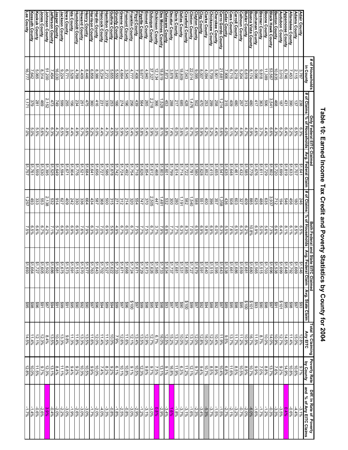|                                          | # of Households                                |                                         | Only Federal EITC Claimed |                      |                     | <b>Both Federal and State</b> |                                                 |                               |                                                     |                                                                                                                                                                                                                                                                                                                                                                                                                       |                                                                           |
|------------------------------------------|------------------------------------------------|-----------------------------------------|---------------------------|----------------------|---------------------|-------------------------------|-------------------------------------------------|-------------------------------|-----------------------------------------------------|-----------------------------------------------------------------------------------------------------------------------------------------------------------------------------------------------------------------------------------------------------------------------------------------------------------------------------------------------------------------------------------------------------------------------|---------------------------------------------------------------------------|
|                                          | in County                                      | # of Claims                             | % of Households           | Avg. Federal Claim   | # of Claims         | % of Households               | Avg. Fer<br>e EITC Claimed<br>ederal Claim   Av | Avg. State Claim              | Total % Claiming Poverty Rate<br>Any EITC Dy County |                                                                                                                                                                                                                                                                                                                                                                                                                       | Diff. In Rate of Poverty<br>and % of Any EITC Claims                      |
| Adair County<br>Adams County             | 3,787                                          | 238                                     | 6.3%                      | \$1,641              | 246                 | $6.5\%$                       |                                                 |                               |                                                     | 9.7%                                                                                                                                                                                                                                                                                                                                                                                                                  | $-3.1\%$                                                                  |
|                                          | 2,115                                          | 137                                     | $6.5\%$                   | \$1,707              | $\overline{180}$    | 8.5%                          |                                                 |                               |                                                     |                                                                                                                                                                                                                                                                                                                                                                                                                       |                                                                           |
| Allamakee County<br>Appanoose County     | $\frac{7,453}{6,746}$                          | 431<br>390                              | $6.4\%$<br>5.2%           | \$1,633<br>\$1,819   | 9+9<br>456          | $rac{6.1%}{8.1%}$             |                                                 | 893<br>896<br>895             | $\frac{12.8\%}{15.0\%}\$<br>$\frac{11.4\%}{14.5\%}$ | $\frac{10.6\%}{14.9\%}$                                                                                                                                                                                                                                                                                                                                                                                               | 4 % <mark>% % %</mark><br>  4 % % % %<br>  4 % <mark>% %</mark> %         |
| <b>Audubon County</b>                    | 3,010                                          | 181                                     |                           | \$1,699              | 194                 | 6.4%                          |                                                 |                               |                                                     |                                                                                                                                                                                                                                                                                                                                                                                                                       |                                                                           |
| Benton County                            | 10,835                                         | 468                                     | $\frac{6.2\%}{4.3\%}$     | \$1,720              | 712                 | 6.6%<br>7.3%                  | ↮                                               | \$101<br>\$91<br>\$98<br>\$90 | 12.7%<br>10.9%                                      | 9.2%<br>7.6%                                                                                                                                                                                                                                                                                                                                                                                                          |                                                                           |
| ack Hawk County                          | 53,567                                         | 3,541                                   | $6.6\%$                   | \$1,802              | 3,937               |                               |                                                 |                               | $14.0\%$                                            | 13.7%                                                                                                                                                                                                                                                                                                                                                                                                                 | -0.3%                                                                     |
| Boone County<br>Bremer County            | 11,389<br>9,818                                | 909<br>363                              | 3.7%<br>4.4%              | $$1,729$<br>$$1,611$ | 635<br>488          | 5.6%<br>5.0%                  | ↔                                               |                               | 10.0%<br>8.7%                                       | $8.8\%$<br>7.0%                                                                                                                                                                                                                                                                                                                                                                                                       | $-1.2%$<br>%2.1-                                                          |
| uchanan County                           | 960'6                                          | 417                                     | 4.6%                      | 81,676               | 929                 | 6.9%                          | ↮                                               | \$93                          | 11.5%                                               | 9,80                                                                                                                                                                                                                                                                                                                                                                                                                  | $-1.6%$                                                                   |
| Buena Vista County                       | 8,174                                          | 480                                     | 5.9%                      | 81,779               | 985                 | 10.8%                         | $\Theta$                                        |                               | $-65.79$                                            | 10.7%                                                                                                                                                                                                                                                                                                                                                                                                                 |                                                                           |
| <b>Sutler County</b>                     | 6,619                                          | $\frac{313}{257}$                       | 4.7%                      | \$1,585              | $\frac{409}{327}$   | 6.2%                          |                                                 |                               |                                                     |                                                                                                                                                                                                                                                                                                                                                                                                                       |                                                                           |
| alhoun County                            | 5,204                                          |                                         | 4.9%                      | 21,432               |                     | 6.3%                          |                                                 |                               | $\frac{10.9\%}{11.2\%}$                             |                                                                                                                                                                                                                                                                                                                                                                                                                       |                                                                           |
| arroll County                            | 9,219                                          | 480                                     | 5.2%                      | \$1,461              | 603                 | $6.5\%$                       |                                                 |                               | $\frac{11.7%}{13.7%}$                               |                                                                                                                                                                                                                                                                                                                                                                                                                       |                                                                           |
| <u>Cass County<br/>Cedar County</u>      | 6,715                                          | 409                                     | 6.1%                      | \$1,648              | 809                 | $7.6\%$                       |                                                 |                               |                                                     | $\frac{8!}{10!5\%}\left.\frac{8}{11\cdot 6\%}\right _{\infty}$<br>$\frac{8!5\%}{6!8\%}$                                                                                                                                                                                                                                                                                                                               | $\begin{array}{r} -6.0\% \\ -2.0\% \\ \hline 2.1\% \\ -2.1\% \end{array}$ |
|                                          | 7,906                                          | 315                                     | $4.0\%$                   | \$1,635              | 436                 | 5.5%                          |                                                 |                               | $9'5\%$                                             |                                                                                                                                                                                                                                                                                                                                                                                                                       |                                                                           |
| erro Gordo County                        | 21,681                                         | 1,214                                   | 5.6%                      | \$1,547              | 1,358               | $6.3\%$                       |                                                 |                               | 11.9%                                               | 40.4%                                                                                                                                                                                                                                                                                                                                                                                                                 | $-1.5%$                                                                   |
| herokee County                           | 5,709<br>5,901                                 | 258                                     | 4.4%                      | \$1,655              | 357                 | $6.0\%$                       |                                                 |                               |                                                     |                                                                                                                                                                                                                                                                                                                                                                                                                       |                                                                           |
| hickasaw County<br>larke County          | 4,094                                          | <b>299</b>                              | 5.2%<br>0.2%              | $\frac{1415}{19522}$ | 400<br>396          | 6.9%<br>9.8%                  |                                                 |                               |                                                     |                                                                                                                                                                                                                                                                                                                                                                                                                       |                                                                           |
| ay County                                |                                                | 470<br>502                              |                           | \$1,628              |                     |                               |                                                 |                               |                                                     |                                                                                                                                                                                                                                                                                                                                                                                                                       |                                                                           |
| :layton County<br>:linton County         | $\frac{\frac{8}{9}007}{\frac{22,014}{22,014}}$ |                                         | 8%<br>8.0%<br>8.0%        | \$1,580              | 551<br>588          | 88%<br>85%%                   |                                                 |                               |                                                     |                                                                                                                                                                                                                                                                                                                                                                                                                       |                                                                           |
|                                          |                                                | 1,476                                   |                           | \$1,781              | ,540                |                               |                                                 |                               |                                                     | $\frac{\frac{8}{8}\frac{39}{8}}{\frac{55}{8}\frac{55}{8}\frac{8}{8}\frac{8}{8}\frac{8}{8}\frac{8}{8}\frac{8}{8}\frac{8}{8}\frac{8}{8}\frac{8}{8}\frac{8}{8}\frac{8}{8}\frac{8}{8}\frac{8}{8}\frac{8}{8}\frac{8}{8}\frac{8}{8}\frac{8}{8}\frac{8}{8}\frac{8}{8}\frac{8}{8}\frac{8}{8}\frac{8}{8}\frac{8}{8}\frac{8}{8}\frac{8}{8}\frac{8}{8}\frac{8}{8}\frac{8}{8}\frac{8}{8}\frac{8}{8}\frac{8}{8}\frac{8}{8}\frac{8$ |                                                                           |
| allas County<br>awford County            | 18,809<br>7,043                                | $\frac{428}{3}$                         | 3.6%<br>$6.1\%$           | \$1,714<br>\$1,722   | 1,191<br>582        | 8.3%<br>6.3%                  |                                                 |                               |                                                     |                                                                                                                                                                                                                                                                                                                                                                                                                       | $-3.1%$<br>$-3.7%$                                                        |
|                                          |                                                | $\frac{85}{28}$                         | %0.9                      |                      | 280                 | $\frac{27766}{7.796}$         |                                                 |                               |                                                     |                                                                                                                                                                                                                                                                                                                                                                                                                       | $-1.8%$                                                                   |
| Davis County<br>Decatur County           | $\frac{3.640}{3.878}$                          |                                         | $\frac{1}{7}496$          | 81,614<br>\$1,799    | 300                 |                               |                                                 |                               |                                                     |                                                                                                                                                                                                                                                                                                                                                                                                                       |                                                                           |
| elaware County                           | 7,873                                          | $\frac{\frac{45}{120}}{\frac{28}{120}}$ | 8.1%<br>5.8%              | \$1,803<br>\$1,601   | 1,481<br>532        | 6.8%<br>7.9%                  |                                                 |                               |                                                     | $9.1\%$                                                                                                                                                                                                                                                                                                                                                                                                               |                                                                           |
| es Moines County<br>ickinson County      | $\frac{18,819}{12,1327}$                       |                                         | 3.0%                      | \$1,468              | 447                 |                               |                                                 |                               |                                                     |                                                                                                                                                                                                                                                                                                                                                                                                                       |                                                                           |
| ubuque County                            |                                                |                                         | 5.9%                      | \$1,612              |                     | 3.7%<br>6.7%<br>7.5%          |                                                 |                               |                                                     |                                                                                                                                                                                                                                                                                                                                                                                                                       |                                                                           |
| mmet County                              | 4,940                                          | $\frac{2,218}{265}$                     | 5.4%                      | \$1,854              | $\frac{2,505}{370}$ |                               |                                                 |                               |                                                     |                                                                                                                                                                                                                                                                                                                                                                                                                       |                                                                           |
| Fayette County<br>Floyd County           |                                                | $\frac{564}{1200}$                      | 5.8%<br>$5.9\%$           | $rac{81,626}{1,718}$ | 147                 | 1.7%<br>7.5%                  |                                                 |                               |                                                     |                                                                                                                                                                                                                                                                                                                                                                                                                       |                                                                           |
| anklin County                            |                                                |                                         |                           | \$1,754              | $\frac{554}{220}$   |                               |                                                 |                               |                                                     |                                                                                                                                                                                                                                                                                                                                                                                                                       |                                                                           |
| remont County                            |                                                |                                         | $\frac{5.4\%}{5.5\%}$     | \$1,492              |                     | 6.7%<br>6.0%<br>6.7%          |                                                 |                               |                                                     |                                                                                                                                                                                                                                                                                                                                                                                                                       |                                                                           |
| reene County                             |                                                |                                         | $5.9\%$                   | \$1,724              | $\frac{312}{271}$   |                               |                                                 |                               |                                                     |                                                                                                                                                                                                                                                                                                                                                                                                                       |                                                                           |
| Grundy County<br>Guthrie County          |                                                | $\frac{166}{253}$<br>$\frac{239}{231}$  | 4.5%<br>3.0%              | 21,742<br>\$1,878    | 315                 | 4.9%<br>5.6%                  |                                                 |                               |                                                     |                                                                                                                                                                                                                                                                                                                                                                                                                       |                                                                           |
|                                          |                                                |                                         | 4.7%                      | \$1,586              |                     | 6.9%<br>7.0%                  | ↮                                               |                               |                                                     |                                                                                                                                                                                                                                                                                                                                                                                                                       |                                                                           |
| <u>Hamilton County</u><br>Hancock County |                                                |                                         | 4.4%                      | 51,727               | 500<br>368          |                               |                                                 |                               |                                                     |                                                                                                                                                                                                                                                                                                                                                                                                                       |                                                                           |
| ardin County                             | $8,386$<br>6,858                               | $\frac{416}{360}$                       | 5.0%<br>5.2%              | \$1,656              | <b>787</b>          |                               |                                                 |                               |                                                     |                                                                                                                                                                                                                                                                                                                                                                                                                       |                                                                           |
| enry County<br>arrison County            | 8,446                                          |                                         | 5.6%                      | \$1,684<br>\$1,641   | 664<br>434          | 7.0%<br>6.3%                  |                                                 |                               |                                                     |                                                                                                                                                                                                                                                                                                                                                                                                                       |                                                                           |
| oward County                             | 4,409                                          | 475<br>251                              | 5.7%                      | \$1,521              | 336                 | 7.6%                          |                                                 |                               |                                                     |                                                                                                                                                                                                                                                                                                                                                                                                                       |                                                                           |
| umboldt County                           | 4,768                                          | 234                                     | 4.9%                      | \$1,776              | 330                 |                               |                                                 |                               |                                                     |                                                                                                                                                                                                                                                                                                                                                                                                                       |                                                                           |
| lda County<br>Iowa County                | $3,528$<br>6,771                               | 156<br>255                              | 4.4%                      | \$1,904              | 242                 | 8.9%<br>%0.                   | မ္ မ္                                           |                               | $\frac{11.3%}{9.86}$                                |                                                                                                                                                                                                                                                                                                                                                                                                                       | $-3.0%$<br>%6'1-                                                          |
|                                          |                                                |                                         | 3.8%                      | \$1,671              | 409                 | $6.0\%$                       |                                                 |                               |                                                     |                                                                                                                                                                                                                                                                                                                                                                                                                       |                                                                           |
| ackson County                            | 9,224                                          | 599                                     | %9                        | \$1,594              | /79                 | 6.8%                          |                                                 |                               |                                                     |                                                                                                                                                                                                                                                                                                                                                                                                                       |                                                                           |
| efferson County<br>asper County          | 16,030<br>7,454                                | 473<br>749                              | 6.3%<br>4.7%              | \$1,525<br>81,649    | 532<br>914          | 5.7%<br>7.1%                  |                                                 |                               | $\frac{13.3\%}{10.4\%}\n \frac{13.5\%}{8.4\%}$      | $\frac{8.4\%}{12.3\%}$<br>$\frac{13.1\%}{12.3\%}$                                                                                                                                                                                                                                                                                                                                                                     | $\frac{-2.2\%}{-2.9\%}\frac{1}{2.9\%}$<br>$\frac{-2.0\%}{-2.6\%}$         |
| ohnson County                            | 51,200                                         | 2,152                                   | 4.2%                      | 21,395               | 2,138               | 4.2%                          |                                                 |                               |                                                     |                                                                                                                                                                                                                                                                                                                                                                                                                       |                                                                           |
| ones County                              | 8,314                                          | 469                                     | 5.6%                      | \$1,530              | 553                 |                               |                                                 |                               | $12.3\%$                                            | $9.7\%$                                                                                                                                                                                                                                                                                                                                                                                                               |                                                                           |
| <u>Keokuk County</u><br>Kossuth County   | 5,065                                          | 281                                     | 5.5%                      | \$1,559              | 333                 | $6.6\%$                       |                                                 |                               | 12.1%                                               | 11.5%<br>10.0%                                                                                                                                                                                                                                                                                                                                                                                                        | $-0.6%$                                                                   |
|                                          | 16,777<br>7,642                                | 1,171<br>379                            | 5.0%<br>%0'Z              | \$1,757<br>\$1,761   | 1,257<br>493        | $6.5\%$<br>7.5%               | မျှမျှမျှမျှမျှမျှမ                             |                               | 14.5%<br>11.4%                                      | 12.8%                                                                                                                                                                                                                                                                                                                                                                                                                 | $-1.4%$<br>$-1.7%$                                                        |
| Lee County                               |                                                |                                         |                           |                      |                     |                               |                                                 |                               |                                                     |                                                                                                                                                                                                                                                                                                                                                                                                                       |                                                                           |

# Table 10: Earned Income Tax Credit and Poverty Statistics by County for 2004 **Table 10: Earned Income Tax Credit and Poverty Statistics by County for 2004**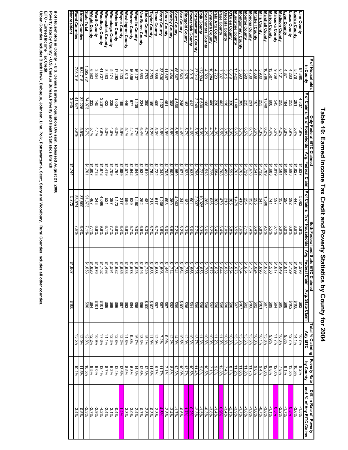|                                            | # of Households                 |                       | Only Federal EITC Claimed |                         |                        | <b>Both Federal and State</b>           | <b>EITC Claimed</b>                                             |                             | Total % Claiming                                                                                                                                                                                                                                                                                            | Poverty Rate                                                                                                                                                                                                                                                                                                  | Diff. In Rate of Poverty                                                                   |
|--------------------------------------------|---------------------------------|-----------------------|---------------------------|-------------------------|------------------------|-----------------------------------------|-----------------------------------------------------------------|-----------------------------|-------------------------------------------------------------------------------------------------------------------------------------------------------------------------------------------------------------------------------------------------------------------------------------------------------------|---------------------------------------------------------------------------------------------------------------------------------------------------------------------------------------------------------------------------------------------------------------------------------------------------------------|--------------------------------------------------------------------------------------------|
|                                            | in County                       | # of Claims           | % of Households           | Avg. Federal Claim      | # of Claims            | % of Households                         | Avg. Federal Claim                                              | Avg. State Claim            | <b>Any EITC</b>                                                                                                                                                                                                                                                                                             | by County                                                                                                                                                                                                                                                                                                     | and % of Any EITC Claims                                                                   |
| Linn County                                | 87,890                          | 4,337                 | 4.9%                      | \$1,637                 | 5,062                  | 5.8%<br>8.6%                            | $\frac{1,599}{1,729}$                                           | $rac{892}{100}$             | $\frac{10.7\%}{14.1\%}$                                                                                                                                                                                                                                                                                     | $\frac{9.2\%}{10.5\%}$                                                                                                                                                                                                                                                                                        |                                                                                            |
| ouisa County                               | 4,283<br>5,178                  | 253<br>281            | 5.9%<br>5.4%              | \$1,693<br>\$1,827      | 262<br>447             | 6.8%                                    |                                                                 |                             | 12.7%                                                                                                                                                                                                                                                                                                       | 13.5%                                                                                                                                                                                                                                                                                                         | $\frac{11.5\%}{\frac{13.6\%}{1.7\%}}$                                                      |
| ucas County<br>yon County                  | 4,871                           | 184                   | $3.8\%$                   | \$1,604                 | 294                    | 6.0%                                    | 1,611                                                           | 8018<br>2015                | 9'8.8                                                                                                                                                                                                                                                                                                       | 8.1%                                                                                                                                                                                                                                                                                                          |                                                                                            |
|                                            | 6,101                           | 255                   | 4.2%                      | \$1,581                 | 357                    | 5.9%                                    | 1,649                                                           | \$95                        | 10.0%                                                                                                                                                                                                                                                                                                       | 7.8%                                                                                                                                                                                                                                                                                                          |                                                                                            |
| Madison County<br>Mahaska County           | 692'6                           | 545                   | $5.6\%$                   | \$1,819                 | <b>169</b>             | 6.1%                                    | 517                                                             |                             | 11.7%                                                                                                                                                                                                                                                                                                       | 12.0%                                                                                                                                                                                                                                                                                                         | 2.2%<br>0.3%<br>-1.1%                                                                      |
|                                            | 13,507                          | 009                   | 4.4%                      | \$1,683                 | 741                    | 5.5%                                    |                                                                 | 4688<br>8897                | 966'6                                                                                                                                                                                                                                                                                                       | 8.8%                                                                                                                                                                                                                                                                                                          |                                                                                            |
| Marion County<br>Marshall County           | 16,796                          | 1,048                 | 6.2%                      | \$1,789                 | 398°                   | $\frac{9.5\%}{2}$                       |                                                                 |                             | $15.8\%$                                                                                                                                                                                                                                                                                                    | 12.0%                                                                                                                                                                                                                                                                                                         | $-3.8\%$                                                                                   |
|                                            | 5,900                           | 253<br>167            | 4.3%                      | \$1,732                 | 341                    | 5.8%                                    |                                                                 | 81010<br>80200<br>802       | 10.1%                                                                                                                                                                                                                                                                                                       | $9.4\%$                                                                                                                                                                                                                                                                                                       | %2'0-                                                                                      |
| <b>Mills County</b><br>Mitchell County     | $\frac{4,639}{4,738}$           |                       | $3.6\%$                   | \$1,541                 | 295<br>352             | 6.4%<br>7.4%                            |                                                                 |                             |                                                                                                                                                                                                                                                                                                             | $9.0\%$                                                                                                                                                                                                                                                                                                       | -1.0%                                                                                      |
| <b>Jonona County</b>                       |                                 | $\frac{291}{235}$     | $6.1\%$                   | \$1,678                 |                        |                                         | ↔                                                               |                             | $\frac{10.0\%}{13.6\%}$                                                                                                                                                                                                                                                                                     | 11.7%                                                                                                                                                                                                                                                                                                         | -1.9%                                                                                      |
| <b>Jonroe County</b>                       |                                 |                       | $\frac{6.56}{8}$          | \$1,729                 | 254                    | 7.1%                                    |                                                                 |                             |                                                                                                                                                                                                                                                                                                             | 11.8%                                                                                                                                                                                                                                                                                                         | $-1.8%$                                                                                    |
|                                            | $\frac{3,598}{5,393}$<br>17,422 | 309                   | 5.7%                      | $\frac{$1,765}{$1,761}$ | 410                    | $7.6\%$                                 | ↮                                                               |                             |                                                                                                                                                                                                                                                                                                             | 11.6%<br>11.2%                                                                                                                                                                                                                                                                                                | $-1.7\%$<br>$-3.9\%$                                                                       |
| Montgomery County<br>Auscatine County      |                                 | 1,148                 | 9/89                      |                         | 1,479                  | $8.5\%$                                 |                                                                 |                             |                                                                                                                                                                                                                                                                                                             |                                                                                                                                                                                                                                                                                                               |                                                                                            |
| O'Brien County<br>Osceola County           | 6,619<br>3,015                  | 330                   | 5.0%                      | \$1,595<br>\$1,490      | 385                    | 5.8%<br>7.0%                            | ↮                                                               |                             |                                                                                                                                                                                                                                                                                                             |                                                                                                                                                                                                                                                                                                               | $-2.1\%$<br>$-3.4\%$                                                                       |
|                                            |                                 | $\frac{11}{2}$        | 3.8%                      |                         | 210                    |                                         |                                                                 |                             |                                                                                                                                                                                                                                                                                                             |                                                                                                                                                                                                                                                                                                               |                                                                                            |
| Page County<br>Palo Alto County            | 4,723<br>7,307                  | $\frac{403}{230}$     | 4.9%<br>5.5%              | \$1,708<br>\$1,684      | 300<br>470             | 8 3 3 3 3 4<br>4 4 8 6 8 6<br>6 9 8 9 8 |                                                                 |                             | 13.8%<br>15.9%% 8%% 8%%<br>15.93% 8%% 8%                                                                                                                                                                                                                                                                    | $\frac{8.7\%}{\frac{7.4\%}{12.8\%}}$<br>$\frac{8.8\%}{1.1\%}\sqrt{1.5\%}$                                                                                                                                                                                                                                     | 009119191919191919191<br>  1919  1919  1919 <mark>19191</mark><br>  1919  1919  1919  1919 |
| <b>Iymouth County</b>                      | 10,284                          |                       | 4.7%                      | \$1,726                 |                        |                                         |                                                                 |                             |                                                                                                                                                                                                                                                                                                             |                                                                                                                                                                                                                                                                                                               |                                                                                            |
| ocahontas County                           | 4,020                           | $\frac{480}{168}$     | 4.2%                      | \$1,518                 | 836                    |                                         |                                                                 |                             |                                                                                                                                                                                                                                                                                                             |                                                                                                                                                                                                                                                                                                               |                                                                                            |
| olk County                                 | 172,894                         | $\frac{8,600}{2,249}$ | 5.0%                      | 21,721                  | $\frac{10,925}{2,937}$ |                                         |                                                                 |                             | 11.3%                                                                                                                                                                                                                                                                                                       |                                                                                                                                                                                                                                                                                                               |                                                                                            |
| ottawattamie County                        | 37,913                          |                       | 5.9%                      | \$1,796                 |                        |                                         |                                                                 |                             |                                                                                                                                                                                                                                                                                                             |                                                                                                                                                                                                                                                                                                               |                                                                                            |
| oweshiek County                            | $\frac{8,915}{2,875}$           | 413                   | $4.6\%$                   | \$1,835                 | $\frac{501}{182}$      |                                         | ↮                                                               |                             |                                                                                                                                                                                                                                                                                                             |                                                                                                                                                                                                                                                                                                               |                                                                                            |
| inggold County                             |                                 | 246<br>163            | 4.4%<br>5.7%              | \$1,671<br>\$1,923      | 341                    |                                         | $\Theta$                                                        |                             |                                                                                                                                                                                                                                                                                                             |                                                                                                                                                                                                                                                                                                               |                                                                                            |
| ac County<br>cott County                   | 5,543                           | 4,666                 | $6.8\%$                   | \$1,859                 | 4,903                  |                                         |                                                                 |                             | $\begin{array}{l} 13.78 \\ 20.88 \\ 20.88 \\ 20.88 \\ 20.88 \\ 20.88 \\ 20.8 \\ 20.8 \\ 20.8 \\ 20.8 \\ 20.8 \\ 20.8 \\ 20.8 \\ 20.8 \\ 20.8 \\ 20.8 \\ 20.8 \\ 20.8 \\ 20.8 \\ 20.8 \\ 20.8 \\ 20.8 \\ 20.8 \\ 20.8 \\ 20.8 \\ 20.8 \\ 20.8 \\ 20.8 \\ 20.8 \\ 20.8 \\ 20.8 \\ 20.8 \\ 20.8 \\ 20.8 \\ 20$ | $\begin{array}{l} 0.88 \\ 0.11 \\ 0.16 \\ 0.16 \\ 0.17 \\ 0.10 \\ 0.10 \\ 0.10 \\ 0.10 \\ 0.10 \\ 0.10 \\ 0.10 \\ 0.10 \\ 0.10 \\ 0.10 \\ 0.10 \\ 0.10 \\ 0.10 \\ 0.10 \\ 0.10 \\ 0.10 \\ 0.10 \\ 0.10 \\ 0.10 \\ 0.10 \\ 0.10 \\ 0.10 \\ 0.10 \\ 0.10 \\ 0.10 \\ 0.10 \\ 0.10 \\ 0.10 \\ 0.10 \\ 0.10 \\ 0.$ |                                                                                            |
| <b>helby County</b>                        | 5,464                           | 308                   | 5.6%                      | \$1,605                 | 360                    | $6.6\%$                                 | ↮<br>114                                                        |                             | 12.2%                                                                                                                                                                                                                                                                                                       | 8.8%                                                                                                                                                                                                                                                                                                          | $-3.4%$                                                                                    |
| Sioux County                               | 11,697                          | 461                   | 3.9%                      | \$1,705                 | 869                    | 6.0%                                    | ,461                                                            |                             | $9.9\%$                                                                                                                                                                                                                                                                                                     | 7.1%                                                                                                                                                                                                                                                                                                          | $-2.8%$                                                                                    |
| <b>Story County</b>                        | 33,630                          | 1,202                 | 3.6%                      | \$1,343                 | 1,206                  | 3.6%                                    | l,508<br>1,638                                                  |                             | 7.2%                                                                                                                                                                                                                                                                                                        | 11.7%                                                                                                                                                                                                                                                                                                         |                                                                                            |
| ama County                                 | 7,686                           | 409                   | $5.3\%$                   | \$1,722                 | 517                    | 6.7%                                    |                                                                 |                             | 12.0%                                                                                                                                                                                                                                                                                                       | $9.7\%$                                                                                                                                                                                                                                                                                                       | $\frac{4.5\%}{-2.3\%}$                                                                     |
| aylor County                               | 3,253                           | 169                   | $5.2\%$                   | \$1,754                 | 218                    | 6.7%                                    | $\frac{1,688}{1,749}$                                           |                             | 11.9%                                                                                                                                                                                                                                                                                                       | 11.6%                                                                                                                                                                                                                                                                                                         |                                                                                            |
| nion County                                | 5,783                           | 390                   | 6.7%                      | \$1,610                 | 252<br>481             | 8.3%                                    |                                                                 |                             | 13.3%<br>15.1%                                                                                                                                                                                                                                                                                              | $\frac{12.3\%}{12.6\%}$                                                                                                                                                                                                                                                                                       |                                                                                            |
| Vapello County<br>an Buren County          | 16,137<br>3,660                 | 1,239<br>234          | 6.4%<br>%L'1              | \$1,645<br>\$1,534      | 1,450                  | 9.0%<br>6.9%                            | ↮<br>,628                                                       |                             | 16.7%                                                                                                                                                                                                                                                                                                       | 14.3%                                                                                                                                                                                                                                                                                                         | $\frac{-2.8\%}{-0.7\%}$                                                                    |
| Varren County                              | 16,396                          | 677                   | 4.1%                      | \$1,642                 | 636                    | 5.7%                                    | ↮<br>578                                                        |                             | 9.8%                                                                                                                                                                                                                                                                                                        | 6.8%                                                                                                                                                                                                                                                                                                          | $-3.0%$                                                                                    |
| /ashington County                          | 8,813                           | 446                   | 5.1%                      | \$1,578                 | 969                    | $6.8\%$                                 | ↔                                                               |                             | 11.8%                                                                                                                                                                                                                                                                                                       |                                                                                                                                                                                                                                                                                                               | $\frac{-3.3\%}{1.4\%}$                                                                     |
| Vayne County                               | 3,400                           | 661                   | 5.9%                      | \$1,689                 | 217                    | 6.4%                                    | ↮                                                               |                             | 12.2%                                                                                                                                                                                                                                                                                                       |                                                                                                                                                                                                                                                                                                               |                                                                                            |
| Vebster County                             | 17,263                          | 1,034                 | 9,0%                      | \$1,764                 | 1,173                  | 6.8%                                    | $\frac{1}{168}$ $\frac{1}{168}$ $\frac{1}{168}$ $\frac{1}{162}$ |                             | 12.8%                                                                                                                                                                                                                                                                                                       | $\frac{8.5\%}{12.4\%}$<br>12.4%                                                                                                                                                                                                                                                                               | $-0.4%$                                                                                    |
| Vinnebago County                           | 5,174                           | 239                   | 4.6%                      | \$1,709                 | 397                    | 7.7%                                    |                                                                 |                             | $12.3\%$                                                                                                                                                                                                                                                                                                    |                                                                                                                                                                                                                                                                                                               | $-3.1%$                                                                                    |
| Vinneshiek County                          | 8,483                           | 422                   | 5.0%                      | 81,419                  | 129                    | 6.1%                                    |                                                                 | \$86                        | 11.1%                                                                                                                                                                                                                                                                                                       | 8.7%                                                                                                                                                                                                                                                                                                          |                                                                                            |
| Voodbury County                            | 41,727                          | 3,261                 | 7.8%                      | \$1,878                 | 4,086                  | $9.8\%$                                 |                                                                 |                             | 17.6%                                                                                                                                                                                                                                                                                                       | 43.4%                                                                                                                                                                                                                                                                                                         |                                                                                            |
| North County                               | 6,582<br>3,554                  | 145<br>333            | 5.1%<br>4.1%              | \$1,713                 | 243<br>467             | $6.8\%$                                 | <u> လံုလံု လံုလံုလံ</u><br>880151888<br>0016161888<br>00161818  | 868<br>2012<br>2024<br>2036 | 12.2%<br>10.9%                                                                                                                                                                                                                                                                                              | 8.0%                                                                                                                                                                                                                                                                                                          | $\frac{212888888888}{7288888}$                                                             |
| <b>State Total</b><br><b>Wright County</b> | 292,731                         | 74,073                | 5.7%                      | 21,907<br>\$1,701       | 91,673                 | 2.1%<br>2.196                           |                                                                 |                             | 12.8%                                                                                                                                                                                                                                                                                                       | 9.5%<br>10.5%                                                                                                                                                                                                                                                                                                 |                                                                                            |
| Urban Counties                             | 584,715                         | 32,226                | $5.5\%$                   |                         | 37,699                 | 6.4%                                    |                                                                 |                             |                                                                                                                                                                                                                                                                                                             | 11.5%                                                                                                                                                                                                                                                                                                         |                                                                                            |
| <b>Rural Counties</b>                      | 708,016                         | 41,847                | 9,66'9                    |                         | 53,974                 | 7.6%                                    |                                                                 |                             | 12.0%<br>13.5%                                                                                                                                                                                                                                                                                              | 10.1%                                                                                                                                                                                                                                                                                                         | $-3.4%$                                                                                    |
| <u>Nonresident</u>                         |                                 | 3,945                 |                           | \$1,744                 | 5,772                  |                                         | /99                                                             | 3100                        |                                                                                                                                                                                                                                                                                                             |                                                                                                                                                                                                                                                                                                               |                                                                                            |

# Table 10: Earned Income Tax Credit and Poverty Statistics by County for 2004 **Table 10: Earned Income Tax Credit and Poverty Statistics by County for 2004**

# of Households in County - U.S. Census Bureau, Population Division, Released August 21, 2006<br>Poverty Rate by County - U.S. Census Bureau, Poverty and Health Statistics Branch<br>EITC - Earned Income Tax Credit<br>Urban Counties **Poverty Rate by County - U.S. Census Bureau, Poverty and Health Statistics Branch # of Households in County - U.S. Census Bureau, Population Division, Released August 21, 2006**

**Urban Counties includes Black Hawk, Dubuque, Johnson, Linn, Polk, Pottawattamie, Scott, Story and Woodbury. Rural Counties inc**

**ludes all other counties.**

**EITC - Earned Income Tax Credit**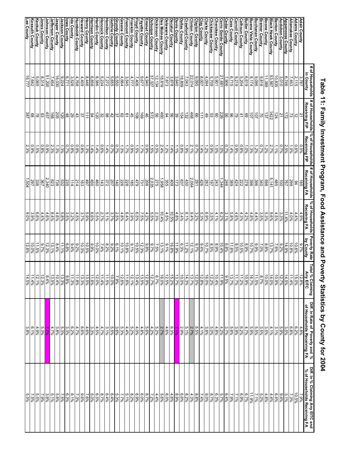|                                                                    | # of Households                                                                                                                                                                                                                  | # of Households % of Households                        |                                          | # of Households                                                                                                                                                                                                                                                                                                                                                                                     | % of Households                          | <b>Poverty Rate</b>          | Total<br>tal % Claiming<br>Any EITC                                                                                                                                                          | Diff. In Rate of Poverty and %                                                | Diff. In % Claiming Any EITC and                   |
|--------------------------------------------------------------------|----------------------------------------------------------------------------------------------------------------------------------------------------------------------------------------------------------------------------------|--------------------------------------------------------|------------------------------------------|-----------------------------------------------------------------------------------------------------------------------------------------------------------------------------------------------------------------------------------------------------------------------------------------------------------------------------------------------------------------------------------------------------|------------------------------------------|------------------------------|----------------------------------------------------------------------------------------------------------------------------------------------------------------------------------------------|-------------------------------------------------------------------------------|----------------------------------------------------|
|                                                                    | in County<br>3,787                                                                                                                                                                                                               | Receiving FIP<br>21                                    | Receiving FIP<br>$0.5\%$                 | Receiving FA<br>38                                                                                                                                                                                                                                                                                                                                                                                  | Receiving FA<br>4.9%                     | by County<br>9.7%            | 12.8%                                                                                                                                                                                        | of Households Receiving FA<br>4.8%                                            | % of Households Receiving FA<br>7.9%               |
| <u>Adair County</u><br>Adams County                                |                                                                                                                                                                                                                                  |                                                        | $0.6\%$                                  | $94$                                                                                                                                                                                                                                                                                                                                                                                                | 4.4%                                     | 10.6%                        | 15.0%                                                                                                                                                                                        |                                                                               | 10.5%                                              |
| Allamakee County                                                   | $\frac{2,115}{7,453}$<br>$\frac{7,453}{6,746}$                                                                                                                                                                                   | $\frac{2}{5}$ $\frac{2}{5}$                            | $\frac{1.0\%}{2.5\%}$                    | 782                                                                                                                                                                                                                                                                                                                                                                                                 | $4.0\%$                                  | 10.8%                        |                                                                                                                                                                                              | 6.2%                                                                          | 7.3%                                               |
| Appanoose County<br>Audubon County                                 |                                                                                                                                                                                                                                  |                                                        |                                          |                                                                                                                                                                                                                                                                                                                                                                                                     | $\frac{11.4\%}{11}$                      | 14.9%                        | $\frac{11.4\%}{14.5\%}$                                                                                                                                                                      | 3.5%                                                                          | 3.1%                                               |
|                                                                    | 3,010                                                                                                                                                                                                                            | $\frac{21}{124}$                                       | $0.7\%$                                  | $\frac{100}{485}$                                                                                                                                                                                                                                                                                                                                                                                   | $3.3\%$                                  | 9.2%                         |                                                                                                                                                                                              | 5.9%                                                                          | 9.4%                                               |
| <b>Benton County</b><br><b>Black Hawk County</b>                   | $\frac{10,835}{53,567}$                                                                                                                                                                                                          |                                                        | 2.7%<br>1.1%                             |                                                                                                                                                                                                                                                                                                                                                                                                     | $9.6\%$<br>4.5%                          | 13.7%<br>7.6%                | 10.9%<br>14.0%                                                                                                                                                                               | $4.1\%$<br>3.1%                                                               | 6.4%<br>4.4%                                       |
|                                                                    | 11,389                                                                                                                                                                                                                           |                                                        |                                          |                                                                                                                                                                                                                                                                                                                                                                                                     |                                          |                              |                                                                                                                                                                                              |                                                                               | 4.8%                                               |
| <b>Boone County</b><br>Bremer County                               | 9,818                                                                                                                                                                                                                            |                                                        | 1.2%<br>%2.1                             |                                                                                                                                                                                                                                                                                                                                                                                                     | $\frac{5.3\%}{3.5\%}$                    | 8.8%<br>7.0%                 | $\frac{10.0\%}{\frac{8.7\%}{11.5\%}}$                                                                                                                                                        | 3<br>5 5 6 %<br>6 % % %                                                       |                                                    |
| <b>Buchanan County</b>                                             |                                                                                                                                                                                                                                  |                                                        | 1.2%                                     |                                                                                                                                                                                                                                                                                                                                                                                                     |                                          | $\frac{9.9\%}{10.7\%}$       |                                                                                                                                                                                              |                                                                               | 8.2%                                               |
| <u>Buena Vista County</u><br><u>Butler County</u>                  | $\frac{9.096}{8.174}$ $\frac{6.619}{5.204}$                                                                                                                                                                                      |                                                        | $1.3\%$                                  | $\frac{12}{128}$ $\frac{12}{128}$ $\frac{12}{128}$ $\frac{12}{128}$ $\frac{12}{128}$ $\frac{12}{128}$ $\frac{12}{128}$                                                                                                                                                                                                                                                                              |                                          |                              |                                                                                                                                                                                              |                                                                               | $\frac{11.9\%}{6.7\%}$                             |
|                                                                    |                                                                                                                                                                                                                                  | <u>ျေး မြခြခြေမြို့အခြင်းမြို့အခြင်းမြို့များမြို့</u> | 1.0%<br>0.8%                             |                                                                                                                                                                                                                                                                                                                                                                                                     |                                          | $\frac{8.9\%}{10.5\%}$       | $\frac{10.9\%}{11.7\%}$                                                                                                                                                                      | $\frac{4.7\%}{6.2\%}$                                                         | $6.9\%$                                            |
| Calhoun County<br>Carroll County                                   | 8,219                                                                                                                                                                                                                            |                                                        | 0.9%                                     |                                                                                                                                                                                                                                                                                                                                                                                                     | $4.6\%$                                  | $8.5\%$                      |                                                                                                                                                                                              | 3.9%                                                                          | $7.1\%$                                            |
|                                                                    | 6,715                                                                                                                                                                                                                            |                                                        | 1.4%                                     |                                                                                                                                                                                                                                                                                                                                                                                                     |                                          | 11.6%                        | 13.7%                                                                                                                                                                                        |                                                                               | $7.9\%$                                            |
| Cass County<br>Cedar County                                        | 7,906                                                                                                                                                                                                                            |                                                        | $0.7\%$                                  |                                                                                                                                                                                                                                                                                                                                                                                                     | $\frac{5.8\%}{3.1\%}$                    | 6.8%                         | 9/82/6                                                                                                                                                                                       | 5.8%<br>3.7%                                                                  | $\frac{6.4\%}{5.7\%}$                              |
| Cerro Gordo County                                                 |                                                                                                                                                                                                                                  |                                                        | $1.0\%$                                  |                                                                                                                                                                                                                                                                                                                                                                                                     | $\frac{6.2\%}{4.1\%}$                    | $\frac{10.4\%}{8.9\%}$       |                                                                                                                                                                                              |                                                                               |                                                    |
| <b>Cherokee County</b>                                             | $\frac{21,681}{5,901}$                                                                                                                                                                                                           |                                                        | $1.0\%$                                  |                                                                                                                                                                                                                                                                                                                                                                                                     |                                          |                              | $\frac{11.9\%}{10.4\%}$                                                                                                                                                                      |                                                                               | 8.3%<br>8.7%                                       |
| Chickasaw County                                                   |                                                                                                                                                                                                                                  |                                                        | $\frac{0.9\%}{1.2\%}$                    |                                                                                                                                                                                                                                                                                                                                                                                                     |                                          | $\frac{8.5\%}{10.7\%}$       |                                                                                                                                                                                              |                                                                               |                                                    |
| <b>Clarke County</b>                                               |                                                                                                                                                                                                                                  |                                                        | 1.4%                                     |                                                                                                                                                                                                                                                                                                                                                                                                     | ပါစပါးကို<br>မိုးစိုးရိမ္နဲ႔<br>အိုေရွးေ | 9.4%                         |                                                                                                                                                                                              |                                                                               | 7.4%                                               |
|                                                                    |                                                                                                                                                                                                                                  |                                                        |                                          |                                                                                                                                                                                                                                                                                                                                                                                                     |                                          | $9.7\%$                      |                                                                                                                                                                                              |                                                                               |                                                    |
| Clay County<br>Clayton County<br>Clinton County                    | $\begin{array}{c c}\n & 4.094 \\  & 8.095 \\  & 22.014 \\  & 22.014\n\end{array}$                                                                                                                                                |                                                        | $0.7\%$<br>2.1%                          | $\frac{134}{138}$                                                                                                                                                                                                                                                                                                                                                                                   |                                          | $\frac{12.1\%}{11.2\%}$      | $\begin{array}{r l} 16.0\% & 12.8\% \\ \hline 12.8\% & 14.1\% \\ \hline 16.0\% & 14.1\% \\ \hline 17.8\% & 14.1\% \\ \hline 18.5\% & 14.1\% \\ \hline 19.5\% & 14.1\% \\ \hline \end{array}$ |                                                                               | 8<br>8 3 3 4 8 9 9 9 1<br>8 3 8 8 8 8 9            |
| <b>Crawford County</b>                                             | 7,043                                                                                                                                                                                                                            |                                                        | $0.8\%$<br>4.9%                          |                                                                                                                                                                                                                                                                                                                                                                                                     | $\frac{6.1\%}{3.4\%}$                    | $6.3\%$                      |                                                                                                                                                                                              |                                                                               |                                                    |
| <u>Dallas County</u><br>Davis County                               | $\frac{18,809}{3,878}$<br>$\frac{3,840}{3,878}$                                                                                                                                                                                  |                                                        | 1.1%                                     |                                                                                                                                                                                                                                                                                                                                                                                                     | $4.8\%$                                  | 11.9%                        |                                                                                                                                                                                              |                                                                               |                                                    |
| Decatur County                                                     |                                                                                                                                                                                                                                  |                                                        | 1.4%                                     |                                                                                                                                                                                                                                                                                                                                                                                                     | 10.5%                                    | 16.8%                        |                                                                                                                                                                                              |                                                                               |                                                    |
| Delaware County                                                    | 7,873                                                                                                                                                                                                                            |                                                        | $1.2\%$                                  |                                                                                                                                                                                                                                                                                                                                                                                                     | 4.5%                                     | $9.1\%$                      |                                                                                                                                                                                              |                                                                               | $8.0\%$                                            |
| <u>Des Moines County</u><br>Dickinson County                       | $\frac{\frac{18819}{121321}}{\frac{121321}{9.671}}$                                                                                                                                                                              |                                                        | $\frac{2.4\%}{0.5\%}\frac{1.5\%}{0.9\%}$ | $\frac{1,958}{275}$                                                                                                                                                                                                                                                                                                                                                                                 |                                          | $\frac{13.1\%}{7.5\%}$       | 16.0%                                                                                                                                                                                        | $\frac{2.7\%}{5.2\%}\sqrt[3]{\frac{4.8\%}{4.8\%}}$                            | $\frac{5.6\%}{1.2\%}\sqrt[3]{\frac{8.7\%}{8.0\%}}$ |
|                                                                    |                                                                                                                                                                                                                                  |                                                        |                                          |                                                                                                                                                                                                                                                                                                                                                                                                     |                                          |                              |                                                                                                                                                                                              |                                                                               |                                                    |
| Dubuque County<br>Emmet County<br>Fayette County                   |                                                                                                                                                                                                                                  |                                                        |                                          |                                                                                                                                                                                                                                                                                                                                                                                                     |                                          | 0.28%<br>0.23%<br>0.58%      |                                                                                                                                                                                              |                                                                               |                                                    |
|                                                                    |                                                                                                                                                                                                                                  |                                                        |                                          |                                                                                                                                                                                                                                                                                                                                                                                                     |                                          |                              |                                                                                                                                                                                              |                                                                               |                                                    |
| Floyd County                                                       |                                                                                                                                                                                                                                  |                                                        | %9%<br>%9%                               |                                                                                                                                                                                                                                                                                                                                                                                                     |                                          | $9.1\%$                      |                                                                                                                                                                                              |                                                                               | 6.9%<br>8.2%                                       |
| Franklin County                                                    |                                                                                                                                                                                                                                  |                                                        |                                          |                                                                                                                                                                                                                                                                                                                                                                                                     |                                          |                              |                                                                                                                                                                                              |                                                                               |                                                    |
| Fremont County<br>Greene County<br>Grundy County                   |                                                                                                                                                                                                                                  |                                                        | $\frac{1.7\%}{1.3\%}$                    |                                                                                                                                                                                                                                                                                                                                                                                                     |                                          | 10.8%<br>10.1%               | 11.6%<br>12.6%<br>7.9%                                                                                                                                                                       |                                                                               | $\frac{5.1\%}{7.7\%}$                              |
|                                                                    |                                                                                                                                                                                                                                  |                                                        | 0.7%                                     |                                                                                                                                                                                                                                                                                                                                                                                                     |                                          | $6.1\%$                      |                                                                                                                                                                                              |                                                                               | 5.3%                                               |
| Guthrie County<br><u>Hamilton County</u>                           |                                                                                                                                                                                                                                  |                                                        | 0.7%                                     |                                                                                                                                                                                                                                                                                                                                                                                                     |                                          | $9.2\%$                      | 10.0%<br>11.5%                                                                                                                                                                               |                                                                               | 6.4%                                               |
| Hancock County                                                     | $\begin{array}{r l} 7,406 \\ \hline 1,717 \\ \hline 1,841 \\ \hline 1,660 \\ \hline 1,221 \\ \hline 1,221 \\ \hline 2,234 \\ \hline 3,386 \\ \hline 6,386 \\ \hline 7,223 \\ \hline 8,386 \\ \hline 9,386 \\ \hline \end{array}$ | ခြံခြံခြံခြံခြံခြံခြံမြံမြိုးမြံခြံခြံခြံ              | $0.6\%$<br>1.4%                          | $\frac{15}{128} \cdot \frac{15}{128} \cdot \frac{15}{128} \cdot \frac{15}{128} \cdot \frac{15}{128} \cdot \frac{15}{128} \cdot \frac{15}{128} \cdot \frac{15}{128} \cdot \frac{15}{128} \cdot \frac{15}{128} \cdot \frac{15}{128} \cdot \frac{15}{128} \cdot \frac{15}{128} \cdot \frac{15}{128} \cdot \frac{15}{128} \cdot \frac{15}{128} \cdot \frac{15}{128} \cdot \frac{15}{128} \cdot \frac{1$ |                                          | $8.2\%$<br>7.4%              |                                                                                                                                                                                              | 4.7%                                                                          | $8.7\%$<br>$6.4\%$                                 |
| <del>l</del> ardin County                                          |                                                                                                                                                                                                                                  |                                                        | 1.4%                                     |                                                                                                                                                                                                                                                                                                                                                                                                     |                                          | 10.0%                        | $\frac{11.4\%}{12.0\%}$                                                                                                                                                                      | 4.5%                                                                          | $6.5\%$                                            |
|                                                                    | $\frac{6,858}{8,446}$                                                                                                                                                                                                            |                                                        |                                          |                                                                                                                                                                                                                                                                                                                                                                                                     |                                          |                              |                                                                                                                                                                                              |                                                                               | 5.0%<br>7.6%                                       |
| Harrison County<br>Henry County                                    |                                                                                                                                                                                                                                  |                                                        |                                          |                                                                                                                                                                                                                                                                                                                                                                                                     | 6.6%<br>5.9%                             |                              |                                                                                                                                                                                              |                                                                               |                                                    |
| <b>Howard County</b>                                               | $\frac{4,409}{4,768}$                                                                                                                                                                                                            |                                                        |                                          |                                                                                                                                                                                                                                                                                                                                                                                                     |                                          | 8.9%<br>10.5%<br>10.3%       |                                                                                                                                                                                              | $\begin{array}{l c}3.388\% & 3.698\% \\ \hline 3.698\% & 3.698\% \end{array}$ | 9.6%<br>7.3%                                       |
| <b>Humboldt County</b><br>da County                                |                                                                                                                                                                                                                                  |                                                        |                                          |                                                                                                                                                                                                                                                                                                                                                                                                     | 4.5%<br>3.2%<br>3.5%                     | $9.4\%$                      |                                                                                                                                                                                              |                                                                               | $8.1\%$                                            |
|                                                                    | $3,528$<br>6,771                                                                                                                                                                                                                 |                                                        | 0.8%<br>0.7%                             |                                                                                                                                                                                                                                                                                                                                                                                                     |                                          | $6.8\%$                      | 9.8%                                                                                                                                                                                         | 622%<br>0.33%                                                                 | 6.3%                                               |
|                                                                    | 9,224                                                                                                                                                                                                                            |                                                        | $1.3\%$                                  |                                                                                                                                                                                                                                                                                                                                                                                                     | $5.8\%$                                  | 11.1%                        | 13.3%                                                                                                                                                                                        |                                                                               | $7.5\%$                                            |
| lowa County<br>Jaskson County<br>Jasper County<br>Jefferson County | $\frac{16,030}{7,454}$                                                                                                                                                                                                           | <u> 예티h 위웨위 원 이후</u>                                   | $\frac{1.3\%}{2.3\%}$                    | $\frac{1288888}{223}$                                                                                                                                                                                                                                                                                                                                                                               | $\frac{4.6\%}{8.4\%}$                    | $\frac{8.4\%}{13.1\%}$       | $\frac{10.4\%}{13.5\%}$                                                                                                                                                                      | $\frac{3.8\%}{4.7\%}$                                                         | 5.8%<br>5.1%                                       |
|                                                                    |                                                                                                                                                                                                                                  |                                                        |                                          |                                                                                                                                                                                                                                                                                                                                                                                                     |                                          |                              |                                                                                                                                                                                              |                                                                               |                                                    |
| Johnson County                                                     | 51,200                                                                                                                                                                                                                           | 457                                                    | $0.9\%$                                  | 2,340                                                                                                                                                                                                                                                                                                                                                                                               | $4.6\%$                                  | 12.3%                        | 8.4%                                                                                                                                                                                         | 5.3%<br>8.3%                                                                  | $3.8\%$                                            |
| Jones County<br>Keokuk County                                      | 8,314                                                                                                                                                                                                                            |                                                        | $0.8\%$                                  | 367                                                                                                                                                                                                                                                                                                                                                                                                 | 4.4%                                     | $9.7\%$                      | 12.3%                                                                                                                                                                                        |                                                                               | 7.9%                                               |
|                                                                    | 5,065                                                                                                                                                                                                                            |                                                        | $1.5\%$                                  | 3367                                                                                                                                                                                                                                                                                                                                                                                                |                                          | 11.5%                        | 41.4%<br>12.1%                                                                                                                                                                               | $4.9\%$                                                                       | 5.5%                                               |
| <b>Kossuth County</b><br>Lee County                                | 7,642<br>16,777                                                                                                                                                                                                                  | $\frac{188}{38}$                                       | $0.9\%$<br>2.3%                          | 1,504                                                                                                                                                                                                                                                                                                                                                                                               | 88888                                    | $\frac{10.066}{10}$<br>12.8% | 14.5%                                                                                                                                                                                        | $6.1\%$<br>$3.8\%$                                                            | 5.5%<br>7.5%                                       |
|                                                                    |                                                                                                                                                                                                                                  |                                                        |                                          |                                                                                                                                                                                                                                                                                                                                                                                                     |                                          |                              |                                                                                                                                                                                              |                                                                               |                                                    |

# Table 11: Family Investment Program, Food Assistance and Poverty Statistics by County for 2004 **Table 11: Family Investment Program, Food Assistance and Poverty Statistics by County for 2004**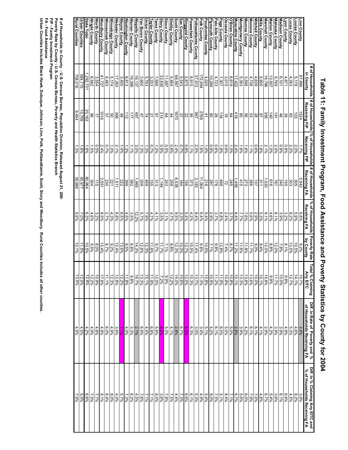|                                              | # of Households         |                                                                                      | # of Households % of Households | # of Households                                                       | % of Households       | <b>Poverty Rate</b>       | Total<br>al % Claiming<br>Any EITC | Diff. In Rate of Poverty and % | Diff. In % Claiming Any EITC and |
|----------------------------------------------|-------------------------|--------------------------------------------------------------------------------------|---------------------------------|-----------------------------------------------------------------------|-----------------------|---------------------------|------------------------------------|--------------------------------|----------------------------------|
|                                              | in County               | Receiving FIP                                                                        | Receiving FIP                   | Receiving FA                                                          | Receiving FA          | by County                 |                                    | of Households Receiving FA     | % of Households Receiving FA     |
|                                              | 87,890                  | 1524                                                                                 | $1.7\%$                         | 5,942                                                                 | 6.8%                  |                           | 10.7%                              | 2.4%                           | 3.9%                             |
|                                              | 5,178                   | 103                                                                                  | 2.0%                            | $\frac{305}{2}$                                                       | $5.9\%$               | 9.2%<br>N <sub>2.9%</sub> | 14.1%                              | $4.6\%$                        | $8.2\%$                          |
| Linn County<br>Louisa County<br>Luisa County | 4,283                   | 83                                                                                   | 2.2%                            | 353                                                                   | 8.2%                  | 13.5%                     | 12.7%                              | 5.3%                           | 4.5%                             |
| yon County                                   | 4,871                   |                                                                                      | $0.8\%$                         |                                                                       | 32%                   | $\frac{8}{196}$           | 9.8%                               | 4.9%                           | $6.6\%$                          |
| Madison County                               | 6,101                   | $48$                                                                                 | $0.8\%$                         |                                                                       | 3.9%                  | 7.8%                      | $10.0\%$                           | 3.9%                           | 6.1%                             |
| Mahaska County                               | 9,769                   | $\overline{91}$                                                                      | 2.0%                            | 240<br>787                                                            | 8.1%                  | 12.0%                     | 11.7%                              | 3.9%                           | 3.6%                             |
| Marion County                                | 13,507                  | 140                                                                                  | 1.0%                            | 919                                                                   | 4.6%                  | 8.8%                      | 9.9%                               | $4.2\%$                        | 5.4%                             |
| Marshall County                              | 16,796                  |                                                                                      | 2.1%                            | 1,520                                                                 | $9.1\%$               | 12.0%                     | 15.8%                              | 2.9%                           | 6.7%                             |
| Mills County                                 | 5,900                   |                                                                                      | 1.6%                            | 311                                                                   | 5.3%                  | 9.4%                      | 10.1%                              | 4.1%                           | 4.8%                             |
| Mitchell County                              | 4,639                   |                                                                                      | 0.6%                            | 137                                                                   | 2.9%                  | 9.0%                      | 10.0%                              | 6.1%                           | 7.0%                             |
| Monona County                                | 4,738                   | $\frac{38}{95}$ $\frac{8}{85}$ $\frac{8}{85}$                                        | 1.196                           |                                                                       | 5.6%                  | 11.7%                     | 13.6%                              | 6.1%                           | 7.9%                             |
| Monroe County                                |                         |                                                                                      | $1.6\%$                         |                                                                       | $7.6\%$               | 11.8%                     | 13.6%                              | 4.2%                           | 6.0%                             |
| Montgomery County                            | $\frac{3,598}{5,393}$   |                                                                                      | $1.6\%$                         | $\frac{266}{273}$                                                     | 7.7%                  | $\frac{11.6\%}{2}$        | 13.3%                              | 3.9%                           | 5.6%                             |
| Muscatine County                             | 17,422                  | 418                                                                                  | 2.4%                            | 1,458                                                                 | $8.4\%$               | 11.2%                     | 15.1%                              | 2.8%                           | 6.7%                             |
| <b>O'Brien County</b>                        | 6,619                   |                                                                                      | $1.0\%$                         |                                                                       | $3.7\%$               | 8.7%                      | 10.8%                              | 5.0%                           | 7.1%                             |
| Osceola County                               | 3,015                   |                                                                                      | $0.6\%$                         |                                                                       | 2.4%                  | $7.4\%$                   | 10.8%                              | 5.0%                           | 8.4%                             |
| Page County                                  | 7,307                   |                                                                                      | $1.8\%$                         |                                                                       | 6.8%                  | 12.8%                     | 11.9%                              | $6.0\%$                        | $5.1\%$                          |
| Palo Alto County                             | 4,723                   |                                                                                      | 0.6%<br>0.8%                    |                                                                       | 3.7%                  | 9.8%                      | 11.2%<br>10.9%                     | $6.1\%$                        | 7.5%                             |
| Plymouth County                              | 10,284                  | $\frac{8}{3}$ $\frac{6}{3}$ $\frac{8}{3}$ $\frac{8}{3}$ $\frac{8}{3}$ $\frac{12}{3}$ |                                 | $\frac{\frac{245}{72}}{\frac{28}{198}}$ $\frac{245}{\frac{296}{295}}$ | 2.9%                  | $7.1\%$                   |                                    | $\frac{4.2\%}{2}$              | 8.0%                             |
| Pocahontas County<br>Polk County             | $\frac{4,020}{172,894}$ |                                                                                      | $1.0\%$                         |                                                                       | $\frac{5.4\%}{6.4\%}$ | $\frac{10.5\%}{9.8\%}$    | $\frac{10.8\%}{11.3\%}$            | $\frac{5.1\%}{3.4\%}$          | $5.4\%$                          |
|                                              |                         |                                                                                      | $1.6\%$                         |                                                                       |                       |                           |                                    |                                | 4.9%                             |
| Pottawattamie County                         | 37,913                  |                                                                                      | 2.5%                            | 3,183                                                                 | 8.4%                  | 11.4%                     | 13.7%                              | 3.0%                           | 5.3%                             |
| Poweshiek County<br>Ringgold County          | 2,875<br>8,915          | $\frac{96}{32}$                                                                      | 0.8%<br>$1.1\%$                 | 373                                                                   | $4.2\%$<br>5.4%       | 13.7%<br>10.5%            | 12.0%<br>10.3%                     | 6.3%<br>8.3%                   | 6.6%<br>6.1%                     |
| sac County                                   | 5,543                   |                                                                                      | 0.7%                            | $\frac{156}{184}$                                                     | 3.3%                  | 10.0%                     | 10.6%                              | 6.7%                           | 7.3%                             |
| Scott County                                 | 68,567                  | 0291                                                                                 | 2.4%                            | 6,538                                                                 | 9,5%                  | 12.3%                     | $14.0\%$                           | 2.8%                           | 4.4%                             |
| <b>Shelby County</b>                         | 5,464                   | $rac{44}{64}$                                                                        | $0.8\%$                         | 559                                                                   | 4.7%                  | 8.8%                      | 12.2%                              | 4.1%                           | $7.5\%$                          |
| ioux County                                  | 11,697                  |                                                                                      | $0.5\%$                         | 243                                                                   | $2.1\%$               | 7.1%                      | 9.9%                               | 5.0%                           | 7.8%                             |
| Story County                                 | 33,630                  | 314                                                                                  | 966'0                           | 1,184                                                                 | 3.5%                  | 41.7%                     | 7.2%                               | 8.2%                           | 3.6%                             |
| ama County                                   | 7,686                   | 91                                                                                   | 1.2%                            | 313                                                                   | 4.1%                  | 9.7%                      | 12.0%                              | 5.6%                           | 8.0%                             |
|                                              | 3,253                   |                                                                                      | $0.7\%$                         |                                                                       | 4.7%                  | 11.6%                     | 11.9%                              | 6.9%                           | 7.1%                             |
| <u>Taylor County</u><br><u>Union County</u>  | 5,783                   | $\frac{21}{74}$                                                                      | $1.3\%$                         |                                                                       | 7.9%                  | 12.3%                     | 15.1%                              | 4.4%                           | 7.1%                             |
|                                              | 3,660                   |                                                                                      | $1.3\%$                         | $\frac{188}{1888}$                                                    | $5.7\%$               | 12.6%                     | 13.3%                              | %6'9                           | 7.6%                             |
| /an Buren County<br><u>Wapello County</u>    | 16,137                  | 487                                                                                  | 3.0%                            |                                                                       | 12.2%                 | 14.3%                     | 16.7%                              | $2.1\%$                        | 4.5%                             |
| Narren County                                | 16,396                  | 17                                                                                   | 1.1%                            |                                                                       |                       | $6.8\%$                   | 9.8%                               | $3.3\%$                        | $6.2\%$                          |
| <b>Vashington County</b>                     | 8,813                   | $\frac{11}{2}$                                                                       | $1.3\%$                         |                                                                       | $\frac{3.5\%}{4.5\%}$ | 8.5%                      | 11.8%                              | 4.0%                           | 7.3%                             |
| Nayne County                                 | 3,400                   | $\frac{48}{366}$                                                                     | 1.4%                            |                                                                       | $6.5\%$               | 13.6%                     | 12.2%                              | $7.1\%$                        | 5.7%                             |
| Nebster County                               | 17,263                  |                                                                                      | 2.1%                            | 1,511                                                                 | $8.8\%$               | 12.4%                     | 12.8%                              | 3.6%                           | 4.0%                             |
| Minnebago County                             | 5,174                   | <b>29</b>                                                                            | 1.0%                            | 221                                                                   | 4.3%                  | 9,2%                      | 12.3%                              | 4.9%                           | 8.0%                             |
| Minneshiek County                            | 8,483                   |                                                                                      | $0.7\%$                         | 230                                                                   | 2.7%                  | 8.7%                      | $\frac{11.1\%}{1}$                 | %0'9                           | 8.4%                             |
| <b>Noodbury County</b>                       | 41,727                  | $rac{1}{2}$                                                                          | 2.4%                            | 3,551                                                                 | 8.5%                  | 13.4%                     | 17.6%                              | 4.9%                           | 9'10'                            |
| <b>North County</b>                          | 3,554                   | ド                                                                                    | $0.5\%$                         | 115                                                                   | $3.2\%$               | 8.0%                      | 10.9%                              | 4.8%                           | 7.7%                             |
| <b>Mright County</b>                         | 6,582                   | 96                                                                                   | $1.5\%$                         | 304                                                                   | 4.6%                  | 9,5%                      | 12.2%                              | 4.9%                           | 7.5%                             |
| State Total                                  | 292,731                 | 20,163                                                                               | $1.6\%$                         | 80,964                                                                | 6.3%                  | 10.5%                     | 12.8%                              | 4.2%                           | %9'9                             |
| <b>Urban Counties</b>                        | 584,715                 | 10,709                                                                               | $1.8\%$                         | 40,977                                                                | $7.0\%$               | 11.5%                     | 12.0%                              | 4.5%                           | 5.0%                             |
| Rural Counties                               | 708,016                 | 9,454                                                                                | 1.3%                            | 39,986                                                                | $5.6\%$               | 10.1%                     | 13.5%                              | 4.5%                           | $-59%$                           |
|                                              |                         |                                                                                      |                                 |                                                                       |                       |                           |                                    |                                |                                  |

Table 11: Family Investment Program, Food Assistance and Poverty Statistics by County for 2004 **Table 11: Family Investment Program, Food Assistance and Poverty Statistics by County for 2004**

# of Households in County - U.S. Census Bureau, Population Division, Released August 21, 200<br>Poverty Rate by County - U.S. Census Bureau, Poverty and Health Statistics Branch<br>FP - Family Investment Program<br>Urban Counties i **Poverty Rate by County - U.S. Census Bureau, Poverty and Health Statistics Branch # of Households in County - U.S. Census Bureau, Population Division, Released August 21, 2006**

**FIP - Family Investment Program**

**FA - Food Assistance**

**Urban Counties includes Black Hawk, Dubuque, Johnson, Linn, Polk, Pottawattamie, Scott, Story and Woodbury. Rural Counties inc ludes all other counties.**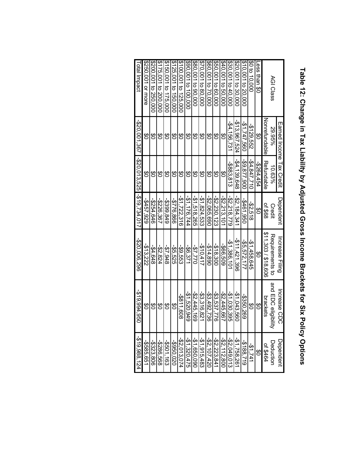|                      | Earned Income Hax Credit                           |              | Dependent      | Increase Filing  | Increase CDC        | Dependent       |
|----------------------|----------------------------------------------------|--------------|----------------|------------------|---------------------|-----------------|
| AGI Class            | 89.95%                                             | 10.63%       | Credit         | Requirements to  | and EDC eligibility | Deduction       |
|                      | Nonrefundable                                      | Refurdable   | of \$68        | 811,303/818,606  | brackets            | <b>DE \$464</b> |
| ess than \$0         | ဗိ                                                 | -\$264,454   | <u>ဗ</u>       | S<br>O           | రి                  | <del>ග</del>    |
| \$0 to 10.000        | -\$129.552                                         | -\$4.847,710 | -\$2.518       | -\$1.458.645     | ဗွ                  | $-21,741$       |
| \$10,001 to 20,000   | -\$1,747.560                                       | -\$9,877,900 | -\$461,950     | -\$5.572.177     | -\$350,269          | $-2188,719$     |
| \$20,001 to 30.000   | -\$13.967.524                                      | -\$4.139.648 | $-52.184.341$  | $-211, 421, 396$ | $-21,043,560$       | -\$1,758,261    |
| \$30,001 to 40,000   | $-54.156.731$                                      | -\$883.813   | $-52.218.779$  | $-21,386,101$    | $-21,030,395$       | $-22,049,013$   |
| \$40,001 to 50,000   | ဗ္ထ                                                | 8g           | $-52.213,101$  | -\$66,509        | $-52,445,667$       | $-22,112,800$   |
| \$50,001 to 60,000   | <u>ဗ</u>                                           | တ်<br>ဝ      | $-25.230, 123$ | -\$18.300        | -\$3,537,776        | $-22.223.841$   |
| \$60,001 to 70,000   | ဗွ                                                 | ဗွ           | -\$2,065,690   | -\$14.890        | $-53,492,736$       | -\$2,107,420    |
| \$70,001 to 80.000   | ဗွ                                                 | SO           | $-21.824.533$  | -\$10.417        | $-53,316,821$       | $-51, 915, 483$ |
| \$80,001 to 90,000   | ဗွ                                                 | ဗွ           | $-21.518.265$  | 022.25           | $-22,445,169$       | -\$1,650,090    |
| \$90,001 to 100,000  | ဗွ                                                 | ဗွ           | $-51,176,744$  | -\$6.371         | $-21,520,949$       | $-21, 320, 475$ |
| 100,001 to 125,000   | ဗွ                                                 | ဗ္မ          | $-51,722,316$  | -\$9.553         | $-3811,608$         | $-25.013,074$   |
| 125.001 to 150,000   | ဗွ                                                 | ဗွ           | -\$776.866     | -\$5.55          | రి                  | -\$950,020      |
| \$150.001 to 175,000 | SO                                                 | တ်<br>ဝ      | -\$399,849     | -\$7,948         | $\frac{6}{5}$       | -\$501,163      |
| 175,001 to 200,000   | ဗွ                                                 | రి           | -\$226.367     | -\$2,824         | 80                  | -\$286,568      |
| \$200,001 to 250,000 | ဗွ                                                 | ဗွ           | -\$254.646     | $-34.648$        | $\frac{6}{3}$       | -\$323,806      |
| \$250,001 or more    | ဗိ                                                 | ဗိ           | -\$457,929     | $-3.322$         | 8                   | -\$585,651      |
| I otal Impact        | $-$ \$20,001,367 $-$ \$20,013,525 $-$ \$19,734,017 |              |                | -\$20,006,296    | -\$19,994,950       | $-519,988,124$  |

# Table 12: Change in Tax Liability by Adjusted Gross Income Brackets for Six Policy Options **Table 12: Change in Tax Liability by Adjusted Gross Income Brackets for Six Policy Options**